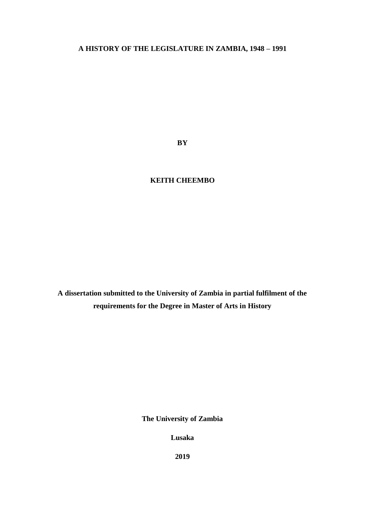# **A HISTORY OF THE LEGISLATURE IN ZAMBIA, 1948 – 1991**

**BY**

# **KEITH CHEEMBO**

**A dissertation submitted to the University of Zambia in partial fulfilment of the requirements for the Degree in Master of Arts in History**

**The University of Zambia**

**Lusaka**

**2019**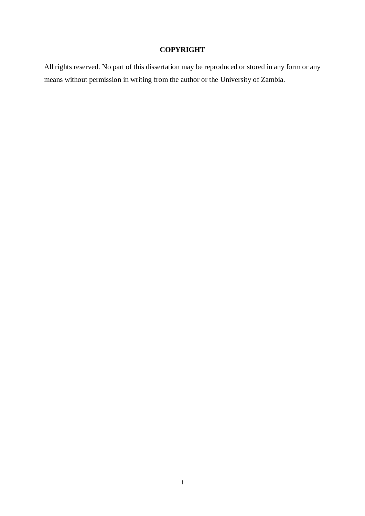## **COPYRIGHT**

<span id="page-1-0"></span>All rights reserved. No part of this dissertation may be reproduced or stored in any form or any means without permission in writing from the author or the University of Zambia.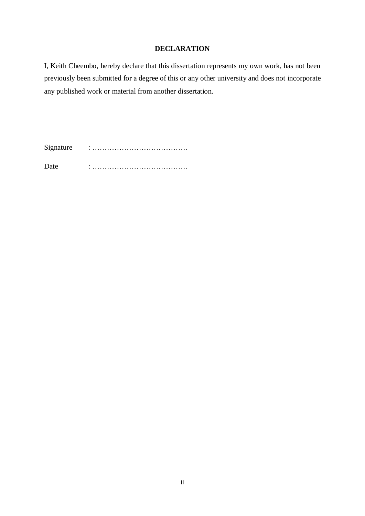## **DECLARATION**

<span id="page-2-0"></span>I, Keith Cheembo, hereby declare that this dissertation represents my own work, has not been previously been submitted for a degree of this or any other university and does not incorporate any published work or material from another dissertation.

Signature : ………………………………… Date : …………………………………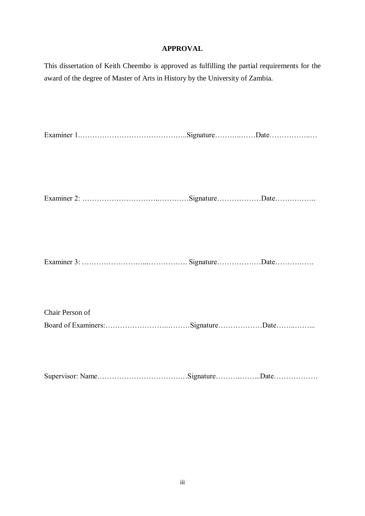## **APPROVAL**

<span id="page-3-0"></span>This dissertation of Keith Cheembo is approved as fulfilling the partial requirements for the award of the degree of Master of Arts in History by the University of Zambia.

| $\blacksquare$ |  |  |
|----------------|--|--|
|----------------|--|--|

Examiner 2: …………………………..…………Signature………………Date…….……….

|  | $\blacksquare$ |  |  |
|--|----------------|--|--|
|--|----------------|--|--|

Chair Person of Board of Examiners:……………………..………Signature………………Date……..……...

Supervisor: Name…………………………….…Signature……….……...Date………………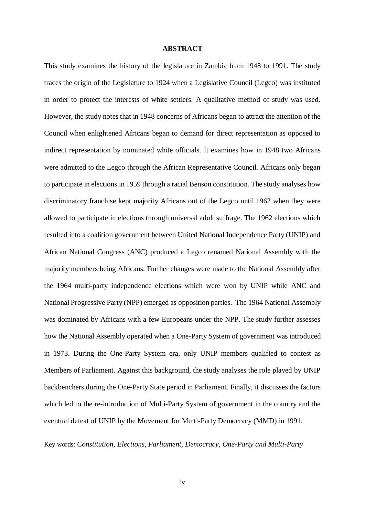## **ABSTRACT**

<span id="page-4-0"></span>This study examines the history of the legislature in Zambia from 1948 to 1991. The study traces the origin of the Legislature to 1924 when a Legislative Council (Legco) was instituted in order to protect the interests of white settlers. A qualitative method of study was used. However, the study notes that in 1948 concerns of Africans began to attract the attention of the Council when enlightened Africans began to demand for direct representation as opposed to indirect representation by nominated white officials. It examines how in 1948 two Africans were admitted to the Legco through the African Representative Council. Africans only began to participate in elections in 1959 through a racial Benson constitution. The study analyses how discriminatory franchise kept majority Africans out of the Legco until 1962 when they were allowed to participate in elections through universal adult suffrage. The 1962 elections which resulted into a coalition government between United National Independence Party (UNIP) and African National Congress (ANC) produced a Legco renamed National Assembly with the majority members being Africans. Further changes were made to the National Assembly after the 1964 multi-party independence elections which were won by UNIP while ANC and National Progressive Party (NPP) emerged as opposition parties. The 1964 National Assembly was dominated by Africans with a few Europeans under the NPP. The study further assesses how the National Assembly operated when a One-Party System of government was introduced in 1973. During the One-Party System era, only UNIP members qualified to contest as Members of Parliament. Against this background, the study analyses the role played by UNIP backbenchers during the One-Party State period in Parliament. Finally, it discusses the factors which led to the re-introduction of Multi-Party System of government in the country and the eventual defeat of UNIP by the Movement for Multi-Party Democracy (MMD) in 1991.

Key words: *Constitution, Elections, Parliament, Democracy, One-Party and Multi-Party*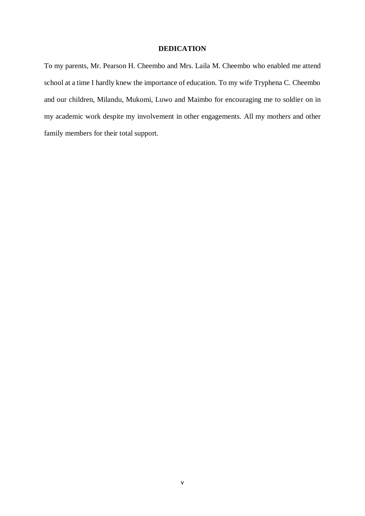## **DEDICATION**

<span id="page-5-0"></span>To my parents, Mr. Pearson H. Cheembo and Mrs. Laila M. Cheembo who enabled me attend school at a time I hardly knew the importance of education. To my wife Tryphena C. Cheembo and our children, Milandu, Mukomi, Luwo and Maimbo for encouraging me to soldier on in my academic work despite my involvement in other engagements. All my mothers and other family members for their total support.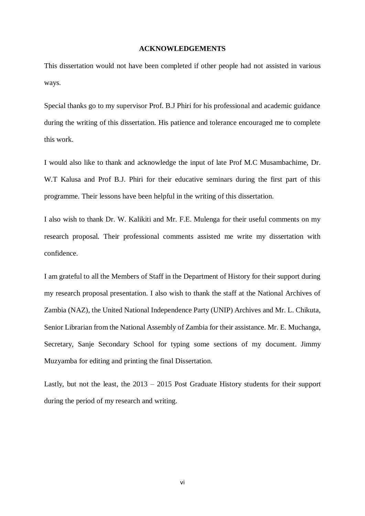### **ACKNOWLEDGEMENTS**

<span id="page-6-0"></span>This dissertation would not have been completed if other people had not assisted in various ways.

Special thanks go to my supervisor Prof. B.J Phiri for his professional and academic guidance during the writing of this dissertation. His patience and tolerance encouraged me to complete this work.

I would also like to thank and acknowledge the input of late Prof M.C Musambachime, Dr. W.T Kalusa and Prof B.J. Phiri for their educative seminars during the first part of this programme. Their lessons have been helpful in the writing of this dissertation.

I also wish to thank Dr. W. Kalikiti and Mr. F.E. Mulenga for their useful comments on my research proposal. Their professional comments assisted me write my dissertation with confidence.

I am grateful to all the Members of Staff in the Department of History for their support during my research proposal presentation. I also wish to thank the staff at the National Archives of Zambia (NAZ), the United National Independence Party (UNIP) Archives and Mr. L. Chikuta, Senior Librarian from the National Assembly of Zambia for their assistance. Mr. E. Muchanga, Secretary, Sanje Secondary School for typing some sections of my document. Jimmy Muzyamba for editing and printing the final Dissertation.

Lastly, but not the least, the 2013 – 2015 Post Graduate History students for their support during the period of my research and writing.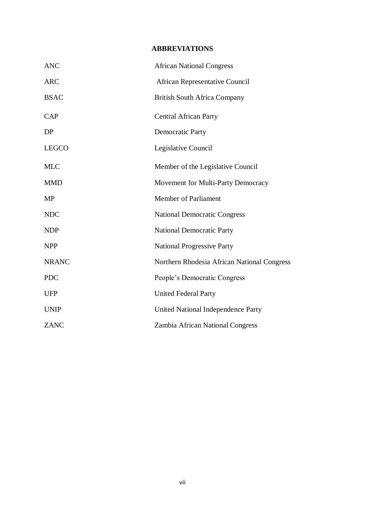# **ABBREVIATIONS**

<span id="page-7-0"></span>

| <b>ANC</b>   | <b>African National Congress</b>            |
|--------------|---------------------------------------------|
| <b>ARC</b>   | <b>African Representative Council</b>       |
| <b>BSAC</b>  | <b>British South Africa Company</b>         |
| <b>CAP</b>   | <b>Central African Party</b>                |
| DP           | <b>Democratic Party</b>                     |
| <b>LEGCO</b> | Legislative Council                         |
| <b>MLC</b>   | Member of the Legislative Council           |
| <b>MMD</b>   | Movement for Multi-Party Democracy          |
| <b>MP</b>    | <b>Member of Parliament</b>                 |
| <b>NDC</b>   | <b>National Democratic Congress</b>         |
| <b>NDP</b>   | <b>National Democratic Party</b>            |
| <b>NPP</b>   | <b>National Progressive Party</b>           |
| <b>NRANC</b> | Northern Rhodesia African National Congress |
| <b>PDC</b>   | People's Democratic Congress                |
| <b>UFP</b>   | <b>United Federal Party</b>                 |
| <b>UNIP</b>  | United National Independence Party          |
| <b>ZANC</b>  | Zambia African National Congress            |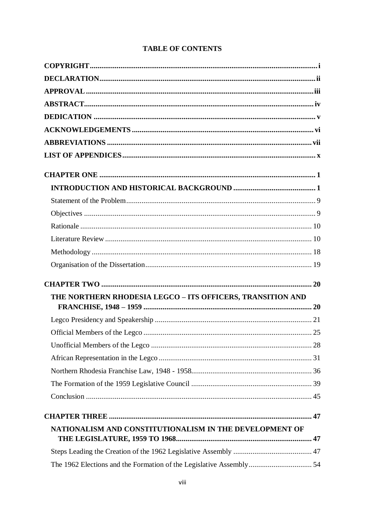| THE NORTHERN RHODESIA LEGCO - ITS OFFICERS, TRANSITION AND |  |
|------------------------------------------------------------|--|
|                                                            |  |
|                                                            |  |
|                                                            |  |
|                                                            |  |
|                                                            |  |
|                                                            |  |
|                                                            |  |
|                                                            |  |
|                                                            |  |
| NATIONALISM AND CONSTITUTIONALISM IN THE DEVELOPMENT OF    |  |
|                                                            |  |
|                                                            |  |
|                                                            |  |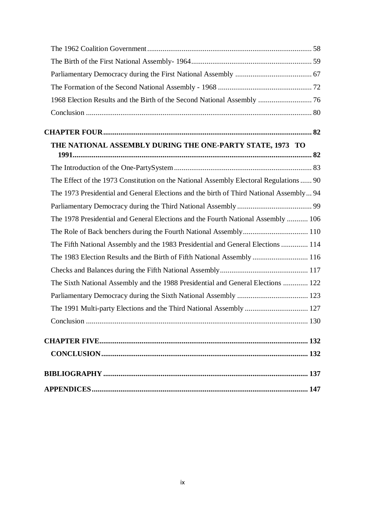| 1968 Election Results and the Birth of the Second National Assembly  76                 |  |
|-----------------------------------------------------------------------------------------|--|
|                                                                                         |  |
|                                                                                         |  |
|                                                                                         |  |
| THE NATIONAL ASSEMBLY DURING THE ONE-PARTY STATE, 1973 TO                               |  |
|                                                                                         |  |
|                                                                                         |  |
| The Effect of the 1973 Constitution on the National Assembly Electoral Regulations  90  |  |
| The 1973 Presidential and General Elections and the birth of Third National Assembly 94 |  |
|                                                                                         |  |
| The 1978 Presidential and General Elections and the Fourth National Assembly  106       |  |
|                                                                                         |  |
| The Fifth National Assembly and the 1983 Presidential and General Elections  114        |  |
| The 1983 Election Results and the Birth of Fifth National Assembly  116                 |  |
|                                                                                         |  |
| The Sixth National Assembly and the 1988 Presidential and General Elections  122        |  |
|                                                                                         |  |
|                                                                                         |  |
|                                                                                         |  |
|                                                                                         |  |
|                                                                                         |  |
|                                                                                         |  |
|                                                                                         |  |
|                                                                                         |  |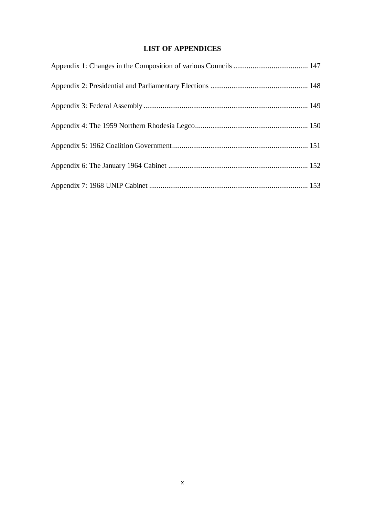# **LIST OF APPENDICES**

<span id="page-10-0"></span>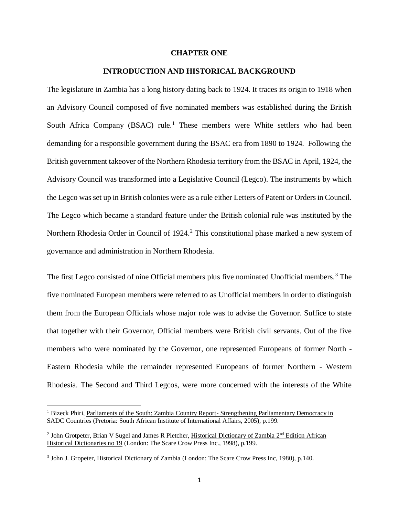### **CHAPTER ONE**

#### **INTRODUCTION AND HISTORICAL BACKGROUND**

<span id="page-11-1"></span><span id="page-11-0"></span>The legislature in Zambia has a long history dating back to 1924. It traces its origin to 1918 when an Advisory Council composed of five nominated members was established during the British South Africa Company (BSAC) rule.<sup>1</sup> These members were White settlers who had been demanding for a responsible government during the BSAC era from 1890 to 1924. Following the British government takeover of the Northern Rhodesia territory from the BSAC in April, 1924, the Advisory Council was transformed into a Legislative Council (Legco). The instruments by which the Legco was set up in British colonies were as a rule either Letters of Patent or Orders in Council. The Legco which became a standard feature under the British colonial rule was instituted by the Northern Rhodesia Order in Council of 1924.<sup>2</sup> This constitutional phase marked a new system of governance and administration in Northern Rhodesia.

The first Legco consisted of nine Official members plus five nominated Unofficial members.<sup>3</sup> The five nominated European members were referred to as Unofficial members in order to distinguish them from the European Officials whose major role was to advise the Governor. Suffice to state that together with their Governor, Official members were British civil servants. Out of the five members who were nominated by the Governor, one represented Europeans of former North - Eastern Rhodesia while the remainder represented Europeans of former Northern - Western Rhodesia. The Second and Third Legcos, were more concerned with the interests of the White

<sup>&</sup>lt;sup>1</sup> Bizeck Phiri, Parliaments of the South: Zambia Country Report-Strengthening Parliamentary Democracy in SADC Countries (Pretoria: South African Institute of International Affairs, 2005), p.199.

<sup>&</sup>lt;sup>2</sup> John Grotpeter, Brian V Sugel and James R Pletcher, Historical Dictionary of Zambia 2<sup>nd</sup> Edition African Historical Dictionaries no 19 (London: The Scare Crow Press Inc., 1998), p.199.

<sup>&</sup>lt;sup>3</sup> John J. Gropeter, Historical Dictionary of Zambia (London: The Scare Crow Press Inc, 1980), p.140.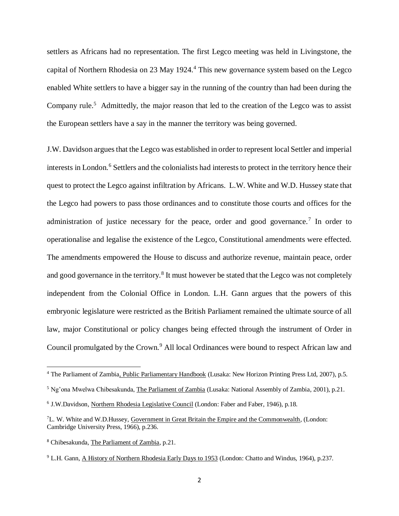settlers as Africans had no representation. The first Legco meeting was held in Livingstone, the capital of Northern Rhodesia on 23 May 1924.<sup>4</sup> This new governance system based on the Legco enabled White settlers to have a bigger say in the running of the country than had been during the Company rule.<sup>5</sup> Admittedly, the major reason that led to the creation of the Legco was to assist the European settlers have a say in the manner the territory was being governed.

J.W. Davidson argues that the Legco was established in order to represent local Settler and imperial interests in London.<sup>6</sup> Settlers and the colonialists had interests to protect in the territory hence their quest to protect the Legco against infiltration by Africans. L.W. White and W.D. Hussey state that the Legco had powers to pass those ordinances and to constitute those courts and offices for the administration of justice necessary for the peace, order and good governance.<sup>7</sup> In order to operationalise and legalise the existence of the Legco, Constitutional amendments were effected. The amendments empowered the House to discuss and authorize revenue, maintain peace, order and good governance in the territory.<sup>8</sup> It must however be stated that the Legco was not completely independent from the Colonial Office in London. L.H. Gann argues that the powers of this embryonic legislature were restricted as the British Parliament remained the ultimate source of all law, major Constitutional or policy changes being effected through the instrument of Order in Council promulgated by the Crown.<sup>9</sup> All local Ordinances were bound to respect African law and

 $\overline{\phantom{a}}$ 

<sup>4</sup> The Parliament of Zambia, Public Parliamentary Handbook (Lusaka: New Horizon Printing Press Ltd, 2007), p.5.

<sup>5</sup> Ng'ona Mwelwa Chibesakunda, The Parliament of Zambia (Lusaka: National Assembly of Zambia, 2001), p.21.

<sup>&</sup>lt;sup>6</sup> J.W.Davidson, Northern Rhodesia Legislative Council (London: Faber and Faber, 1946), p.18.

<sup>7</sup>L. W. White and W.D.Hussey, Government in Great Britain the Empire and the Commonwealth, (London: Cambridge University Press, 1966), p.236.

<sup>8</sup> Chibesakunda, The Parliament of Zambia, p.21.

<sup>&</sup>lt;sup>9</sup> L.H. Gann, A History of Northern Rhodesia Early Days to 1953 (London: Chatto and Windus, 1964), p.237.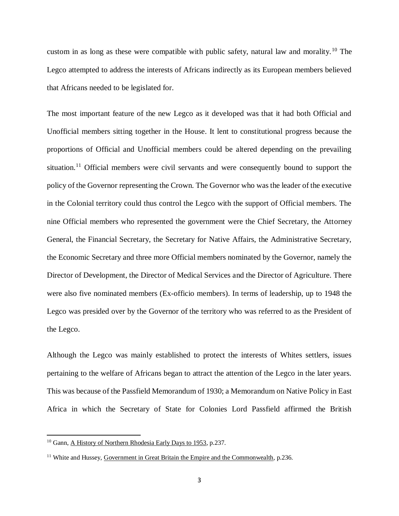custom in as long as these were compatible with public safety, natural law and morality.<sup>10</sup> The Legco attempted to address the interests of Africans indirectly as its European members believed that Africans needed to be legislated for.

The most important feature of the new Legco as it developed was that it had both Official and Unofficial members sitting together in the House. It lent to constitutional progress because the proportions of Official and Unofficial members could be altered depending on the prevailing situation.<sup>11</sup> Official members were civil servants and were consequently bound to support the policy of the Governor representing the Crown. The Governor who was the leader of the executive in the Colonial territory could thus control the Legco with the support of Official members. The nine Official members who represented the government were the Chief Secretary, the Attorney General, the Financial Secretary, the Secretary for Native Affairs, the Administrative Secretary, the Economic Secretary and three more Official members nominated by the Governor, namely the Director of Development, the Director of Medical Services and the Director of Agriculture. There were also five nominated members (Ex-officio members). In terms of leadership, up to 1948 the Legco was presided over by the Governor of the territory who was referred to as the President of the Legco.

Although the Legco was mainly established to protect the interests of Whites settlers, issues pertaining to the welfare of Africans began to attract the attention of the Legco in the later years. This was because of the Passfield Memorandum of 1930; a Memorandum on Native Policy in East Africa in which the Secretary of State for Colonies Lord Passfield affirmed the British

<sup>&</sup>lt;sup>10</sup> Gann, A History of Northern Rhodesia Early Days to 1953, p.237.

<sup>11</sup> White and Hussey, Government in Great Britain the Empire and the Commonwealth, p.236.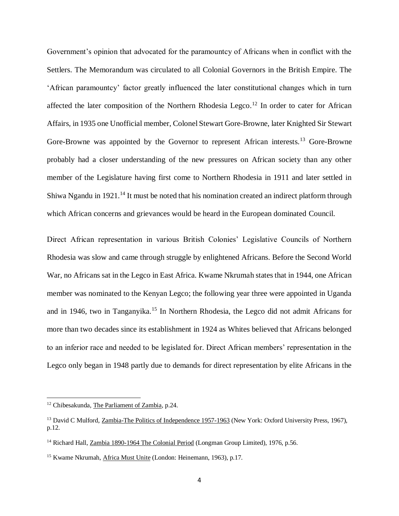Government's opinion that advocated for the paramountcy of Africans when in conflict with the Settlers. The Memorandum was circulated to all Colonial Governors in the British Empire. The 'African paramountcy' factor greatly influenced the later constitutional changes which in turn affected the later composition of the Northern Rhodesia Legco.<sup>12</sup> In order to cater for African Affairs, in 1935 one Unofficial member, Colonel Stewart Gore-Browne, later Knighted Sir Stewart Gore-Browne was appointed by the Governor to represent African interests.<sup>13</sup> Gore-Browne probably had a closer understanding of the new pressures on African society than any other member of the Legislature having first come to Northern Rhodesia in 1911 and later settled in Shiwa Ngandu in 1921.<sup>14</sup> It must be noted that his nomination created an indirect platform through which African concerns and grievances would be heard in the European dominated Council.

Direct African representation in various British Colonies' Legislative Councils of Northern Rhodesia was slow and came through struggle by enlightened Africans. Before the Second World War, no Africans sat in the Legco in East Africa. Kwame Nkrumah states that in 1944, one African member was nominated to the Kenyan Legco; the following year three were appointed in Uganda and in 1946, two in Tanganyika.<sup>15</sup> In Northern Rhodesia, the Legco did not admit Africans for more than two decades since its establishment in 1924 as Whites believed that Africans belonged to an inferior race and needed to be legislated for. Direct African members' representation in the Legco only began in 1948 partly due to demands for direct representation by elite Africans in the

<sup>&</sup>lt;sup>12</sup> Chibesakunda, The Parliament of Zambia, p.24.

<sup>&</sup>lt;sup>13</sup> David C Mulford, Zambia-The Politics of Independence 1957-1963 (New York: Oxford University Press, 1967), p.12.

<sup>&</sup>lt;sup>14</sup> Richard Hall, Zambia 1890-1964 The Colonial Period (Longman Group Limited), 1976, p.56.

<sup>15</sup> Kwame Nkrumah, Africa Must Unite (London: Heinemann, 1963), p.17.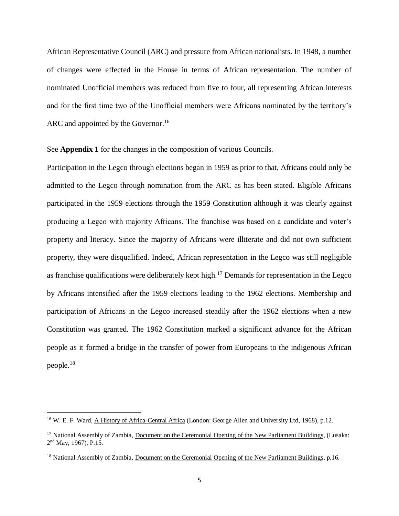African Representative Council (ARC) and pressure from African nationalists. In 1948, a number of changes were effected in the House in terms of African representation. The number of nominated Unofficial members was reduced from five to four, all representing African interests and for the first time two of the Unofficial members were Africans nominated by the territory's ARC and appointed by the Governor.<sup>16</sup>

See **Appendix 1** for the changes in the composition of various Councils.

Participation in the Legco through elections began in 1959 as prior to that, Africans could only be admitted to the Legco through nomination from the ARC as has been stated. Eligible Africans participated in the 1959 elections through the 1959 Constitution although it was clearly against producing a Legco with majority Africans. The franchise was based on a candidate and voter's property and literacy. Since the majority of Africans were illiterate and did not own sufficient property, they were disqualified. Indeed, African representation in the Legco was still negligible as franchise qualifications were deliberately kept high.<sup>17</sup> Demands for representation in the Legco by Africans intensified after the 1959 elections leading to the 1962 elections. Membership and participation of Africans in the Legco increased steadily after the 1962 elections when a new Constitution was granted. The 1962 Constitution marked a significant advance for the African people as it formed a bridge in the transfer of power from Europeans to the indigenous African people.<sup>18</sup>

 $\overline{\phantom{a}}$ 

<sup>16</sup> W. E. F. Ward, A History of Africa-Central Africa (London: George Allen and University Ltd, 1968), p.12.

<sup>&</sup>lt;sup>17</sup> National Assembly of Zambia, Document on the Ceremonial Opening of the New Parliament Buildings, (Lusaka: 2<sup>nd</sup> May, 1967), P.15.

<sup>&</sup>lt;sup>18</sup> National Assembly of Zambia, Document on the Ceremonial Opening of the New Parliament Buildings, p.16.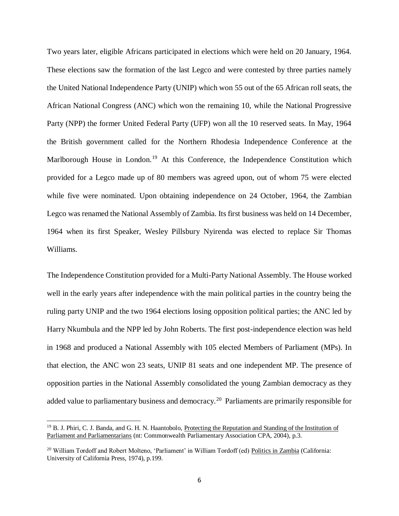Two years later, eligible Africans participated in elections which were held on 20 January, 1964. These elections saw the formation of the last Legco and were contested by three parties namely the United National Independence Party (UNIP) which won 55 out of the 65 African roll seats, the African National Congress (ANC) which won the remaining 10, while the National Progressive Party (NPP) the former United Federal Party (UFP) won all the 10 reserved seats. In May, 1964 the British government called for the Northern Rhodesia Independence Conference at the Marlborough House in London.<sup>19</sup> At this Conference, the Independence Constitution which provided for a Legco made up of 80 members was agreed upon, out of whom 75 were elected while five were nominated. Upon obtaining independence on 24 October, 1964, the Zambian Legco was renamed the National Assembly of Zambia. Its first business was held on 14 December, 1964 when its first Speaker, Wesley Pillsbury Nyirenda was elected to replace Sir Thomas Williams.

The Independence Constitution provided for a Multi-Party National Assembly. The House worked well in the early years after independence with the main political parties in the country being the ruling party UNIP and the two 1964 elections losing opposition political parties; the ANC led by Harry Nkumbula and the NPP led by John Roberts. The first post-independence election was held in 1968 and produced a National Assembly with 105 elected Members of Parliament (MPs). In that election, the ANC won 23 seats, UNIP 81 seats and one independent MP. The presence of opposition parties in the National Assembly consolidated the young Zambian democracy as they added value to parliamentary business and democracy.<sup>20</sup> Parliaments are primarily responsible for

<sup>&</sup>lt;sup>19</sup> B. J. Phiri, C. J. Banda, and G. H. N. Haantobolo, Protecting the Reputation and Standing of the Institution of Parliament and Parliamentarians (nt: Commonwealth Parliamentary Association CPA, 2004), p.3.

<sup>20</sup> William Tordoff and Robert Molteno, 'Parliament' in William Tordoff (ed) Politics in Zambia (California: University of California Press, 1974), p.199.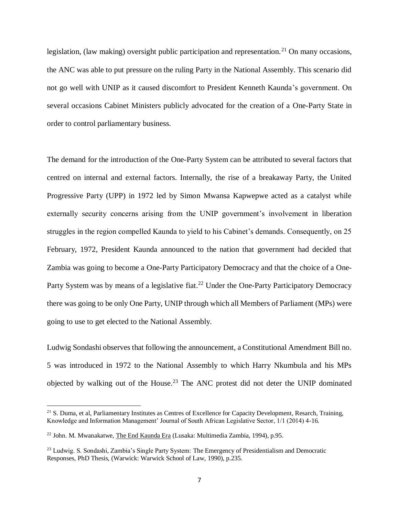legislation, (law making) oversight public participation and representation.<sup>21</sup> On many occasions, the ANC was able to put pressure on the ruling Party in the National Assembly. This scenario did not go well with UNIP as it caused discomfort to President Kenneth Kaunda's government. On several occasions Cabinet Ministers publicly advocated for the creation of a One-Party State in order to control parliamentary business.

The demand for the introduction of the One-Party System can be attributed to several factors that centred on internal and external factors. Internally, the rise of a breakaway Party, the United Progressive Party (UPP) in 1972 led by Simon Mwansa Kapwepwe acted as a catalyst while externally security concerns arising from the UNIP government's involvement in liberation struggles in the region compelled Kaunda to yield to his Cabinet's demands. Consequently, on 25 February, 1972, President Kaunda announced to the nation that government had decided that Zambia was going to become a One-Party Participatory Democracy and that the choice of a One-Party System was by means of a legislative fiat.<sup>22</sup> Under the One-Party Participatory Democracy there was going to be only One Party, UNIP through which all Members of Parliament (MPs) were going to use to get elected to the National Assembly.

Ludwig Sondashi observes that following the announcement, a Constitutional Amendment Bill no. 5 was introduced in 1972 to the National Assembly to which Harry Nkumbula and his MPs objected by walking out of the House.<sup>23</sup> The ANC protest did not deter the UNIP dominated

<sup>&</sup>lt;sup>21</sup> S. Duma, et al, Parliamentary Institutes as Centres of Excellence for Capacity Development, Resarch, Training, Knowledge and Information Management' Journal of South African Legislative Sector, 1/1 (2014) 4-16.

<sup>22</sup> John. M. Mwanakatwe, The End Kaunda Era (Lusaka: Multimedia Zambia, 1994), p.95.

<sup>23</sup> Ludwig. S. Sondashi, Zambia's Single Party System: The Emergency of Presidentialism and Democratic Responses, PhD Thesis, (Warwick: Warwick School of Law, 1990), p.235.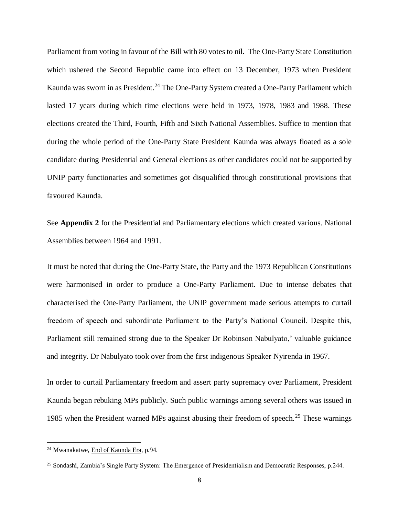Parliament from voting in favour of the Bill with 80 votes to nil. The One-Party State Constitution which ushered the Second Republic came into effect on 13 December, 1973 when President Kaunda was sworn in as President.<sup>24</sup> The One-Party System created a One-Party Parliament which lasted 17 years during which time elections were held in 1973, 1978, 1983 and 1988. These elections created the Third, Fourth, Fifth and Sixth National Assemblies. Suffice to mention that during the whole period of the One-Party State President Kaunda was always floated as a sole candidate during Presidential and General elections as other candidates could not be supported by UNIP party functionaries and sometimes got disqualified through constitutional provisions that favoured Kaunda.

See **Appendix 2** for the Presidential and Parliamentary elections which created various. National Assemblies between 1964 and 1991.

It must be noted that during the One-Party State, the Party and the 1973 Republican Constitutions were harmonised in order to produce a One-Party Parliament. Due to intense debates that characterised the One-Party Parliament, the UNIP government made serious attempts to curtail freedom of speech and subordinate Parliament to the Party's National Council. Despite this, Parliament still remained strong due to the Speaker Dr Robinson Nabulyato,' valuable guidance and integrity. Dr Nabulyato took over from the first indigenous Speaker Nyirenda in 1967.

In order to curtail Parliamentary freedom and assert party supremacy over Parliament, President Kaunda began rebuking MPs publicly. Such public warnings among several others was issued in 1985 when the President warned MPs against abusing their freedom of speech.<sup>25</sup> These warnings

<sup>24</sup> Mwanakatwe, End of Kaunda Era, p.94.

<sup>25</sup> Sondashi, Zambia's Single Party System: The Emergence of Presidentialism and Democratic Responses, p.244.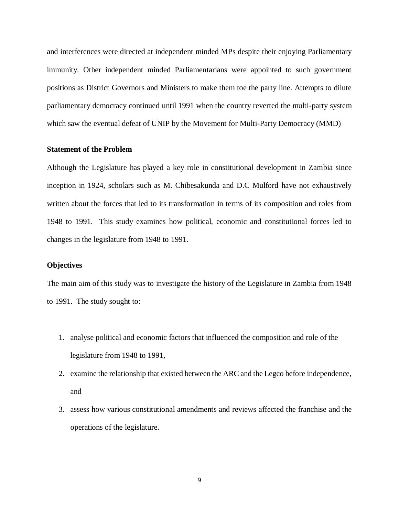and interferences were directed at independent minded MPs despite their enjoying Parliamentary immunity. Other independent minded Parliamentarians were appointed to such government positions as District Governors and Ministers to make them toe the party line. Attempts to dilute parliamentary democracy continued until 1991 when the country reverted the multi-party system which saw the eventual defeat of UNIP by the Movement for Multi-Party Democracy (MMD)

## **Statement of the Problem**

<span id="page-19-0"></span>Although the Legislature has played a key role in constitutional development in Zambia since inception in 1924, scholars such as M. Chibesakunda and D.C Mulford have not exhaustively written about the forces that led to its transformation in terms of its composition and roles from 1948 to 1991. This study examines how political, economic and constitutional forces led to changes in the legislature from 1948 to 1991.

## **Objectives**

<span id="page-19-1"></span>The main aim of this study was to investigate the history of the Legislature in Zambia from 1948 to 1991. The study sought to:

- 1. analyse political and economic factors that influenced the composition and role of the legislature from 1948 to 1991,
- 2. examine the relationship that existed between the ARC and the Legco before independence, and
- 3. assess how various constitutional amendments and reviews affected the franchise and the operations of the legislature.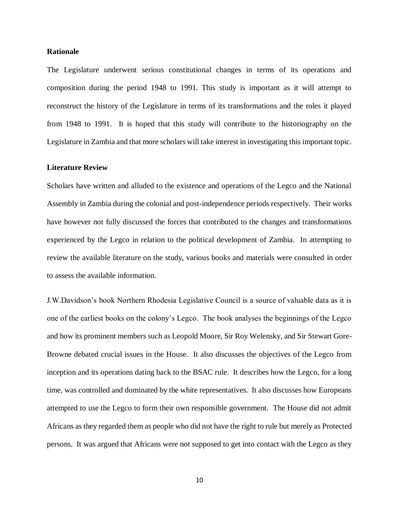### **Rationale**

<span id="page-20-0"></span>The Legislature underwent serious constitutional changes in terms of its operations and composition during the period 1948 to 1991. This study is important as it will attempt to reconstruct the history of the Legislature in terms of its transformations and the roles it played from 1948 to 1991. It is hoped that this study will contribute to the historiography on the Legislature in Zambia and that more scholars will take interest in investigating this important topic.

### **Literature Review**

<span id="page-20-1"></span>Scholars have written and alluded to the existence and operations of the Legco and the National Assembly in Zambia during the colonial and post-independence periods respectively. Their works have however not fully discussed the forces that contributed to the changes and transformations experienced by the Legco in relation to the political development of Zambia. In attempting to review the available literature on the study, various books and materials were consulted in order to assess the available information.

J.W.Davidson's book Northern Rhodesia Legislative Council is a source of valuable data as it is one of the earliest books on the colony's Legco. The book analyses the beginnings of the Legco and how its prominent members such as Leopold Moore, Sir Roy Welensky, and Sir Stewart Gore-Browne debated crucial issues in the House. It also discusses the objectives of the Legco from inception and its operations dating back to the BSAC rule. It describes how the Legco, for a long time, was controlled and dominated by the white representatives. It also discusses how Europeans attempted to use the Legco to form their own responsible government. The House did not admit Africans as they regarded them as people who did not have the right to rule but merely as Protected persons. It was argued that Africans were not supposed to get into contact with the Legco as they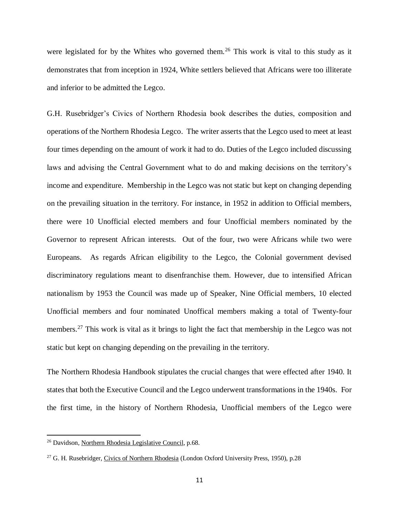were legislated for by the Whites who governed them.<sup>26</sup> This work is vital to this study as it demonstrates that from inception in 1924, White settlers believed that Africans were too illiterate and inferior to be admitted the Legco.

G.H. Rusebridger's Civics of Northern Rhodesia book describes the duties, composition and operations of the Northern Rhodesia Legco. The writer asserts that the Legco used to meet at least four times depending on the amount of work it had to do. Duties of the Legco included discussing laws and advising the Central Government what to do and making decisions on the territory's income and expenditure. Membership in the Legco was not static but kept on changing depending on the prevailing situation in the territory. For instance, in 1952 in addition to Official members, there were 10 Unofficial elected members and four Unofficial members nominated by the Governor to represent African interests. Out of the four, two were Africans while two were Europeans. As regards African eligibility to the Legco, the Colonial government devised discriminatory regulations meant to disenfranchise them. However, due to intensified African nationalism by 1953 the Council was made up of Speaker, Nine Official members, 10 elected Unofficial members and four nominated Unoffical members making a total of Twenty-four members.<sup>27</sup> This work is vital as it brings to light the fact that membership in the Legco was not static but kept on changing depending on the prevailing in the territory.

The Northern Rhodesia Handbook stipulates the crucial changes that were effected after 1940. It states that both the Executive Council and the Legco underwent transformations in the 1940s. For the first time, in the history of Northern Rhodesia, Unofficial members of the Legco were

<sup>26</sup> Davidson, Northern Rhodesia Legislative Council, p.68.

<sup>&</sup>lt;sup>27</sup> G. H. Rusebridger, Civics of Northern Rhodesia (London Oxford University Press, 1950), p.28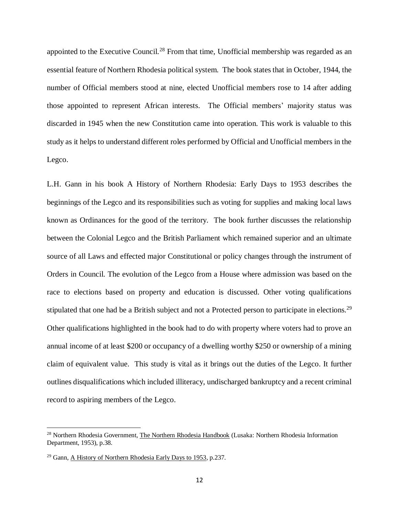appointed to the Executive Council.<sup>28</sup> From that time, Unofficial membership was regarded as an essential feature of Northern Rhodesia political system. The book states that in October, 1944, the number of Official members stood at nine, elected Unofficial members rose to 14 after adding those appointed to represent African interests. The Official members' majority status was discarded in 1945 when the new Constitution came into operation. This work is valuable to this study as it helps to understand different roles performed by Official and Unofficial members in the Legco.

L.H. Gann in his book A History of Northern Rhodesia: Early Days to 1953 describes the beginnings of the Legco and its responsibilities such as voting for supplies and making local laws known as Ordinances for the good of the territory. The book further discusses the relationship between the Colonial Legco and the British Parliament which remained superior and an ultimate source of all Laws and effected major Constitutional or policy changes through the instrument of Orders in Council. The evolution of the Legco from a House where admission was based on the race to elections based on property and education is discussed. Other voting qualifications stipulated that one had be a British subject and not a Protected person to participate in elections.<sup>29</sup> Other qualifications highlighted in the book had to do with property where voters had to prove an annual income of at least \$200 or occupancy of a dwelling worthy \$250 or ownership of a mining claim of equivalent value. This study is vital as it brings out the duties of the Legco. It further outlines disqualifications which included illiteracy, undischarged bankruptcy and a recent criminal record to aspiring members of the Legco.

 $\overline{\phantom{a}}$ 

<sup>&</sup>lt;sup>28</sup> Northern Rhodesia Government, The Northern Rhodesia Handbook (Lusaka: Northern Rhodesia Information Department, 1953), p.38.

<sup>29</sup> Gann, A History of Northern Rhodesia Early Days to 1953, p.237.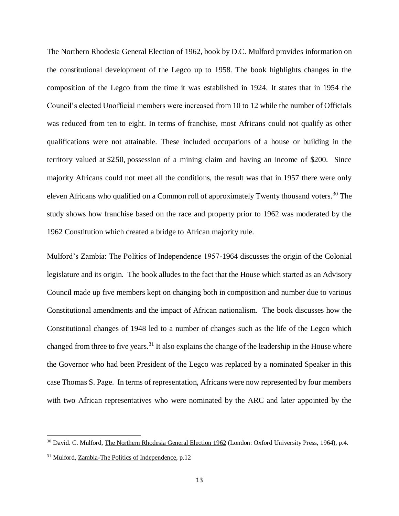The Northern Rhodesia General Election of 1962, book by D.C. Mulford provides information on the constitutional development of the Legco up to 1958. The book highlights changes in the composition of the Legco from the time it was established in 1924. It states that in 1954 the Council's elected Unofficial members were increased from 10 to 12 while the number of Officials was reduced from ten to eight. In terms of franchise, most Africans could not qualify as other qualifications were not attainable. These included occupations of a house or building in the territory valued at \$250, possession of a mining claim and having an income of \$200. Since majority Africans could not meet all the conditions, the result was that in 1957 there were only eleven Africans who qualified on a Common roll of approximately Twenty thousand voters.<sup>30</sup> The study shows how franchise based on the race and property prior to 1962 was moderated by the 1962 Constitution which created a bridge to African majority rule.

Mulford's Zambia: The Politics of Independence 1957-1964 discusses the origin of the Colonial legislature and its origin. The book alludes to the fact that the House which started as an Advisory Council made up five members kept on changing both in composition and number due to various Constitutional amendments and the impact of African nationalism. The book discusses how the Constitutional changes of 1948 led to a number of changes such as the life of the Legco which changed from three to five years.<sup>31</sup> It also explains the change of the leadership in the House where the Governor who had been President of the Legco was replaced by a nominated Speaker in this case Thomas S. Page. In terms of representation, Africans were now represented by four members with two African representatives who were nominated by the ARC and later appointed by the

<sup>&</sup>lt;sup>30</sup> David. C. Mulford, The Northern Rhodesia General Election 1962 (London: Oxford University Press, 1964), p.4.

<sup>31</sup> Mulford, Zambia-The Politics of Independence, p.12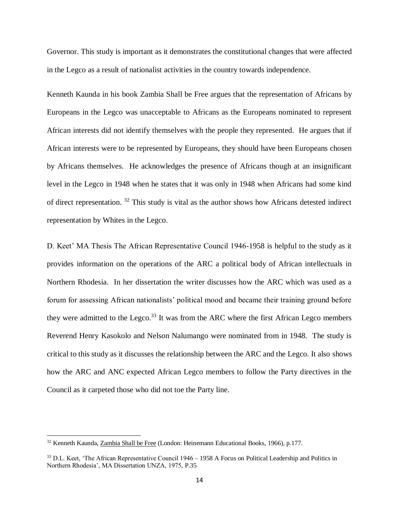Governor. This study is important as it demonstrates the constitutional changes that were affected in the Legco as a result of nationalist activities in the country towards independence.

Kenneth Kaunda in his book Zambia Shall be Free argues that the representation of Africans by Europeans in the Legco was unacceptable to Africans as the Europeans nominated to represent African interests did not identify themselves with the people they represented. He argues that if African interests were to be represented by Europeans, they should have been Europeans chosen by Africans themselves. He acknowledges the presence of Africans though at an insignificant level in the Legco in 1948 when he states that it was only in 1948 when Africans had some kind of direct representation. <sup>32</sup> This study is vital as the author shows how Africans detested indirect representation by Whites in the Legco.

D. Keet' MA Thesis The African Representative Council 1946-1958 is helpful to the study as it provides information on the operations of the ARC a political body of African intellectuals in Northern Rhodesia. In her dissertation the writer discusses how the ARC which was used as a forum for assessing African nationalists' political mood and became their training ground before they were admitted to the Legco.<sup>33</sup> It was from the ARC where the first African Legco members Reverend Henry Kasokolo and Nelson Nalumango were nominated from in 1948. The study is critical to this study as it discusses the relationship between the ARC and the Legco. It also shows how the ARC and ANC expected African Legco members to follow the Party directives in the Council as it carpeted those who did not toe the Party line.

<sup>32</sup> Kenneth Kaunda, Zambia Shall be Free (London: Heinemann Educational Books, 1966), p.177.

<sup>&</sup>lt;sup>33</sup> D.L. Keet, 'The African Representative Council 1946 – 1958 A Focus on Political Leadership and Politics in Northern Rhodesia', MA Dissertation UNZA, 1975, P.35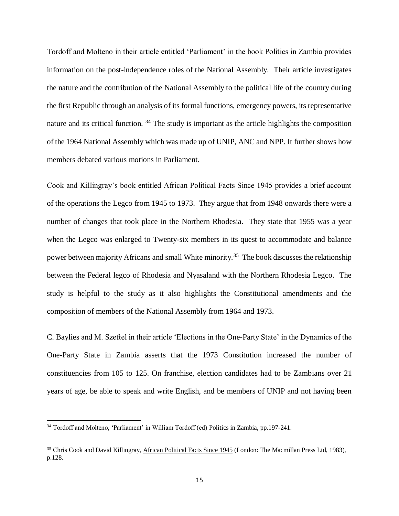Tordoff and Molteno in their article entitled 'Parliament' in the book Politics in Zambia provides information on the post-independence roles of the National Assembly. Their article investigates the nature and the contribution of the National Assembly to the political life of the country during the first Republic through an analysis of its formal functions, emergency powers, its representative nature and its critical function.  $34$  The study is important as the article highlights the composition of the 1964 National Assembly which was made up of UNIP, ANC and NPP. It further shows how members debated various motions in Parliament.

Cook and Killingray's book entitled African Political Facts Since 1945 provides a brief account of the operations the Legco from 1945 to 1973. They argue that from 1948 onwards there were a number of changes that took place in the Northern Rhodesia. They state that 1955 was a year when the Legco was enlarged to Twenty-six members in its quest to accommodate and balance power between majority Africans and small White minority.<sup>35</sup> The book discusses the relationship between the Federal legco of Rhodesia and Nyasaland with the Northern Rhodesia Legco. The study is helpful to the study as it also highlights the Constitutional amendments and the composition of members of the National Assembly from 1964 and 1973.

C. Baylies and M. Szeftel in their article 'Elections in the One-Party State' in the Dynamics of the One-Party State in Zambia asserts that the 1973 Constitution increased the number of constituencies from 105 to 125. On franchise, election candidates had to be Zambians over 21 years of age, be able to speak and write English, and be members of UNIP and not having been

 $\overline{\phantom{a}}$ 

<sup>34</sup> Tordoff and Molteno, 'Parliament' in William Tordoff (ed) Politics in Zambia, pp.197-241.

<sup>&</sup>lt;sup>35</sup> Chris Cook and David Killingray, African Political Facts Since 1945 (London: The Macmillan Press Ltd, 1983), p.128.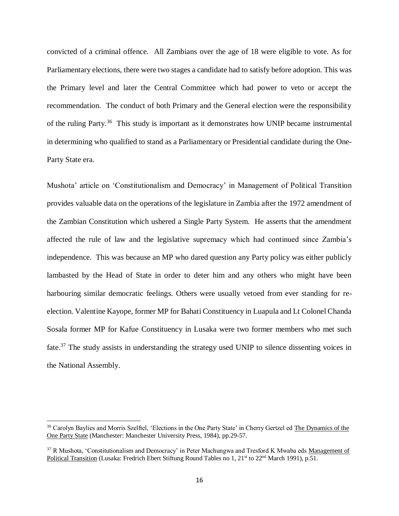convicted of a criminal offence. All Zambians over the age of 18 were eligible to vote. As for Parliamentary elections, there were two stages a candidate had to satisfy before adoption. This was the Primary level and later the Central Committee which had power to veto or accept the recommendation. The conduct of both Primary and the General election were the responsibility of the ruling Party.<sup>36</sup> This study is important as it demonstrates how UNIP became instrumental in determining who qualified to stand as a Parliamentary or Presidential candidate during the One-Party State era.

Mushota' article on 'Constitutionalism and Democracy' in Management of Political Transition provides valuable data on the operations of the legislature in Zambia after the 1972 amendment of the Zambian Constitution which ushered a Single Party System. He asserts that the amendment affected the rule of law and the legislative supremacy which had continued since Zambia's independence. This was because an MP who dared question any Party policy was either publicly lambasted by the Head of State in order to deter him and any others who might have been harbouring similar democratic feelings. Others were usually vetoed from ever standing for reelection. Valentine Kayope, former MP for Bahati Constituency in Luapula and Lt Colonel Chanda Sosala former MP for Kafue Constituency in Lusaka were two former members who met such fate.<sup>37</sup> The study assists in understanding the strategy used UNIP to silence dissenting voices in the National Assembly.

<sup>&</sup>lt;sup>36</sup> Carolyn Baylies and Morris Szelftel, 'Elections in the One Party State' in Cherry Gertzel ed The Dynamics of the One Party State (Manchester: Manchester University Press, 1984), pp.29-57.

<sup>&</sup>lt;sup>37</sup> R Mushota, 'Constitutionalism and Democracy' in Peter Machungwa and Tresford K Mwaba eds Management of Political Transition (Lusaka: Fredrich Ebert Stiftung Round Tables no 1, 21<sup>st</sup> to 22<sup>nd</sup> March 1991), p.51.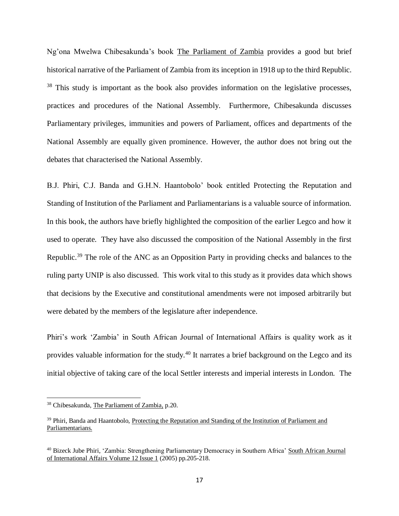Ng'ona Mwelwa Chibesakunda's book The Parliament of Zambia provides a good but brief historical narrative of the Parliament of Zambia from its inception in 1918 up to the third Republic. <sup>38</sup> This study is important as the book also provides information on the legislative processes, practices and procedures of the National Assembly. Furthermore, Chibesakunda discusses Parliamentary privileges, immunities and powers of Parliament, offices and departments of the National Assembly are equally given prominence. However, the author does not bring out the debates that characterised the National Assembly.

B.J. Phiri, C.J. Banda and G.H.N. Haantobolo' book entitled Protecting the Reputation and Standing of Institution of the Parliament and Parliamentarians is a valuable source of information. In this book, the authors have briefly highlighted the composition of the earlier Legco and how it used to operate. They have also discussed the composition of the National Assembly in the first Republic.<sup>39</sup> The role of the ANC as an Opposition Party in providing checks and balances to the ruling party UNIP is also discussed. This work vital to this study as it provides data which shows that decisions by the Executive and constitutional amendments were not imposed arbitrarily but were debated by the members of the legislature after independence.

Phiri's work 'Zambia' in South African Journal of International Affairs is quality work as it provides valuable information for the study.<sup>40</sup> It narrates a brief background on the Legco and its initial objective of taking care of the local Settler interests and imperial interests in London. The

<sup>&</sup>lt;sup>38</sup> Chibesakunda, The Parliament of Zambia, p.20.

<sup>&</sup>lt;sup>39</sup> Phiri, Banda and Haantobolo, Protecting the Reputation and Standing of the Institution of Parliament and Parliamentarians.

<sup>40</sup> Bizeck Jube Phiri, 'Zambia: Strengthening Parliamentary Democracy in Southern Africa' South African Journal of International Affairs Volume 12 Issue 1 (2005) pp.205-218.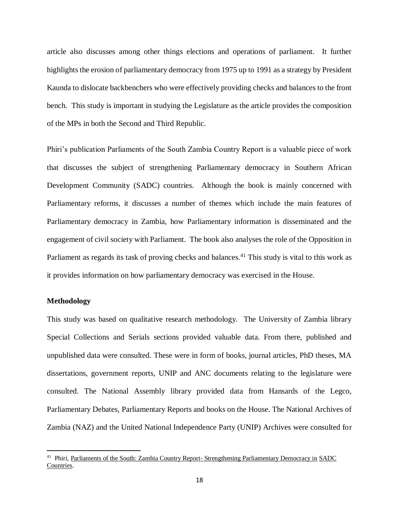article also discusses among other things elections and operations of parliament. It further highlights the erosion of parliamentary democracy from 1975 up to 1991 as a strategy by President Kaunda to dislocate backbenchers who were effectively providing checks and balances to the front bench. This study is important in studying the Legislature as the article provides the composition of the MPs in both the Second and Third Republic.

Phiri's publication Parliaments of the South Zambia Country Report is a valuable piece of work that discusses the subject of strengthening Parliamentary democracy in Southern African Development Community (SADC) countries. Although the book is mainly concerned with Parliamentary reforms, it discusses a number of themes which include the main features of Parliamentary democracy in Zambia, how Parliamentary information is disseminated and the engagement of civil society with Parliament. The book also analyses the role of the Opposition in Parliament as regards its task of proving checks and balances.<sup>41</sup> This study is vital to this work as it provides information on how parliamentary democracy was exercised in the House.

## **Methodology**

<span id="page-28-0"></span>This study was based on qualitative research methodology. The University of Zambia library Special Collections and Serials sections provided valuable data. From there, published and unpublished data were consulted. These were in form of books, journal articles, PhD theses, MA dissertations, government reports, UNIP and ANC documents relating to the legislature were consulted. The National Assembly library provided data from Hansards of the Legco, Parliamentary Debates, Parliamentary Reports and books on the House. The National Archives of Zambia (NAZ) and the United National Independence Party (UNIP) Archives were consulted for

<sup>&</sup>lt;sup>41</sup> Phiri, Parliaments of the South: Zambia Country Report- Strengthening Parliamentary Democracy in SADC Countries.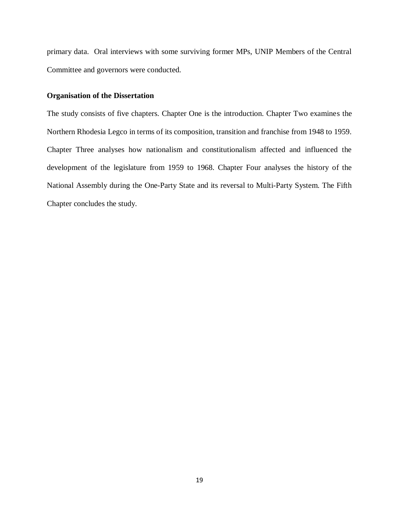primary data. Oral interviews with some surviving former MPs, UNIP Members of the Central Committee and governors were conducted.

### **Organisation of the Dissertation**

<span id="page-29-0"></span>The study consists of five chapters. Chapter One is the introduction. Chapter Two examines the Northern Rhodesia Legco in terms of its composition, transition and franchise from 1948 to 1959. Chapter Three analyses how nationalism and constitutionalism affected and influenced the development of the legislature from 1959 to 1968. Chapter Four analyses the history of the National Assembly during the One-Party State and its reversal to Multi-Party System. The Fifth Chapter concludes the study.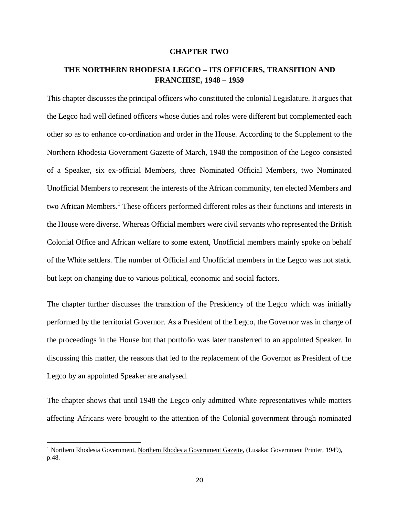#### **CHAPTER TWO**

## **THE NORTHERN RHODESIA LEGCO – ITS OFFICERS, TRANSITION AND FRANCHISE, 1948 – 1959**

<span id="page-30-1"></span><span id="page-30-0"></span>This chapter discusses the principal officers who constituted the colonial Legislature. It argues that the Legco had well defined officers whose duties and roles were different but complemented each other so as to enhance co-ordination and order in the House. According to the Supplement to the Northern Rhodesia Government Gazette of March, 1948 the composition of the Legco consisted of a Speaker, six ex-official Members, three Nominated Official Members, two Nominated Unofficial Members to represent the interests of the African community, ten elected Members and two African Members.<sup>1</sup> These officers performed different roles as their functions and interests in the House were diverse. Whereas Official members were civil servants who represented the British Colonial Office and African welfare to some extent, Unofficial members mainly spoke on behalf of the White settlers. The number of Official and Unofficial members in the Legco was not static but kept on changing due to various political, economic and social factors.

The chapter further discusses the transition of the Presidency of the Legco which was initially performed by the territorial Governor. As a President of the Legco, the Governor was in charge of the proceedings in the House but that portfolio was later transferred to an appointed Speaker. In discussing this matter, the reasons that led to the replacement of the Governor as President of the Legco by an appointed Speaker are analysed.

The chapter shows that until 1948 the Legco only admitted White representatives while matters affecting Africans were brought to the attention of the Colonial government through nominated

<sup>&</sup>lt;sup>1</sup> Northern Rhodesia Government, <u>Northern Rhodesia Government Gazette</u>, (Lusaka: Government Printer, 1949), p.48.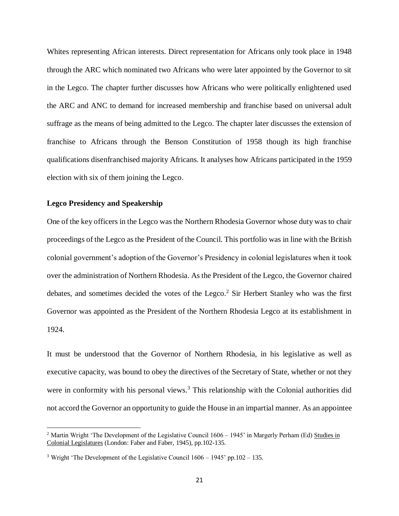Whites representing African interests. Direct representation for Africans only took place in 1948 through the ARC which nominated two Africans who were later appointed by the Governor to sit in the Legco. The chapter further discusses how Africans who were politically enlightened used the ARC and ANC to demand for increased membership and franchise based on universal adult suffrage as the means of being admitted to the Legco. The chapter later discusses the extension of franchise to Africans through the Benson Constitution of 1958 though its high franchise qualifications disenfranchised majority Africans. It analyses how Africans participated in the 1959 election with six of them joining the Legco.

## **Legco Presidency and Speakership**

 $\overline{\phantom{a}}$ 

<span id="page-31-0"></span>One of the key officers in the Legco was the Northern Rhodesia Governor whose duty was to chair proceedings of the Legco as the President of the Council. This portfolio was in line with the British colonial government's adoption of the Governor's Presidency in colonial legislatures when it took over the administration of Northern Rhodesia. As the President of the Legco, the Governor chaired debates, and sometimes decided the votes of the Legco.<sup>2</sup> Sir Herbert Stanley who was the first Governor was appointed as the President of the Northern Rhodesia Legco at its establishment in 1924.

It must be understood that the Governor of Northern Rhodesia, in his legislative as well as executive capacity, was bound to obey the directives of the Secretary of State, whether or not they were in conformity with his personal views.<sup>3</sup> This relationship with the Colonial authorities did not accord the Governor an opportunity to guide the House in an impartial manner. As an appointee

<sup>&</sup>lt;sup>2</sup> Martin Wright 'The Development of the Legislative Council  $1606 - 1945$ ' in Margerly Perham (Ed) Studies in Colonial Legislatures (London: Faber and Faber, 1945), pp.102-135.

<sup>&</sup>lt;sup>3</sup> Wright 'The Development of the Legislative Council  $1606 - 1945$ ' pp.102 – 135.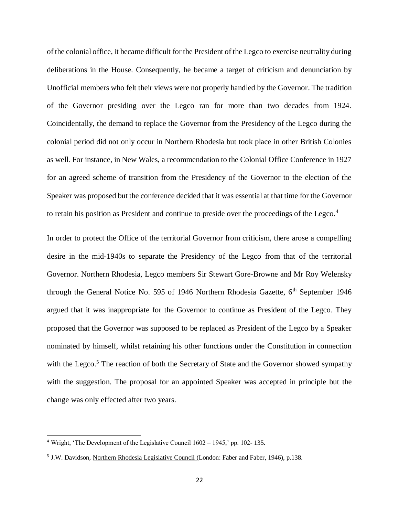of the colonial office, it became difficult for the President of the Legco to exercise neutrality during deliberations in the House. Consequently, he became a target of criticism and denunciation by Unofficial members who felt their views were not properly handled by the Governor. The tradition of the Governor presiding over the Legco ran for more than two decades from 1924. Coincidentally, the demand to replace the Governor from the Presidency of the Legco during the colonial period did not only occur in Northern Rhodesia but took place in other British Colonies as well. For instance, in New Wales, a recommendation to the Colonial Office Conference in 1927 for an agreed scheme of transition from the Presidency of the Governor to the election of the Speaker was proposed but the conference decided that it was essential at that time for the Governor to retain his position as President and continue to preside over the proceedings of the Legco.<sup>4</sup>

In order to protect the Office of the territorial Governor from criticism, there arose a compelling desire in the mid-1940s to separate the Presidency of the Legco from that of the territorial Governor. Northern Rhodesia, Legco members Sir Stewart Gore-Browne and Mr Roy Welensky through the General Notice No. 595 of 1946 Northern Rhodesia Gazette,  $6<sup>th</sup>$  September 1946 argued that it was inappropriate for the Governor to continue as President of the Legco. They proposed that the Governor was supposed to be replaced as President of the Legco by a Speaker nominated by himself, whilst retaining his other functions under the Constitution in connection with the Legco.<sup>5</sup> The reaction of both the Secretary of State and the Governor showed sympathy with the suggestion. The proposal for an appointed Speaker was accepted in principle but the change was only effected after two years.

<sup>4</sup> Wright, 'The Development of the Legislative Council 1602 – 1945,' pp. 102- 135.

<sup>&</sup>lt;sup>5</sup> J.W. Davidson, Northern Rhodesia Legislative Council (London: Faber and Faber, 1946), p.138.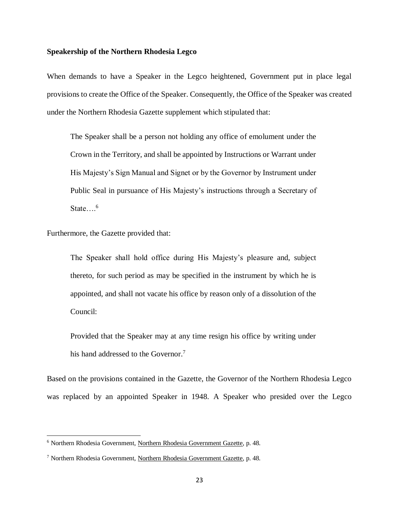## **Speakership of the Northern Rhodesia Legco**

When demands to have a Speaker in the Legco heightened, Government put in place legal provisions to create the Office of the Speaker. Consequently, the Office of the Speaker was created under the Northern Rhodesia Gazette supplement which stipulated that:

The Speaker shall be a person not holding any office of emolument under the Crown in the Territory, and shall be appointed by Instructions or Warrant under His Majesty's Sign Manual and Signet or by the Governor by Instrument under Public Seal in pursuance of His Majesty's instructions through a Secretary of State… $\frac{6}{10}$ 

Furthermore, the Gazette provided that:

 $\overline{a}$ 

The Speaker shall hold office during His Majesty's pleasure and, subject thereto, for such period as may be specified in the instrument by which he is appointed, and shall not vacate his office by reason only of a dissolution of the Council:

Provided that the Speaker may at any time resign his office by writing under his hand addressed to the Governor.<sup>7</sup>

Based on the provisions contained in the Gazette, the Governor of the Northern Rhodesia Legco was replaced by an appointed Speaker in 1948. A Speaker who presided over the Legco

<sup>&</sup>lt;sup>6</sup> Northern Rhodesia Government, Northern Rhodesia Government Gazette, p. 48.

<sup>7</sup> Northern Rhodesia Government, Northern Rhodesia Government Gazette, p. 48.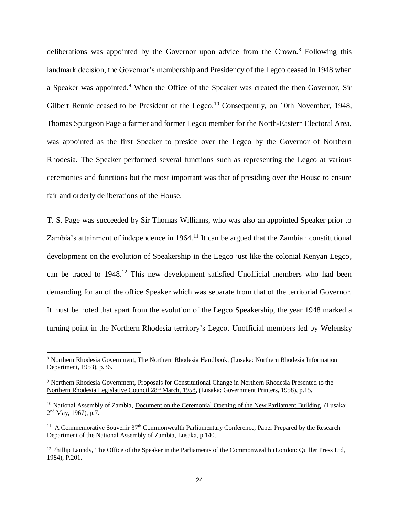deliberations was appointed by the Governor upon advice from the Crown.<sup>8</sup> Following this landmark decision, the Governor's membership and Presidency of the Legco ceased in 1948 when a Speaker was appointed.<sup>9</sup> When the Office of the Speaker was created the then Governor, Sir Gilbert Rennie ceased to be President of the Legco.<sup>10</sup> Consequently, on 10th November, 1948, Thomas Spurgeon Page a farmer and former Legco member for the North-Eastern Electoral Area, was appointed as the first Speaker to preside over the Legco by the Governor of Northern Rhodesia. The Speaker performed several functions such as representing the Legco at various ceremonies and functions but the most important was that of presiding over the House to ensure fair and orderly deliberations of the House.

T. S. Page was succeeded by Sir Thomas Williams, who was also an appointed Speaker prior to Zambia's attainment of independence in  $1964$ .<sup>11</sup> It can be argued that the Zambian constitutional development on the evolution of Speakership in the Legco just like the colonial Kenyan Legco, can be traced to 1948.<sup>12</sup> This new development satisfied Unofficial members who had been demanding for an of the office Speaker which was separate from that of the territorial Governor. It must be noted that apart from the evolution of the Legco Speakership, the year 1948 marked a turning point in the Northern Rhodesia territory's Legco. Unofficial members led by Welensky

<sup>8</sup> Northern Rhodesia Government, The Northern Rhodesia Handbook, (Lusaka: Northern Rhodesia Information Department, 1953), p.36.

<sup>9</sup> Northern Rhodesia Government, Proposals for Constitutional Change in Northern Rhodesia Presented to the Northern Rhodesia Legislative Council 28th March, 1958, (Lusaka: Government Printers, 1958), p.15.

<sup>&</sup>lt;sup>10</sup> National Assembly of Zambia, Document on the Ceremonial Opening of the New Parliament Building, (Lusaka: 2<sup>nd</sup> May, 1967), p.7.

<sup>&</sup>lt;sup>11</sup> A Commemorative Souvenir 37<sup>th</sup> Commonwealth Parliamentary Conference, Paper Prepared by the Research Department of the National Assembly of Zambia, Lusaka, p.140.

<sup>&</sup>lt;sup>12</sup> Phillip Laundy, The Office of the Speaker in the Parliaments of the Commonwealth (London: Quiller Press Ltd, 1984), P.201.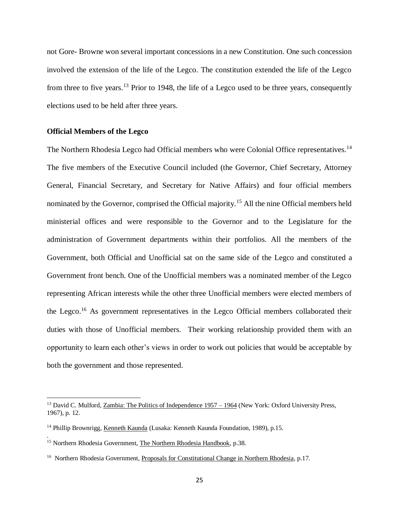not Gore- Browne won several important concessions in a new Constitution. One such concession involved the extension of the life of the Legco. The constitution extended the life of the Legco from three to five years.<sup>13</sup> Prior to 1948, the life of a Legco used to be three years, consequently elections used to be held after three years.

### **Official Members of the Legco**

 $\overline{a}$ 

.

<span id="page-35-0"></span>The Northern Rhodesia Legco had Official members who were Colonial Office representatives.<sup>14</sup> The five members of the Executive Council included (the Governor, Chief Secretary, Attorney General, Financial Secretary, and Secretary for Native Affairs) and four official members nominated by the Governor, comprised the Official majority.<sup>15</sup> All the nine Official members held ministerial offices and were responsible to the Governor and to the Legislature for the administration of Government departments within their portfolios. All the members of the Government, both Official and Unofficial sat on the same side of the Legco and constituted a Government front bench. One of the Unofficial members was a nominated member of the Legco representing African interests while the other three Unofficial members were elected members of the Legco.<sup>16</sup> As government representatives in the Legco Official members collaborated their duties with those of Unofficial members. Their working relationship provided them with an opportunity to learn each other's views in order to work out policies that would be acceptable by both the government and those represented.

<sup>&</sup>lt;sup>13</sup> David C. Mulford, Zambia: The Politics of Independence 1957 – 1964 (New York: Oxford University Press, 1967), p. 12.

<sup>&</sup>lt;sup>14</sup> Phillip Brownrigg, Kenneth Kaunda (Lusaka: Kenneth Kaunda Foundation, 1989), p.15.

<sup>&</sup>lt;sup>15</sup> Northern Rhodesia Government, The Northern Rhodesia Handbook, p.38.

<sup>&</sup>lt;sup>16</sup> Northern Rhodesia Government, Proposals for Constitutional Change in Northern Rhodesia, p.17.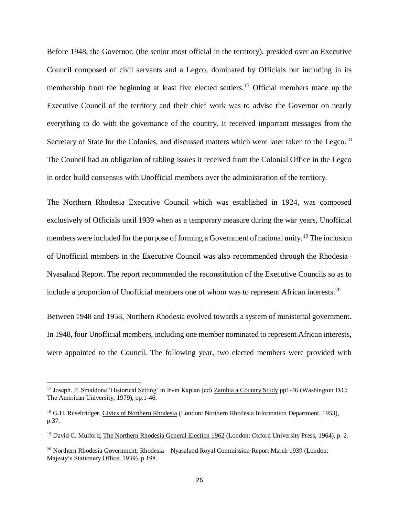Before 1948, the Governor, (the senior most official in the territory), presided over an Executive Council composed of civil servants and a Legco, dominated by Officials but including in its membership from the beginning at least five elected settlers.<sup>17</sup> Official members made up the Executive Council of the territory and their chief work was to advise the Governor on nearly everything to do with the governance of the country. It received important messages from the Secretary of State for the Colonies, and discussed matters which were later taken to the Legco.<sup>18</sup> The Council had an obligation of tabling issues it received from the Colonial Office in the Legco in order build consensus with Unofficial members over the administration of the territory.

The Northern Rhodesia Executive Council which was established in 1924, was composed exclusively of Officials until 1939 when as a temporary measure during the war years, Unofficial members were included for the purpose of forming a Government of national unity.<sup>19</sup> The inclusion of Unofficial members in the Executive Council was also recommended through the Rhodesia– Nyasaland Report. The report recommended the reconstitution of the Executive Councils so as to include a proportion of Unofficial members one of whom was to represent African interests.<sup>20</sup>

Between 1948 and 1958, Northern Rhodesia evolved towards a system of ministerial government. In 1948, four Unofficial members, including one member nominated to represent African interests, were appointed to the Council. The following year, two elected members were provided with

<sup>&</sup>lt;sup>17</sup> Joseph. P. Smaldone 'Historical Setting' in Irvin Kaplan (ed) Zambia a Country Study pp1-46 (Washington D.C: The American University, 1979), pp.1-46.

<sup>&</sup>lt;sup>18</sup> G.H. Rusebridger, Civics of Northern Rhodesia (London: Northern Rhodesia Information Department, 1953), p.37.

<sup>&</sup>lt;sup>19</sup> David C. Mulford, The Northern Rhodesia General Election 1962 (London: Oxford University Press, 1964), p. 2.

<sup>&</sup>lt;sup>20</sup> Northern Rhodesia Government, <u>Rhodesia – Nyasaland Royal Commission Report March 1939</u> (London: Majesty's Stationery Office, 1939), p.198.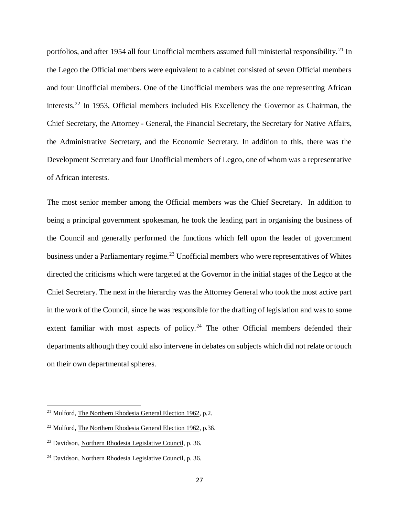portfolios, and after 1954 all four Unofficial members assumed full ministerial responsibility.<sup>21</sup> In the Legco the Official members were equivalent to a cabinet consisted of seven Official members and four Unofficial members. One of the Unofficial members was the one representing African interests.<sup>22</sup> In 1953, Official members included His Excellency the Governor as Chairman, the Chief Secretary, the Attorney - General, the Financial Secretary, the Secretary for Native Affairs, the Administrative Secretary, and the Economic Secretary. In addition to this, there was the Development Secretary and four Unofficial members of Legco, one of whom was a representative of African interests.

The most senior member among the Official members was the Chief Secretary. In addition to being a principal government spokesman, he took the leading part in organising the business of the Council and generally performed the functions which fell upon the leader of government business under a Parliamentary regime.<sup>23</sup> Unofficial members who were representatives of Whites directed the criticisms which were targeted at the Governor in the initial stages of the Legco at the Chief Secretary. The next in the hierarchy was the Attorney General who took the most active part in the work of the Council, since he was responsible for the drafting of legislation and was to some extent familiar with most aspects of policy.<sup>24</sup> The other Official members defended their departments although they could also intervene in debates on subjects which did not relate or touch on their own departmental spheres.

<sup>&</sup>lt;sup>21</sup> Mulford, The Northern Rhodesia General Election 1962, p.2.

<sup>22</sup> Mulford, The Northern Rhodesia General Election 1962, p.36.

<sup>23</sup> Davidson, Northern Rhodesia Legislative Council, p. 36.

<sup>24</sup> Davidson, Northern Rhodesia Legislative Council, p. 36.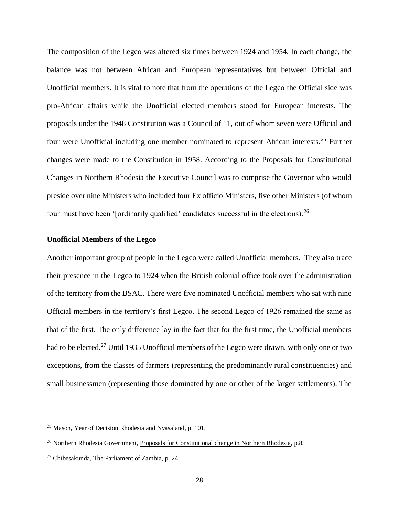The composition of the Legco was altered six times between 1924 and 1954. In each change, the balance was not between African and European representatives but between Official and Unofficial members. It is vital to note that from the operations of the Legco the Official side was pro-African affairs while the Unofficial elected members stood for European interests. The proposals under the 1948 Constitution was a Council of 11, out of whom seven were Official and four were Unofficial including one member nominated to represent African interests.<sup>25</sup> Further changes were made to the Constitution in 1958. According to the Proposals for Constitutional Changes in Northern Rhodesia the Executive Council was to comprise the Governor who would preside over nine Ministers who included four Ex officio Ministers, five other Ministers (of whom four must have been '[ordinarily qualified' candidates successful in the elections).<sup>26</sup>

# **Unofficial Members of the Legco**

Another important group of people in the Legco were called Unofficial members. They also trace their presence in the Legco to 1924 when the British colonial office took over the administration of the territory from the BSAC. There were five nominated Unofficial members who sat with nine Official members in the territory's first Legco. The second Legco of 1926 remained the same as that of the first. The only difference lay in the fact that for the first time, the Unofficial members had to be elected.<sup>27</sup> Until 1935 Unofficial members of the Legco were drawn, with only one or two exceptions, from the classes of farmers (representing the predominantly rural constituencies) and small businessmen (representing those dominated by one or other of the larger settlements). The

<sup>25</sup> Mason, Year of Decision Rhodesia and Nyasaland, p. 101.

 $^{26}$  Northern Rhodesia Government, Proposals for Constitutional change in Northern Rhodesia, p.8.

<sup>27</sup> Chibesakunda, The Parliament of Zambia, p. 24.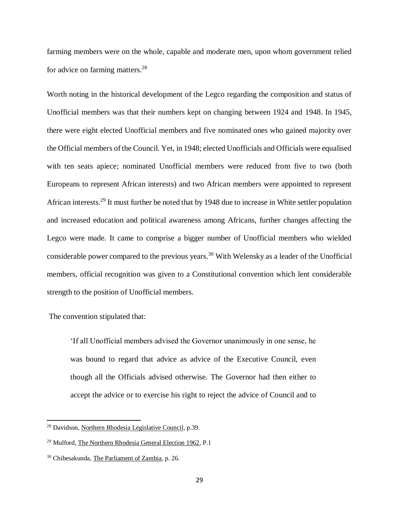farming members were on the whole, capable and moderate men, upon whom government relied for advice on farming matters.<sup>28</sup>

Worth noting in the historical development of the Legco regarding the composition and status of Unofficial members was that their numbers kept on changing between 1924 and 1948. In 1945, there were eight elected Unofficial members and five nominated ones who gained majority over the Official members of the Council. Yet, in 1948; elected Unofficials and Officials were equalised with ten seats apiece; nominated Unofficial members were reduced from five to two (both Europeans to represent African interests) and two African members were appointed to represent African interests.<sup>29</sup> It must further be noted that by 1948 due to increase in White settler population and increased education and political awareness among Africans, further changes affecting the Legco were made. It came to comprise a bigger number of Unofficial members who wielded considerable power compared to the previous years.<sup>30</sup> With Welensky as a leader of the Unofficial members, official recognition was given to a Constitutional convention which lent considerable strength to the position of Unofficial members.

# The convention stipulated that:

 $\overline{\phantom{a}}$ 

'If all Unofficial members advised the Governor unanimously in one sense, he was bound to regard that advice as advice of the Executive Council, even though all the Officials advised otherwise. The Governor had then either to accept the advice or to exercise his right to reject the advice of Council and to

<sup>28</sup> Davidson, Northern Rhodesia Legislative Council, p.39.

<sup>29</sup> Mulford, The Northern Rhodesia General Election 1962, P.1

<sup>30</sup> Chibesakunda, The Parliament of Zambia, p. 26.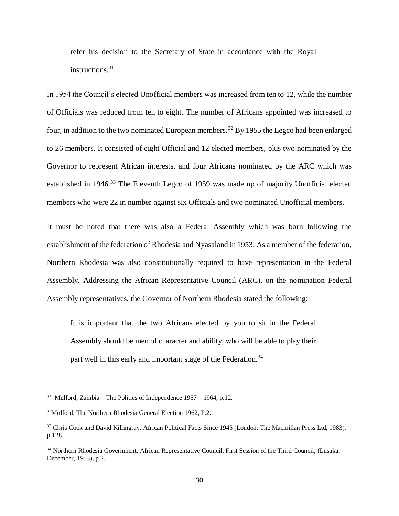refer his decision to the Secretary of State in accordance with the Royal instructions.<sup>31</sup>

In 1954 the Council's elected Unofficial members was increased from ten to 12, while the number of Officials was reduced from ten to eight. The number of Africans appointed was increased to four, in addition to the two nominated European members.<sup>32</sup> By 1955 the Legco had been enlarged to 26 members. It consisted of eight Official and 12 elected members, plus two nominated by the Governor to represent African interests, and four Africans nominated by the ARC which was established in 1946.<sup>33</sup> The Eleventh Legco of 1959 was made up of majority Unofficial elected members who were 22 in number against six Officials and two nominated Unofficial members.

It must be noted that there was also a Federal Assembly which was born following the establishment of the federation of Rhodesia and Nyasaland in 1953. As a member of the federation, Northern Rhodesia was also constitutionally required to have representation in the Federal Assembly. Addressing the African Representative Council (ARC), on the nomination Federal Assembly representatives, the Governor of Northern Rhodesia stated the following:

It is important that the two Africans elected by you to sit in the Federal Assembly should be men of character and ability, who will be able to play their part well in this early and important stage of the Federation.<sup>34</sup>

<sup>&</sup>lt;sup>31</sup> Mulford, <u>Zambia – The Politics of Independence 1957 – 1964</u>, p.12.

<sup>32</sup>Mulford, The Northern Rhodesia General Election 1962, P.2.

<sup>&</sup>lt;sup>33</sup> Chris Cook and David Killingray, African Political Facts Since 1945 (London: The Macmillan Press Ltd, 1983), p.128.

<sup>34</sup> Northern Rhodesia Government, African Representative Council, First Session of the Third Council, (Lusaka: December, 1953), p.2.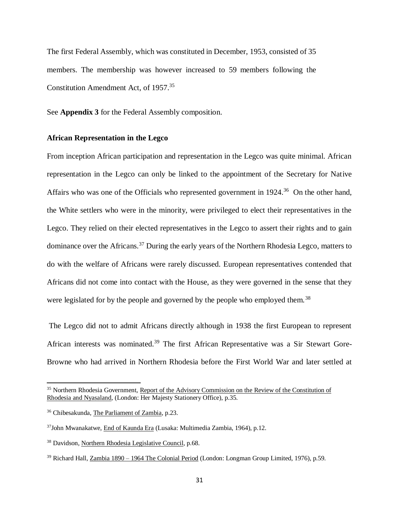The first Federal Assembly, which was constituted in December, 1953, consisted of 35 members. The membership was however increased to 59 members following the Constitution Amendment Act, of 1957.<sup>35</sup>

See **Appendix 3** for the Federal Assembly composition.

# **African Representation in the Legco**

From inception African participation and representation in the Legco was quite minimal. African representation in the Legco can only be linked to the appointment of the Secretary for Native Affairs who was one of the Officials who represented government in 1924.<sup>36</sup> On the other hand, the White settlers who were in the minority, were privileged to elect their representatives in the Legco. They relied on their elected representatives in the Legco to assert their rights and to gain dominance over the Africans.<sup>37</sup> During the early years of the Northern Rhodesia Legco, matters to do with the welfare of Africans were rarely discussed. European representatives contended that Africans did not come into contact with the House, as they were governed in the sense that they were legislated for by the people and governed by the people who employed them.<sup>38</sup>

The Legco did not to admit Africans directly although in 1938 the first European to represent African interests was nominated.<sup>39</sup> The first African Representative was a Sir Stewart Gore-Browne who had arrived in Northern Rhodesia before the First World War and later settled at

<sup>35</sup> Northern Rhodesia Government, Report of the Advisory Commission on the Review of the Constitution of Rhodesia and Nyasaland, (London: Her Majesty Stationery Office), p.35.

<sup>36</sup> Chibesakunda, The Parliament of Zambia, p.23.

<sup>37</sup>John Mwanakatwe, End of Kaunda Era (Lusaka: Multimedia Zambia, 1964), p.12.

<sup>38</sup> Davidson, Northern Rhodesia Legislative Council, p.68.

<sup>&</sup>lt;sup>39</sup> Richard Hall, Zambia 1890 – 1964 The Colonial Period (London: Longman Group Limited, 1976), p.59.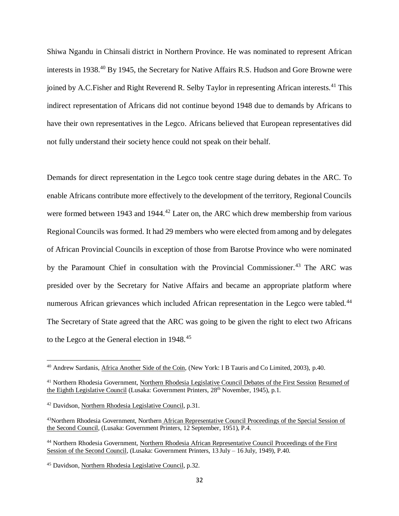Shiwa Ngandu in Chinsali district in Northern Province. He was nominated to represent African interests in 1938.<sup>40</sup> By 1945, the Secretary for Native Affairs R.S. Hudson and Gore Browne were joined by A.C.Fisher and Right Reverend R. Selby Taylor in representing African interests.<sup>41</sup> This indirect representation of Africans did not continue beyond 1948 due to demands by Africans to have their own representatives in the Legco. Africans believed that European representatives did not fully understand their society hence could not speak on their behalf.

Demands for direct representation in the Legco took centre stage during debates in the ARC. To enable Africans contribute more effectively to the development of the territory, Regional Councils were formed between 1943 and 1944.<sup>42</sup> Later on, the ARC which drew membership from various Regional Councils was formed. It had 29 members who were elected from among and by delegates of African Provincial Councils in exception of those from Barotse Province who were nominated by the Paramount Chief in consultation with the Provincial Commissioner.<sup>43</sup> The ARC was presided over by the Secretary for Native Affairs and became an appropriate platform where numerous African grievances which included African representation in the Legco were tabled.<sup>44</sup> The Secretary of State agreed that the ARC was going to be given the right to elect two Africans to the Legco at the General election in 1948.<sup>45</sup>

<sup>40</sup> Andrew Sardanis, Africa Another Side of the Coin, (New York: I B Tauris and Co Limited, 2003), p.40.

<sup>&</sup>lt;sup>41</sup> Northern Rhodesia Government, Northern Rhodesia Legislative Council Debates of the First Session Resumed of the Eighth Legislative Council (Lusaka: Government Printers, 28<sup>th</sup> November, 1945), p.1.

<sup>42</sup> Davidson, Northern Rhodesia Legislative Council, p.31.

<sup>43</sup>Northern Rhodesia Government, Northern African Representative Council Proceedings of the Special Session of the Second Council, (Lusaka: Government Printers, 12 September, 1951), P.4.

<sup>44</sup> Northern Rhodesia Government, Northern Rhodesia African Representative Council Proceedings of the First Session of the Second Council, (Lusaka: Government Printers, 13 July – 16 July, 1949), P.40.

<sup>45</sup> Davidson, Northern Rhodesia Legislative Council, p.32.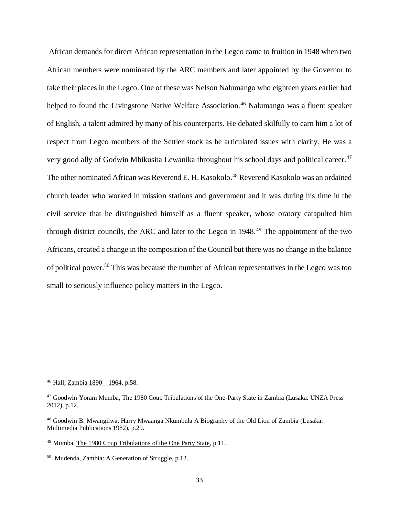African demands for direct African representation in the Legco came to fruition in 1948 when two African members were nominated by the ARC members and later appointed by the Governor to take their places in the Legco. One of these was Nelson Nalumango who eighteen years earlier had helped to found the Livingstone Native Welfare Association.<sup>46</sup> Nalumango was a fluent speaker of English, a talent admired by many of his counterparts. He debated skilfully to earn him a lot of respect from Legco members of the Settler stock as he articulated issues with clarity. He was a very good ally of Godwin Mbikusita Lewanika throughout his school days and political career.<sup>47</sup> The other nominated African was Reverend E. H. Kasokolo.<sup>48</sup> Reverend Kasokolo was an ordained church leader who worked in mission stations and government and it was during his time in the civil service that he distinguished himself as a fluent speaker, whose oratory catapulted him through district councils, the ARC and later to the Legco in 1948.<sup>49</sup> The appointment of the two Africans, created a change in the composition of the Council but there was no change in the balance of political power.<sup>50</sup> This was because the number of African representatives in the Legco was too small to seriously influence policy matters in the Legco.

<sup>46</sup> Hall, Zambia 1890 – 1964, p.58.

<sup>&</sup>lt;sup>47</sup> Goodwin Yoram Mumba, The 1980 Coup Tribulations of the One-Party State in Zambia (Lusaka: UNZA Press 2012), p.12.

<sup>48</sup> Goodwin B. Mwangilwa, Harry Mwaanga Nkumbula A Biography of the Old Lion of Zambia (Lusaka: Multimedia Publications 1982), p.29.

<sup>49</sup> Mumba, The 1980 Coup Tribulations of the One Party State, p.11.

<sup>&</sup>lt;sup>50</sup> Mudenda, Zambia: A Generation of Struggle, p.12.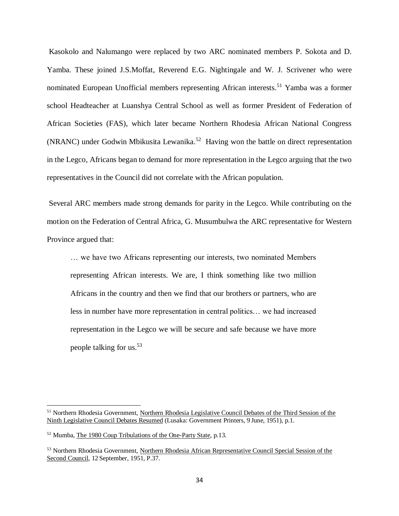Kasokolo and Nalumango were replaced by two ARC nominated members P. Sokota and D. Yamba. These joined J.S.Moffat, Reverend E.G. Nightingale and W. J. Scrivener who were nominated European Unofficial members representing African interests.<sup>51</sup> Yamba was a former school Headteacher at Luanshya Central School as well as former President of Federation of African Societies (FAS), which later became Northern Rhodesia African National Congress (NRANC) under Godwin Mbikusita Lewanika. 52 Having won the battle on direct representation in the Legco, Africans began to demand for more representation in the Legco arguing that the two representatives in the Council did not correlate with the African population.

Several ARC members made strong demands for parity in the Legco. While contributing on the motion on the Federation of Central Africa, G. Musumbulwa the ARC representative for Western Province argued that:

… we have two Africans representing our interests, two nominated Members representing African interests. We are, I think something like two million Africans in the country and then we find that our brothers or partners, who are less in number have more representation in central politics… we had increased representation in the Legco we will be secure and safe because we have more people talking for us. 53

<sup>51</sup> Northern Rhodesia Government, Northern Rhodesia Legislative Council Debates of the Third Session of the Ninth Legislative Council Debates Resumed (Lusaka: Government Printers, 9 June, 1951), p.1.

<sup>52</sup> Mumba, The 1980 Coup Tribulations of the One-Party State, p.13.

<sup>53</sup> Northern Rhodesia Government, Northern Rhodesia African Representative Council Special Session of the Second Council, 12 September, 1951, P.37.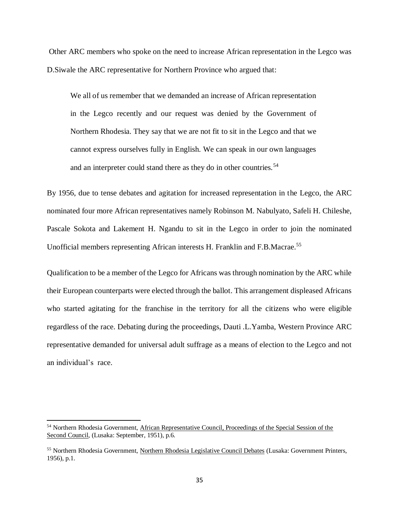Other ARC members who spoke on the need to increase African representation in the Legco was D.Siwale the ARC representative for Northern Province who argued that:

We all of us remember that we demanded an increase of African representation in the Legco recently and our request was denied by the Government of Northern Rhodesia. They say that we are not fit to sit in the Legco and that we cannot express ourselves fully in English. We can speak in our own languages and an interpreter could stand there as they do in other countries.<sup>54</sup>

By 1956, due to tense debates and agitation for increased representation in the Legco, the ARC nominated four more African representatives namely Robinson M. Nabulyato, Safeli H. Chileshe, Pascale Sokota and Lakement H. Ngandu to sit in the Legco in order to join the nominated Unofficial members representing African interests H. Franklin and F.B.Macrae.<sup>55</sup>

Qualification to be a member of the Legco for Africans was through nomination by the ARC while their European counterparts were elected through the ballot. This arrangement displeased Africans who started agitating for the franchise in the territory for all the citizens who were eligible regardless of the race. Debating during the proceedings, Dauti .L.Yamba, Western Province ARC representative demanded for universal adult suffrage as a means of election to the Legco and not an individual's race.

<sup>54</sup> Northern Rhodesia Government, African Representative Council, Proceedings of the Special Session of the Second Council, (Lusaka: September, 1951), p.6.

<sup>&</sup>lt;sup>55</sup> Northern Rhodesia Government, Northern Rhodesia Legislative Council Debates (Lusaka: Government Printers, 1956), p.1.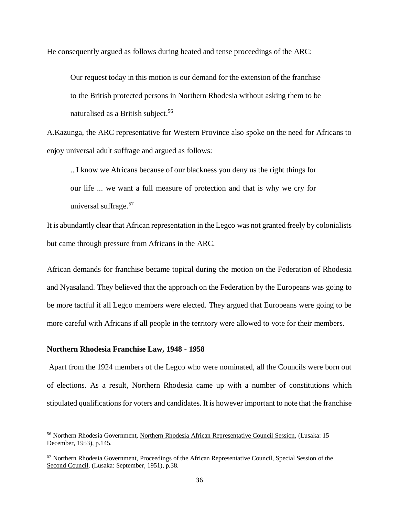He consequently argued as follows during heated and tense proceedings of the ARC:

Our request today in this motion is our demand for the extension of the franchise to the British protected persons in Northern Rhodesia without asking them to be naturalised as a British subject.<sup>56</sup>

A.Kazunga, the ARC representative for Western Province also spoke on the need for Africans to enjoy universal adult suffrage and argued as follows:

.. I know we Africans because of our blackness you deny us the right things for our life ... we want a full measure of protection and that is why we cry for universal suffrage.<sup>57</sup>

It is abundantly clear that African representation in the Legco was not granted freely by colonialists but came through pressure from Africans in the ARC.

African demands for franchise became topical during the motion on the Federation of Rhodesia and Nyasaland. They believed that the approach on the Federation by the Europeans was going to be more tactful if all Legco members were elected. They argued that Europeans were going to be more careful with Africans if all people in the territory were allowed to vote for their members.

### **Northern Rhodesia Franchise Law, 1948 - 1958**

 $\overline{\phantom{a}}$ 

Apart from the 1924 members of the Legco who were nominated, all the Councils were born out of elections. As a result, Northern Rhodesia came up with a number of constitutions which stipulated qualifications for voters and candidates. It is however important to note that the franchise

<sup>56</sup> Northern Rhodesia Government, Northern Rhodesia African Representative Council Session, (Lusaka: 15 December, 1953), p.145.

<sup>&</sup>lt;sup>57</sup> Northern Rhodesia Government, Proceedings of the African Representative Council, Special Session of the Second Council, (Lusaka: September, 1951), p.38.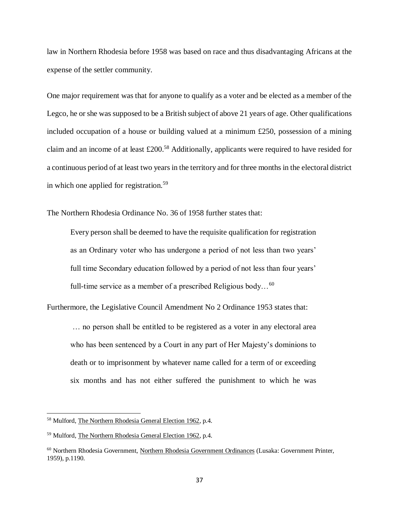law in Northern Rhodesia before 1958 was based on race and thus disadvantaging Africans at the expense of the settler community.

One major requirement was that for anyone to qualify as a voter and be elected as a member of the Legco, he or she was supposed to be a British subject of above 21 years of age. Other qualifications included occupation of a house or building valued at a minimum £250, possession of a mining claim and an income of at least  $\pounds 200$ <sup>58</sup> Additionally, applicants were required to have resided for a continuous period of at least two years in the territory and for three months in the electoral district in which one applied for registration.<sup>59</sup>

The Northern Rhodesia Ordinance No. 36 of 1958 further states that:

Every person shall be deemed to have the requisite qualification for registration as an Ordinary voter who has undergone a period of not less than two years' full time Secondary education followed by a period of not less than four years' full-time service as a member of a prescribed Religious body...<sup>60</sup>

Furthermore, the Legislative Council Amendment No 2 Ordinance 1953 states that: … no person shall be entitled to be registered as a voter in any electoral area who has been sentenced by a Court in any part of Her Majesty's dominions to death or to imprisonment by whatever name called for a term of or exceeding six months and has not either suffered the punishment to which he was

<sup>58</sup> Mulford, The Northern Rhodesia General Election 1962, p.4.

<sup>59</sup> Mulford, The Northern Rhodesia General Election 1962, p.4.

<sup>60</sup> Northern Rhodesia Government, Northern Rhodesia Government Ordinances (Lusaka: Government Printer, 1959), p.1190.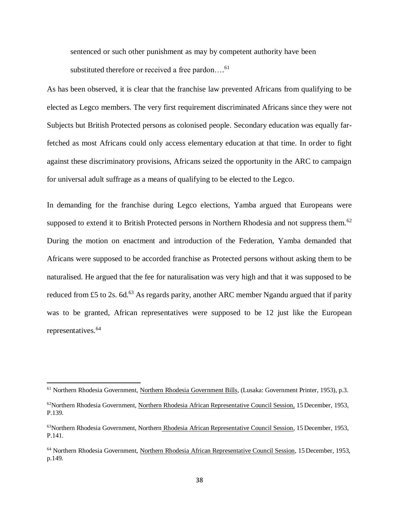sentenced or such other punishment as may by competent authority have been substituted therefore or received a free pardon....<sup>61</sup>

As has been observed, it is clear that the franchise law prevented Africans from qualifying to be elected as Legco members. The very first requirement discriminated Africans since they were not Subjects but British Protected persons as colonised people. Secondary education was equally farfetched as most Africans could only access elementary education at that time. In order to fight against these discriminatory provisions, Africans seized the opportunity in the ARC to campaign for universal adult suffrage as a means of qualifying to be elected to the Legco.

In demanding for the franchise during Legco elections, Yamba argued that Europeans were supposed to extend it to British Protected persons in Northern Rhodesia and not suppress them.<sup>62</sup> During the motion on enactment and introduction of the Federation, Yamba demanded that Africans were supposed to be accorded franchise as Protected persons without asking them to be naturalised. He argued that the fee for naturalisation was very high and that it was supposed to be reduced from £5 to 2s. 6d.<sup>63</sup> As regards parity, another ARC member Ngandu argued that if parity was to be granted, African representatives were supposed to be 12 just like the European representatives.<sup>64</sup>

<sup>61</sup> Northern Rhodesia Government, Northern Rhodesia Government Bills, (Lusaka: Government Printer, 1953), p.3.

<sup>&</sup>lt;sup>62</sup>Northern Rhodesia Government, Northern Rhodesia African Representative Council Session, 15 December, 1953, P.139.

<sup>63</sup>Northern Rhodesia Government, Northern Rhodesia African Representative Council Session, 15 December, 1953, P.141.

<sup>64</sup> Northern Rhodesia Government, Northern Rhodesia African Representative Council Session, 15 December, 1953, p.149.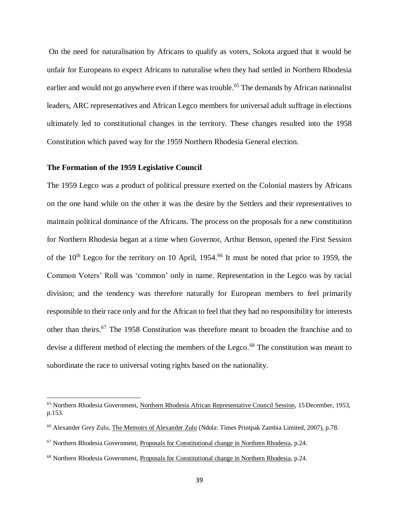On the need for naturalisation by Africans to qualify as voters, Sokota argued that it would be unfair for Europeans to expect Africans to naturalise when they had settled in Northern Rhodesia earlier and would not go anywhere even if there was trouble.<sup>65</sup> The demands by African nationalist leaders, ARC representatives and African Legco members for universal adult suffrage in elections ultimately led to constitutional changes in the territory. These changes resulted into the 1958 Constitution which paved way for the 1959 Northern Rhodesia General election.

### **The Formation of the 1959 Legislative Council**

 $\overline{a}$ 

The 1959 Legco was a product of political pressure exerted on the Colonial masters by Africans on the one hand while on the other it was the desire by the Settlers and their representatives to maintain political dominance of the Africans. The process on the proposals for a new constitution for Northern Rhodesia began at a time when Governor, Arthur Benson, opened the First Session of the  $10<sup>th</sup>$  Legco for the territory on 10 April, 1954.<sup>66</sup> It must be noted that prior to 1959, the Common Voters' Roll was 'common' only in name. Representation in the Legco was by racial division; and the tendency was therefore naturally for European members to feel primarily responsible to their race only and for the African to feel that they had no responsibility for interests other than theirs. <sup>67</sup> The 1958 Constitution was therefore meant to broaden the franchise and to devise a different method of electing the members of the Legco.<sup>68</sup> The constitution was meant to subordinate the race to universal voting rights based on the nationality.

<sup>&</sup>lt;sup>65</sup> Northern Rhodesia Government, Northern Rhodesia African Representative Council Session, 15 December, 1953, p.153.

<sup>66</sup> Alexander Grey Zulu, The Memoirs of Alexander Zulu (Ndola: Times Printpak Zambia Limited, 2007), p.78.

 $67$  Northern Rhodesia Government, Proposals for Constitutional change in Northern Rhodesia, p.24.

<sup>68</sup> Northern Rhodesia Government, Proposals for Constitutional change in Northern Rhodesia, p.24.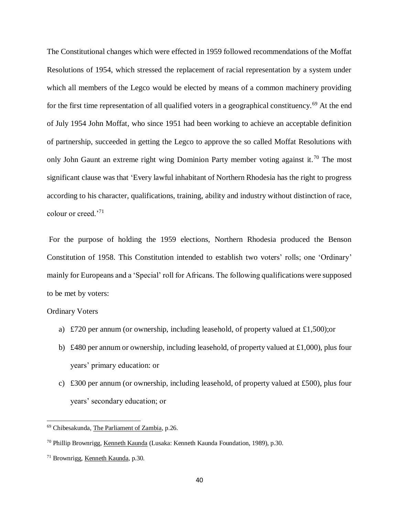The Constitutional changes which were effected in 1959 followed recommendations of the Moffat Resolutions of 1954, which stressed the replacement of racial representation by a system under which all members of the Legco would be elected by means of a common machinery providing for the first time representation of all qualified voters in a geographical constituency.<sup>69</sup> At the end of July 1954 John Moffat, who since 1951 had been working to achieve an acceptable definition of partnership, succeeded in getting the Legco to approve the so called Moffat Resolutions with only John Gaunt an extreme right wing Dominion Party member voting against it.<sup>70</sup> The most significant clause was that 'Every lawful inhabitant of Northern Rhodesia has the right to progress according to his character, qualifications, training, ability and industry without distinction of race, colour or creed.'<sup>71</sup>

For the purpose of holding the 1959 elections, Northern Rhodesia produced the Benson Constitution of 1958. This Constitution intended to establish two voters' rolls; one 'Ordinary' mainly for Europeans and a 'Special' roll for Africans. The following qualifications were supposed to be met by voters:

### Ordinary Voters

- a) £720 per annum (or ownership, including leasehold, of property valued at £1,500);or
- b) £480 per annum or ownership, including leasehold, of property valued at £1,000), plus four years' primary education: or
- c) £300 per annum (or ownership, including leasehold, of property valued at £500), plus four years' secondary education; or

<sup>69</sup> Chibesakunda, The Parliament of Zambia, p.26.

<sup>70</sup> Phillip Brownrigg, Kenneth Kaunda (Lusaka: Kenneth Kaunda Foundation, 1989), p.30.

<sup>71</sup> Brownrigg, Kenneth Kaunda, p.30.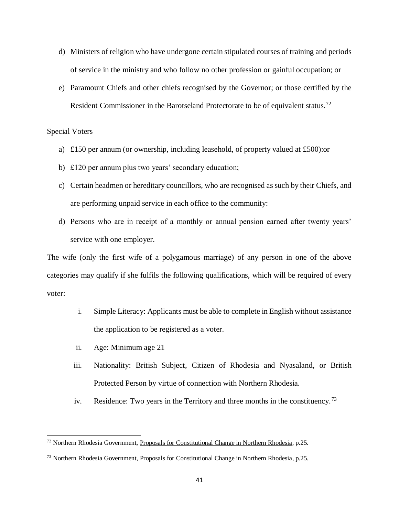- d) Ministers of religion who have undergone certain stipulated courses of training and periods of service in the ministry and who follow no other profession or gainful occupation; or
- e) Paramount Chiefs and other chiefs recognised by the Governor; or those certified by the Resident Commissioner in the Barotseland Protectorate to be of equivalent status.<sup>72</sup>

### Special Voters

 $\overline{a}$ 

- a) £150 per annum (or ownership, including leasehold, of property valued at £500):or
- b) £120 per annum plus two years' secondary education;
- c) Certain headmen or hereditary councillors, who are recognised as such by their Chiefs, and are performing unpaid service in each office to the community:
- d) Persons who are in receipt of a monthly or annual pension earned after twenty years' service with one employer.

The wife (only the first wife of a polygamous marriage) of any person in one of the above categories may qualify if she fulfils the following qualifications, which will be required of every voter:

- i. Simple Literacy: Applicants must be able to complete in English without assistance the application to be registered as a voter.
- ii. Age: Minimum age 21
- iii. Nationality: British Subject, Citizen of Rhodesia and Nyasaland, or British Protected Person by virtue of connection with Northern Rhodesia.
- iv. Residence: Two years in the Territory and three months in the constituency.<sup>73</sup>

 $72$  Northern Rhodesia Government, Proposals for Constitutional Change in Northern Rhodesia, p.25.

<sup>73</sup> Northern Rhodesia Government, Proposals for Constitutional Change in Northern Rhodesia, p.25.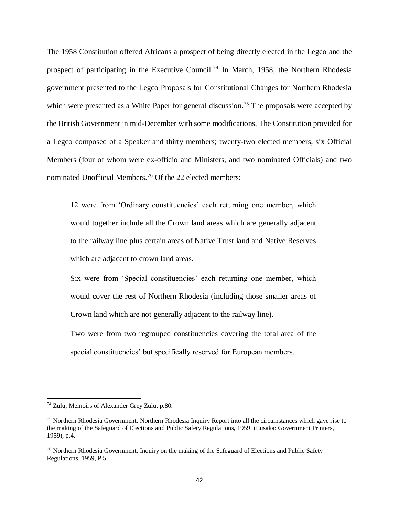The 1958 Constitution offered Africans a prospect of being directly elected in the Legco and the prospect of participating in the Executive Council.<sup>74</sup> In March, 1958, the Northern Rhodesia government presented to the Legco Proposals for Constitutional Changes for Northern Rhodesia which were presented as a White Paper for general discussion.<sup>75</sup> The proposals were accepted by the British Government in mid-December with some modifications. The Constitution provided for a Legco composed of a Speaker and thirty members; twenty-two elected members, six Official Members (four of whom were ex-officio and Ministers, and two nominated Officials) and two nominated Unofficial Members.<sup>76</sup> Of the 22 elected members:

12 were from 'Ordinary constituencies' each returning one member, which would together include all the Crown land areas which are generally adjacent to the railway line plus certain areas of Native Trust land and Native Reserves which are adjacent to crown land areas.

Six were from 'Special constituencies' each returning one member, which would cover the rest of Northern Rhodesia (including those smaller areas of Crown land which are not generally adjacent to the railway line).

Two were from two regrouped constituencies covering the total area of the special constituencies' but specifically reserved for European members.

<sup>74</sup> Zulu, Memoirs of Alexander Grey Zulu, p.80.

<sup>&</sup>lt;sup>75</sup> Northern Rhodesia Government, Northern Rhodesia Inquiry Report into all the circumstances which gave rise to the making of the Safeguard of Elections and Public Safety Regulations, 1959, (Lusaka: Government Printers, 1959), p.4.

 $76$  Northern Rhodesia Government, Inquiry on the making of the Safeguard of Elections and Public Safety Regulations, 1959, P.5.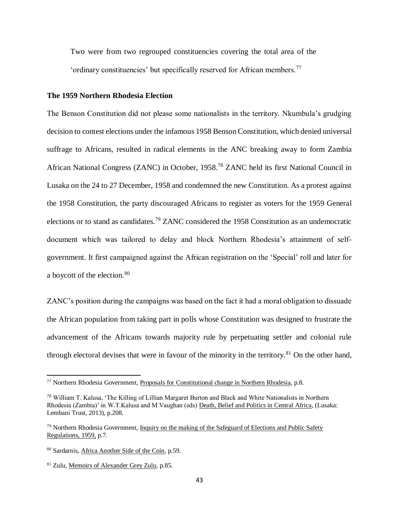Two were from two regrouped constituencies covering the total area of the 'ordinary constituencies' but specifically reserved for African members.<sup>77</sup>

### **The 1959 Northern Rhodesia Election**

The Benson Constitution did not please some nationalists in the territory. Nkumbula's grudging decision to contest elections under the infamous 1958 Benson Constitution, which denied universal suffrage to Africans, resulted in radical elements in the ANC breaking away to form Zambia African National Congress (ZANC) in October, 1958.<sup>78</sup> ZANC held its first National Council in Lusaka on the 24 to 27 December, 1958 and condemned the new Constitution. As a protest against the 1958 Constitution, the party discouraged Africans to register as voters for the 1959 General elections or to stand as candidates.<sup>79</sup> ZANC considered the 1958 Constitution as an undemocratic document which was tailored to delay and block Northern Rhodesia's attainment of selfgovernment. It first campaigned against the African registration on the 'Special' roll and later for a boycott of the election.<sup>80</sup>

ZANC's position during the campaigns was based on the fact it had a moral obligation to dissuade the African population from taking part in polls whose Constitution was designed to frustrate the advancement of the Africans towards majority rule by perpetuating settler and colonial rule through electoral devises that were in favour of the minority in the territory.<sup>81</sup> On the other hand,

<sup>77</sup> Northern Rhodesia Government, Proposals for Constitutional change in Northern Rhodesia, p.8.

<sup>78</sup> William T. Kalusa, 'The Killing of Lillian Margaret Burton and Black and White Nationalists in Northern Rhodesia (Zambia)' in W.T.Kalusa and M Vaughan (eds) Death, Belief and Politics in Central Africa, (Lusaka: Lembani Trust, 2013), p.208.

 $79$  Northern Rhodesia Government, Inquiry on the making of the Safeguard of Elections and Public Safety Regulations, 1959, p.7.

<sup>80</sup> Sardarnis, Africa Another Side of the Coin, p.59.

<sup>81</sup> Zulu, Memoirs of Alexander Grey Zulu, p.85.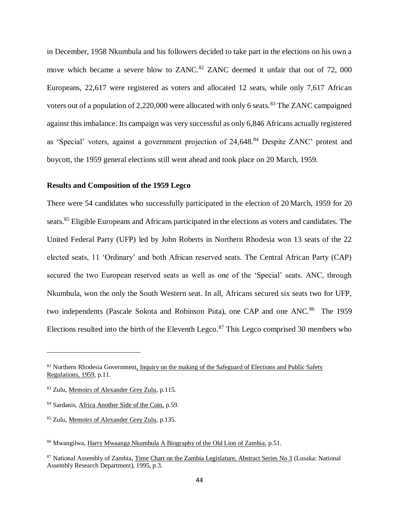in December, 1958 Nkumbula and his followers decided to take part in the elections on his own a move which became a severe blow to ZANC.<sup>82</sup> ZANC deemed it unfair that out of 72, 000 Europeans, 22,617 were registered as voters and allocated 12 seats, while only 7,617 African voters out of a population of 2,220,000 were allocated with only 6 seats.<sup>83</sup> The ZANC campaigned against this imbalance. Its campaign was very successful as only 6,846 Africans actually registered as 'Special' voters, against a government projection of 24,648.<sup>84</sup> Despite ZANC' protest and boycott, the 1959 general elections still went ahead and took place on 20 March, 1959.

### **Results and Composition of the 1959 Legco**

There were 54 candidates who successfully participated in the election of 20 March, 1959 for 20 seats.<sup>85</sup> Eligible Europeans and Africans participated in the elections as voters and candidates. The United Federal Party (UFP) led by John Roberts in Northern Rhodesia won 13 seats of the 22 elected seats, 11 'Ordinary' and both African reserved seats. The Central African Party (CAP) secured the two European reserved seats as well as one of the 'Special' seats. ANC, through Nkumbula, won the only the South Western seat. In all, Africans secured six seats two for UFP, two independents (Pascale Sokota and Robinson Puta), one CAP and one ANC.<sup>86</sup> The 1959 Elections resulted into the birth of the Eleventh Legco.<sup>87</sup> This Legco comprised 30 members who

<sup>&</sup>lt;sup>82</sup> Northern Rhodesia Government, Inquiry on the making of the Safeguard of Elections and Public Safety Regulations, 1959, p.11.

<sup>83</sup> Zulu, Memoirs of Alexander Grey Zulu, p.115.

<sup>84</sup> Sardanis, Africa Another Side of the Coin, p.59.

<sup>85</sup> Zulu, Memoirs of Alexander Grey Zulu, p.135.

<sup>86</sup> Mwangilwa, Harry Mwaanga Nkumbula A Biography of the Old Lion of Zambia, p.51.

<sup>&</sup>lt;sup>87</sup> National Assembly of Zambia, Time Chart on the Zambia Legislature, Abstract Series No 3 (Lusaka: National Assembly Research Department), 1995, p.3.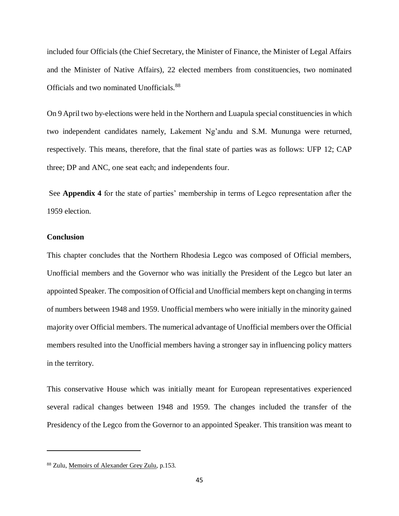included four Officials (the Chief Secretary, the Minister of Finance, the Minister of Legal Affairs and the Minister of Native Affairs), 22 elected members from constituencies, two nominated Officials and two nominated Unofficials.<sup>88</sup>

On 9 April two by-elections were held in the Northern and Luapula special constituencies in which two independent candidates namely, Lakement Ng'andu and S.M. Mununga were returned, respectively. This means, therefore, that the final state of parties was as follows: UFP 12; CAP three; DP and ANC, one seat each; and independents four.

See **Appendix 4** for the state of parties' membership in terms of Legco representation after the 1959 election.

# **Conclusion**

 $\overline{\phantom{a}}$ 

This chapter concludes that the Northern Rhodesia Legco was composed of Official members, Unofficial members and the Governor who was initially the President of the Legco but later an appointed Speaker. The composition of Official and Unofficial members kept on changing in terms of numbers between 1948 and 1959. Unofficial members who were initially in the minority gained majority over Official members. The numerical advantage of Unofficial members over the Official members resulted into the Unofficial members having a stronger say in influencing policy matters in the territory.

This conservative House which was initially meant for European representatives experienced several radical changes between 1948 and 1959. The changes included the transfer of the Presidency of the Legco from the Governor to an appointed Speaker. This transition was meant to

<sup>88</sup> Zulu, Memoirs of Alexander Grey Zulu, p.153.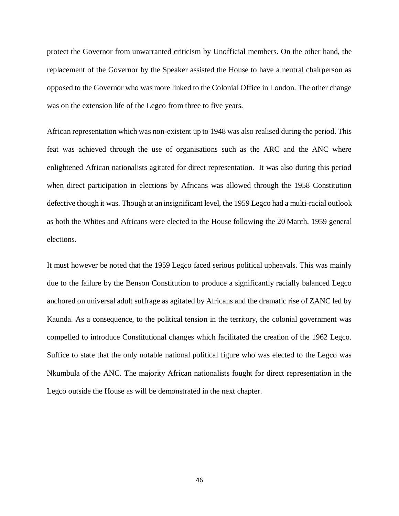protect the Governor from unwarranted criticism by Unofficial members. On the other hand, the replacement of the Governor by the Speaker assisted the House to have a neutral chairperson as opposed to the Governor who was more linked to the Colonial Office in London. The other change was on the extension life of the Legco from three to five years.

African representation which was non-existent up to 1948 was also realised during the period. This feat was achieved through the use of organisations such as the ARC and the ANC where enlightened African nationalists agitated for direct representation. It was also during this period when direct participation in elections by Africans was allowed through the 1958 Constitution defective though it was. Though at an insignificant level, the 1959 Legco had a multi-racial outlook as both the Whites and Africans were elected to the House following the 20 March, 1959 general elections.

It must however be noted that the 1959 Legco faced serious political upheavals. This was mainly due to the failure by the Benson Constitution to produce a significantly racially balanced Legco anchored on universal adult suffrage as agitated by Africans and the dramatic rise of ZANC led by Kaunda. As a consequence, to the political tension in the territory, the colonial government was compelled to introduce Constitutional changes which facilitated the creation of the 1962 Legco. Suffice to state that the only notable national political figure who was elected to the Legco was Nkumbula of the ANC. The majority African nationalists fought for direct representation in the Legco outside the House as will be demonstrated in the next chapter.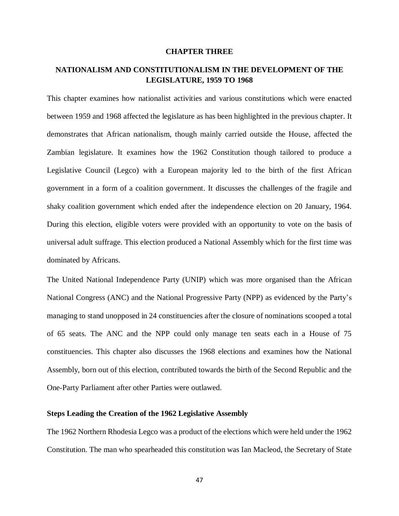### **CHAPTER THREE**

# **NATIONALISM AND CONSTITUTIONALISM IN THE DEVELOPMENT OF THE LEGISLATURE, 1959 TO 1968**

This chapter examines how nationalist activities and various constitutions which were enacted between 1959 and 1968 affected the legislature as has been highlighted in the previous chapter. It demonstrates that African nationalism, though mainly carried outside the House, affected the Zambian legislature. It examines how the 1962 Constitution though tailored to produce a Legislative Council (Legco) with a European majority led to the birth of the first African government in a form of a coalition government. It discusses the challenges of the fragile and shaky coalition government which ended after the independence election on 20 January, 1964. During this election, eligible voters were provided with an opportunity to vote on the basis of universal adult suffrage. This election produced a National Assembly which for the first time was dominated by Africans.

The United National Independence Party (UNIP) which was more organised than the African National Congress (ANC) and the National Progressive Party (NPP) as evidenced by the Party's managing to stand unopposed in 24 constituencies after the closure of nominations scooped a total of 65 seats. The ANC and the NPP could only manage ten seats each in a House of 75 constituencies. This chapter also discusses the 1968 elections and examines how the National Assembly, born out of this election, contributed towards the birth of the Second Republic and the One-Party Parliament after other Parties were outlawed.

# **Steps Leading the Creation of the 1962 Legislative Assembly**

The 1962 Northern Rhodesia Legco was a product of the elections which were held under the 1962 Constitution. The man who spearheaded this constitution was Ian Macleod, the Secretary of State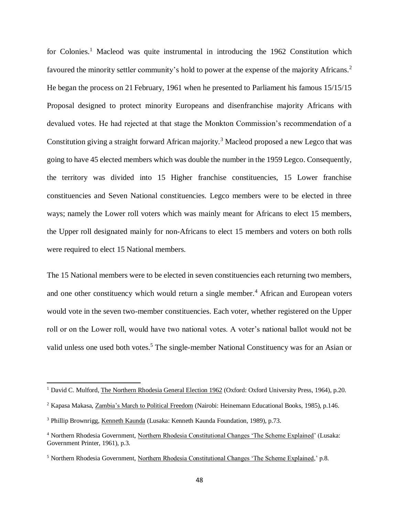for Colonies.<sup>1</sup> Macleod was quite instrumental in introducing the 1962 Constitution which favoured the minority settler community's hold to power at the expense of the majority Africans.<sup>2</sup> He began the process on 21 February, 1961 when he presented to Parliament his famous 15/15/15 Proposal designed to protect minority Europeans and disenfranchise majority Africans with devalued votes. He had rejected at that stage the Monkton Commission's recommendation of a Constitution giving a straight forward African majority.<sup>3</sup> Macleod proposed a new Legco that was going to have 45 elected members which was double the number in the 1959 Legco. Consequently, the territory was divided into 15 Higher franchise constituencies, 15 Lower franchise constituencies and Seven National constituencies. Legco members were to be elected in three ways; namely the Lower roll voters which was mainly meant for Africans to elect 15 members, the Upper roll designated mainly for non-Africans to elect 15 members and voters on both rolls were required to elect 15 National members.

The 15 National members were to be elected in seven constituencies each returning two members, and one other constituency which would return a single member.<sup>4</sup> African and European voters would vote in the seven two-member constituencies. Each voter, whether registered on the Upper roll or on the Lower roll, would have two national votes. A voter's national ballot would not be valid unless one used both votes.<sup>5</sup> The single-member National Constituency was for an Asian or

<sup>&</sup>lt;sup>1</sup> David C. Mulford, The Northern Rhodesia General Election 1962 (Oxford: Oxford University Press, 1964), p.20.

<sup>2</sup> Kapasa Makasa, Zambia's March to Political Freedom (Nairobi: Heinemann Educational Books, 1985), p.146.

<sup>3</sup> Phillip Brownrigg, Kenneth Kaunda (Lusaka: Kenneth Kaunda Foundation, 1989), p.73.

<sup>4</sup> Northern Rhodesia Government, Northern Rhodesia Constitutional Changes 'The Scheme Explained' (Lusaka: Government Printer, 1961), p.3.

<sup>5</sup> Northern Rhodesia Government, Northern Rhodesia Constitutional Changes 'The Scheme Explained,' p.8.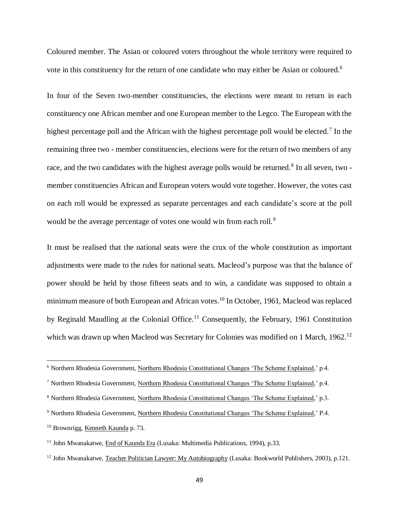Coloured member. The Asian or coloured voters throughout the whole territory were required to vote in this constituency for the return of one candidate who may either be Asian or coloured.<sup>6</sup>

In four of the Seven two-member constituencies, the elections were meant to return in each constituency one African member and one European member to the Legco. The European with the highest percentage poll and the African with the highest percentage poll would be elected.<sup>7</sup> In the remaining three two - member constituencies, elections were for the return of two members of any race, and the two candidates with the highest average polls would be returned.<sup>8</sup> In all seven, two member constituencies African and European voters would vote together. However, the votes cast on each roll would be expressed as separate percentages and each candidate's score at the poll would be the average percentage of votes one would win from each roll.<sup>9</sup>

It must be realised that the national seats were the crux of the whole constitution as important adjustments were made to the rules for national seats. Macleod's purpose was that the balance of power should be held by those fifteen seats and to win, a candidate was supposed to obtain a minimum measure of both European and African votes.<sup>10</sup> In October, 1961, Macleod was replaced by Reginald Maudling at the Colonial Office.<sup>11</sup> Consequently, the February, 1961 Constitution which was drawn up when Macleod was Secretary for Colonies was modified on 1 March, 1962.<sup>12</sup>

<sup>6</sup> Northern Rhodesia Government, Northern Rhodesia Constitutional Changes 'The Scheme Explained,' p.4.

<sup>7</sup> Northern Rhodesia Government, Northern Rhodesia Constitutional Changes 'The Scheme Explained,' p.4.

<sup>8</sup> Northern Rhodesia Government, Northern Rhodesia Constitutional Changes 'The Scheme Explained,' p.3.

<sup>9</sup> Northern Rhodesia Government, Northern Rhodesia Constitutional Changes 'The Scheme Explained,' P.4.

<sup>10</sup> Brownrigg, Kenneth Kaunda p. 73.

<sup>11</sup> John Mwanakatwe, End of Kaunda Era (Lusaka: Multimedia Publications, 1994), p.33.

<sup>&</sup>lt;sup>12</sup> John Mwanakatwe, Teacher Politician Lawyer: My Autobiography (Lusaka: Bookworld Publishers, 2003), p.121.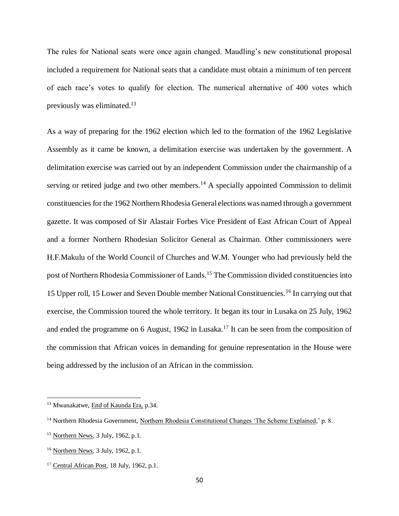The rules for National seats were once again changed. Maudling's new constitutional proposal included a requirement for National seats that a candidate must obtain a minimum of ten percent of each race's votes to qualify for election. The numerical alternative of 400 votes which previously was eliminated.<sup>13</sup>

As a way of preparing for the 1962 election which led to the formation of the 1962 Legislative Assembly as it came be known, a delimitation exercise was undertaken by the government. A delimitation exercise was carried out by an independent Commission under the chairmanship of a serving or retired judge and two other members.<sup>14</sup> A specially appointed Commission to delimit constituencies for the 1962 Northern Rhodesia General elections was named through a government gazette. It was composed of Sir Alastair Forbes Vice President of East African Court of Appeal and a former Northern Rhodesian Solicitor General as Chairman. Other commissioners were H.F.Makulu of the World Council of Churches and W.M. Younger who had previously held the post of Northern Rhodesia Commissioner of Lands.<sup>15</sup> The Commission divided constituencies into 15 Upper roll, 15 Lower and Seven Double member National Constituencies.<sup>16</sup> In carrying out that exercise, the Commission toured the whole territory. It began its tour in Lusaka on 25 July, 1962 and ended the programme on 6 August, 1962 in Lusaka.<sup>17</sup> It can be seen from the composition of the commission that African voices in demanding for genuine representation in the House were being addressed by the inclusion of an African in the commission.

<sup>&</sup>lt;sup>13</sup> Mwanakatwe, End of Kaunda Era, p.34.

<sup>14</sup> Northern Rhodesia Government, Northern Rhodesia Constitutional Changes 'The Scheme Explained,' p. 8.

 $15$  Northern News, 3 July, 1962, p.1.

<sup>&</sup>lt;sup>16</sup> Northern News, 3 July, 1962, p.1.

<sup>&</sup>lt;sup>17</sup> Central African Post, 18 July, 1962, p.1.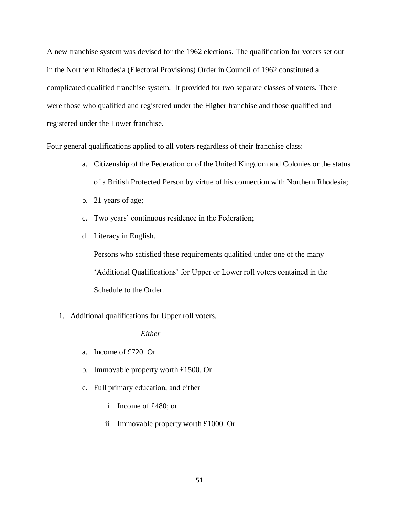A new franchise system was devised for the 1962 elections. The qualification for voters set out in the Northern Rhodesia (Electoral Provisions) Order in Council of 1962 constituted a complicated qualified franchise system. It provided for two separate classes of voters. There were those who qualified and registered under the Higher franchise and those qualified and registered under the Lower franchise.

Four general qualifications applied to all voters regardless of their franchise class:

- a. Citizenship of the Federation or of the United Kingdom and Colonies or the status of a British Protected Person by virtue of his connection with Northern Rhodesia;
- b. 21 years of age;
- c. Two years' continuous residence in the Federation;
- d. Literacy in English.

Persons who satisfied these requirements qualified under one of the many 'Additional Qualifications' for Upper or Lower roll voters contained in the Schedule to the Order.

1. Additional qualifications for Upper roll voters.

# *Either*

- a. Income of £720. Or
- b. Immovable property worth £1500. Or
- c. Full primary education, and either
	- i. Income of £480; or
	- ii. Immovable property worth £1000. Or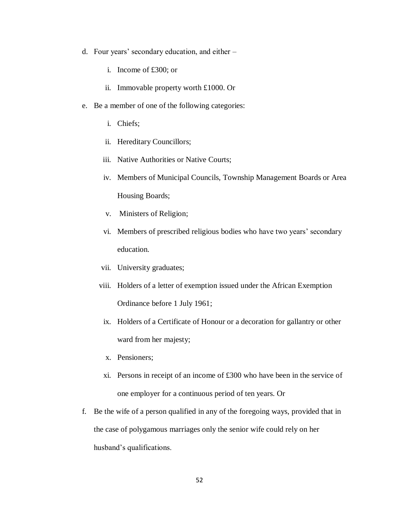- d. Four years' secondary education, and either
	- i. Income of £300; or
	- ii. Immovable property worth £1000. Or
- e. Be a member of one of the following categories:
	- i. Chiefs;
	- ii. Hereditary Councillors;
	- iii. Native Authorities or Native Courts;
	- iv. Members of Municipal Councils, Township Management Boards or Area Housing Boards;
	- v. Ministers of Religion;
	- vi. Members of prescribed religious bodies who have two years' secondary education.
	- vii. University graduates;
	- viii. Holders of a letter of exemption issued under the African Exemption Ordinance before 1 July 1961;
	- ix. Holders of a Certificate of Honour or a decoration for gallantry or other ward from her majesty;
	- x. Pensioners;
	- xi. Persons in receipt of an income of £300 who have been in the service of one employer for a continuous period of ten years. Or
- f. Be the wife of a person qualified in any of the foregoing ways, provided that in the case of polygamous marriages only the senior wife could rely on her husband's qualifications.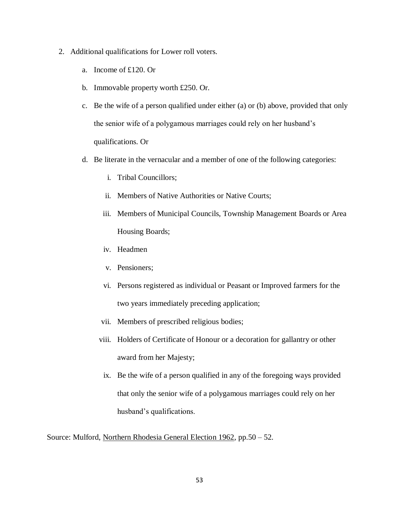- 2. Additional qualifications for Lower roll voters.
	- a. Income of £120. Or
	- b. Immovable property worth £250. Or.
	- c. Be the wife of a person qualified under either (a) or (b) above, provided that only the senior wife of a polygamous marriages could rely on her husband's qualifications. Or
	- d. Be literate in the vernacular and a member of one of the following categories:
		- i. Tribal Councillors;
		- ii. Members of Native Authorities or Native Courts;
		- iii. Members of Municipal Councils, Township Management Boards or Area Housing Boards;
		- iv. Headmen
		- v. Pensioners;
		- vi. Persons registered as individual or Peasant or Improved farmers for the two years immediately preceding application;
		- vii. Members of prescribed religious bodies;
		- viii. Holders of Certificate of Honour or a decoration for gallantry or other award from her Majesty;
		- ix. Be the wife of a person qualified in any of the foregoing ways provided that only the senior wife of a polygamous marriages could rely on her husband's qualifications.

Source: Mulford, Northern Rhodesia General Election 1962, pp.50 – 52.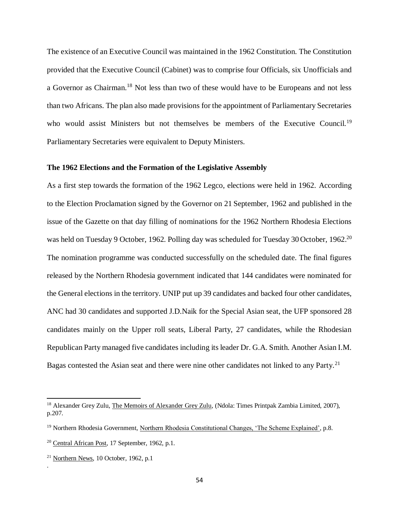The existence of an Executive Council was maintained in the 1962 Constitution. The Constitution provided that the Executive Council (Cabinet) was to comprise four Officials, six Unofficials and a Governor as Chairman.<sup>18</sup> Not less than two of these would have to be Europeans and not less than two Africans. The plan also made provisions for the appointment of Parliamentary Secretaries who would assist Ministers but not themselves be members of the Executive Council.<sup>19</sup> Parliamentary Secretaries were equivalent to Deputy Ministers.

### **The 1962 Elections and the Formation of the Legislative Assembly**

As a first step towards the formation of the 1962 Legco, elections were held in 1962. According to the Election Proclamation signed by the Governor on 21 September, 1962 and published in the issue of the Gazette on that day filling of nominations for the 1962 Northern Rhodesia Elections was held on Tuesday 9 October, 1962. Polling day was scheduled for Tuesday 30 October, 1962.<sup>20</sup> The nomination programme was conducted successfully on the scheduled date. The final figures released by the Northern Rhodesia government indicated that 144 candidates were nominated for the General elections in the territory. UNIP put up 39 candidates and backed four other candidates, ANC had 30 candidates and supported J.D.Naik for the Special Asian seat, the UFP sponsored 28 candidates mainly on the Upper roll seats, Liberal Party, 27 candidates, while the Rhodesian Republican Party managed five candidates including its leader Dr. G.A. Smith. Another Asian I.M. Bagas contested the Asian seat and there were nine other candidates not linked to any Party.<sup>21</sup>

 $\overline{a}$ 

.

<sup>&</sup>lt;sup>18</sup> Alexander Grey Zulu, The Memoirs of Alexander Grey Zulu, (Ndola: Times Printpak Zambia Limited, 2007), p.207.

<sup>19</sup> Northern Rhodesia Government, Northern Rhodesia Constitutional Changes, 'The Scheme Explained', p.8.

<sup>20</sup> Central African Post, 17 September, 1962, p.1.

 $21$  Northern News, 10 October, 1962, p.1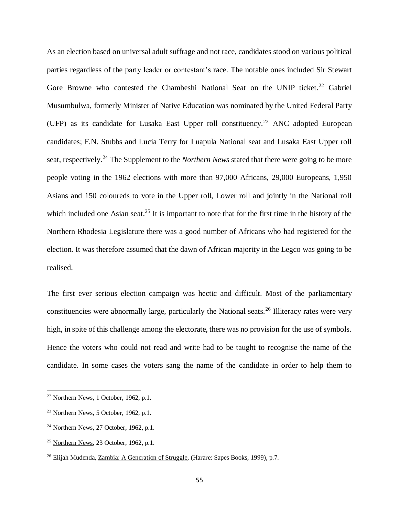As an election based on universal adult suffrage and not race, candidates stood on various political parties regardless of the party leader or contestant's race. The notable ones included Sir Stewart Gore Browne who contested the Chambeshi National Seat on the UNIP ticket.<sup>22</sup> Gabriel Musumbulwa, formerly Minister of Native Education was nominated by the United Federal Party (UFP) as its candidate for Lusaka East Upper roll constituency.<sup>23</sup> ANC adopted European candidates; F.N. Stubbs and Lucia Terry for Luapula National seat and Lusaka East Upper roll seat, respectively.<sup>24</sup> The Supplement to the *Northern News* stated that there were going to be more people voting in the 1962 elections with more than 97,000 Africans, 29,000 Europeans, 1,950 Asians and 150 coloureds to vote in the Upper roll, Lower roll and jointly in the National roll which included one Asian seat.<sup>25</sup> It is important to note that for the first time in the history of the Northern Rhodesia Legislature there was a good number of Africans who had registered for the election. It was therefore assumed that the dawn of African majority in the Legco was going to be realised.

The first ever serious election campaign was hectic and difficult. Most of the parliamentary constituencies were abnormally large, particularly the National seats.<sup>26</sup> Illiteracy rates were very high, in spite of this challenge among the electorate, there was no provision for the use of symbols. Hence the voters who could not read and write had to be taught to recognise the name of the candidate. In some cases the voters sang the name of the candidate in order to help them to

 $22$  Northern News, 1 October, 1962, p.1.

 $23$  Northern News, 5 October, 1962, p.1.

<sup>24</sup> Northern News, 27 October, 1962, p.1.

 $25$  Northern News, 23 October, 1962, p.1.

<sup>26</sup> Elijah Mudenda, Zambia: A Generation of Struggle, (Harare: Sapes Books, 1999), p.7.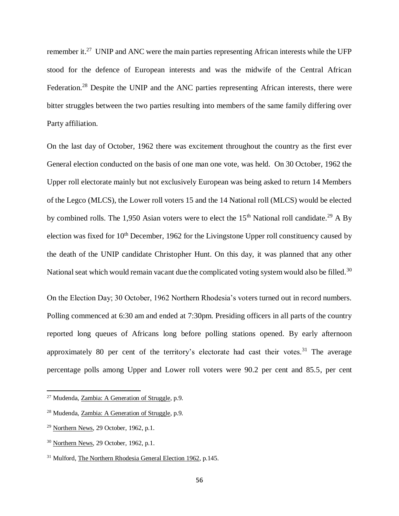remember it.<sup>27</sup> UNIP and ANC were the main parties representing African interests while the UFP stood for the defence of European interests and was the midwife of the Central African Federation.<sup>28</sup> Despite the UNIP and the ANC parties representing African interests, there were bitter struggles between the two parties resulting into members of the same family differing over Party affiliation.

On the last day of October, 1962 there was excitement throughout the country as the first ever General election conducted on the basis of one man one vote, was held. On 30 October, 1962 the Upper roll electorate mainly but not exclusively European was being asked to return 14 Members of the Legco (MLCS), the Lower roll voters 15 and the 14 National roll (MLCS) would be elected by combined rolls. The 1,950 Asian voters were to elect the  $15<sup>th</sup>$  National roll candidate.<sup>29</sup> A By election was fixed for  $10<sup>th</sup>$  December, 1962 for the Livingstone Upper roll constituency caused by the death of the UNIP candidate Christopher Hunt. On this day, it was planned that any other National seat which would remain vacant due the complicated voting system would also be filled.<sup>30</sup>

On the Election Day; 30 October, 1962 Northern Rhodesia's voters turned out in record numbers. Polling commenced at 6:30 am and ended at 7:30pm. Presiding officers in all parts of the country reported long queues of Africans long before polling stations opened. By early afternoon approximately 80 per cent of the territory's electorate had cast their votes.<sup>31</sup> The average percentage polls among Upper and Lower roll voters were 90.2 per cent and 85.5, per cent

<sup>&</sup>lt;sup>27</sup> Mudenda, Zambia: A Generation of Struggle, p.9.

<sup>28</sup> Mudenda, Zambia: A Generation of Struggle, p.9.

<sup>29</sup> Northern News, 29 October, 1962, p.1.

<sup>&</sup>lt;sup>30</sup> Northern News, 29 October, 1962, p.1.

<sup>&</sup>lt;sup>31</sup> Mulford, The Northern Rhodesia General Election 1962, p.145.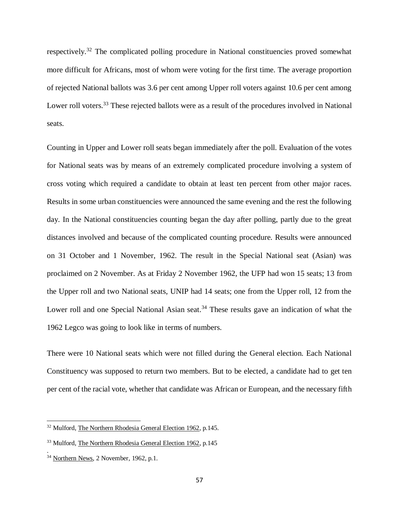respectively.<sup>32</sup> The complicated polling procedure in National constituencies proved somewhat more difficult for Africans, most of whom were voting for the first time. The average proportion of rejected National ballots was 3.6 per cent among Upper roll voters against 10.6 per cent among Lower roll voters.<sup>33</sup> These rejected ballots were as a result of the procedures involved in National seats.

Counting in Upper and Lower roll seats began immediately after the poll. Evaluation of the votes for National seats was by means of an extremely complicated procedure involving a system of cross voting which required a candidate to obtain at least ten percent from other major races. Results in some urban constituencies were announced the same evening and the rest the following day. In the National constituencies counting began the day after polling, partly due to the great distances involved and because of the complicated counting procedure. Results were announced on 31 October and 1 November, 1962. The result in the Special National seat (Asian) was proclaimed on 2 November. As at Friday 2 November 1962, the UFP had won 15 seats; 13 from the Upper roll and two National seats, UNIP had 14 seats; one from the Upper roll, 12 from the Lower roll and one Special National Asian seat.<sup>34</sup> These results gave an indication of what the 1962 Legco was going to look like in terms of numbers.

There were 10 National seats which were not filled during the General election. Each National Constituency was supposed to return two members. But to be elected, a candidate had to get ten per cent of the racial vote, whether that candidate was African or European, and the necessary fifth

 $\overline{a}$ 

.

<sup>32</sup> Mulford, The Northern Rhodesia General Election 1962, p.145.

<sup>&</sup>lt;sup>33</sup> Mulford, The Northern Rhodesia General Election 1962, p.145

<sup>&</sup>lt;sup>34</sup> Northern News, 2 November, 1962, p.1.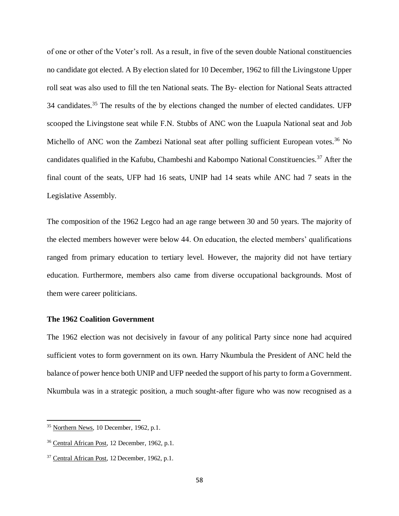of one or other of the Voter's roll. As a result, in five of the seven double National constituencies no candidate got elected. A By election slated for 10 December, 1962 to fill the Livingstone Upper roll seat was also used to fill the ten National seats. The By- election for National Seats attracted 34 candidates.<sup>35</sup> The results of the by elections changed the number of elected candidates. UFP scooped the Livingstone seat while F.N. Stubbs of ANC won the Luapula National seat and Job Michello of ANC won the Zambezi National seat after polling sufficient European votes.<sup>36</sup> No candidates qualified in the Kafubu, Chambeshi and Kabompo National Constituencies.<sup>37</sup> After the final count of the seats, UFP had 16 seats, UNIP had 14 seats while ANC had 7 seats in the Legislative Assembly.

The composition of the 1962 Legco had an age range between 30 and 50 years. The majority of the elected members however were below 44. On education, the elected members' qualifications ranged from primary education to tertiary level. However, the majority did not have tertiary education. Furthermore, members also came from diverse occupational backgrounds. Most of them were career politicians.

# **The 1962 Coalition Government**

The 1962 election was not decisively in favour of any political Party since none had acquired sufficient votes to form government on its own. Harry Nkumbula the President of ANC held the balance of power hence both UNIP and UFP needed the support of his party to form a Government. Nkumbula was in a strategic position, a much sought-after figure who was now recognised as a

<sup>35</sup> Northern News, 10 December, 1962, p.1.

<sup>36</sup> Central African Post, 12 December, 1962, p.1.

<sup>&</sup>lt;sup>37</sup> Central African Post, 12 December, 1962, p.1.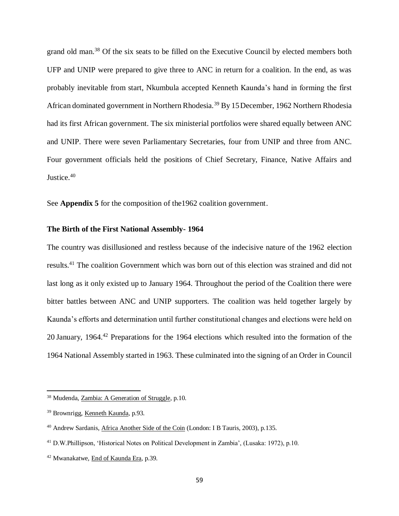grand old man.<sup>38</sup> Of the six seats to be filled on the Executive Council by elected members both UFP and UNIP were prepared to give three to ANC in return for a coalition. In the end, as was probably inevitable from start, Nkumbula accepted Kenneth Kaunda's hand in forming the first African dominated government in Northern Rhodesia.<sup>39</sup> By 15December, 1962 Northern Rhodesia had its first African government. The six ministerial portfolios were shared equally between ANC and UNIP. There were seven Parliamentary Secretaries, four from UNIP and three from ANC. Four government officials held the positions of Chief Secretary, Finance, Native Affairs and Justice.<sup>40</sup>

See **Appendix 5** for the composition of the1962 coalition government.

# **The Birth of the First National Assembly- 1964**

The country was disillusioned and restless because of the indecisive nature of the 1962 election results.<sup>41</sup> The coalition Government which was born out of this election was strained and did not last long as it only existed up to January 1964. Throughout the period of the Coalition there were bitter battles between ANC and UNIP supporters. The coalition was held together largely by Kaunda's efforts and determination until further constitutional changes and elections were held on 20 January, 1964<sup>42</sup> Preparations for the 1964 elections which resulted into the formation of the 1964 National Assembly started in 1963. These culminated into the signing of an Order in Council

<sup>&</sup>lt;sup>38</sup> Mudenda, Zambia: A Generation of Struggle, p.10.

<sup>39</sup> Brownrigg, Kenneth Kaunda, p.93.

<sup>40</sup> Andrew Sardanis, Africa Another Side of the Coin (London: I B Tauris, 2003), p.135.

<sup>41</sup> D.W.Phillipson, 'Historical Notes on Political Development in Zambia', (Lusaka: 1972), p.10.

<sup>42</sup> Mwanakatwe, End of Kaunda Era, p.39.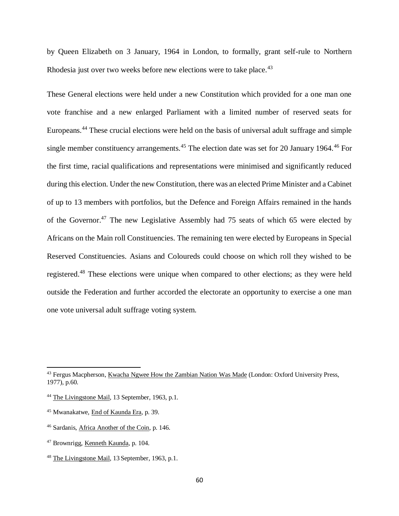by Queen Elizabeth on 3 January, 1964 in London, to formally, grant self-rule to Northern Rhodesia just over two weeks before new elections were to take place.<sup>43</sup>

These General elections were held under a new Constitution which provided for a one man one vote franchise and a new enlarged Parliament with a limited number of reserved seats for Europeans.<sup>44</sup> These crucial elections were held on the basis of universal adult suffrage and simple single member constituency arrangements.<sup>45</sup> The election date was set for 20 January 1964.<sup>46</sup> For the first time, racial qualifications and representations were minimised and significantly reduced during this election. Under the new Constitution, there was an elected Prime Minister and a Cabinet of up to 13 members with portfolios, but the Defence and Foreign Affairs remained in the hands of the Governor.<sup>47</sup> The new Legislative Assembly had 75 seats of which 65 were elected by Africans on the Main roll Constituencies. The remaining ten were elected by Europeans in Special Reserved Constituencies. Asians and Coloureds could choose on which roll they wished to be registered.<sup>48</sup> These elections were unique when compared to other elections; as they were held outside the Federation and further accorded the electorate an opportunity to exercise a one man one vote universal adult suffrage voting system.

<sup>&</sup>lt;sup>43</sup> Fergus Macpherson, Kwacha Ngwee How the Zambian Nation Was Made (London: Oxford University Press, 1977), p.60.

<sup>44</sup> The Livingstone Mail, 13 September, 1963, p.1.

<sup>45</sup> Mwanakatwe, End of Kaunda Era, p. 39.

<sup>46</sup> Sardanis, Africa Another of the Coin, p. 146.

<sup>47</sup> Brownrigg, Kenneth Kaunda, p. 104.

<sup>48</sup> The Livingstone Mail, 13 September, 1963, p.1.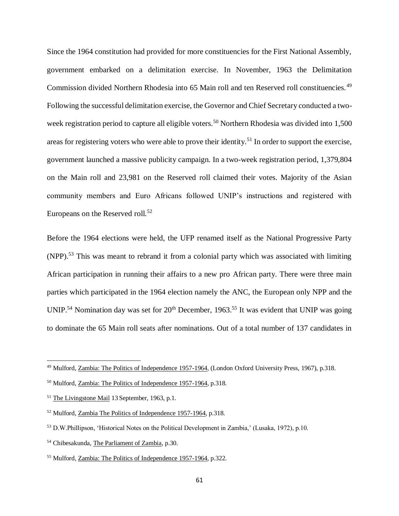Since the 1964 constitution had provided for more constituencies for the First National Assembly, government embarked on a delimitation exercise. In November, 1963 the Delimitation Commission divided Northern Rhodesia into 65 Main roll and ten Reserved roll constituencies.<sup>49</sup> Following the successful delimitation exercise, the Governor and Chief Secretary conducted a twoweek registration period to capture all eligible voters.<sup>50</sup> Northern Rhodesia was divided into 1,500 areas for registering voters who were able to prove their identity.<sup>51</sup> In order to support the exercise, government launched a massive publicity campaign. In a two-week registration period, 1,379,804 on the Main roll and 23,981 on the Reserved roll claimed their votes. Majority of the Asian community members and Euro Africans followed UNIP's instructions and registered with Europeans on the Reserved roll.<sup>52</sup>

Before the 1964 elections were held, the UFP renamed itself as the National Progressive Party (NPP).<sup>53</sup> This was meant to rebrand it from a colonial party which was associated with limiting African participation in running their affairs to a new pro African party. There were three main parties which participated in the 1964 election namely the ANC, the European only NPP and the UNIP.<sup>54</sup> Nomination day was set for  $20<sup>th</sup>$  December, 1963.<sup>55</sup> It was evident that UNIP was going to dominate the 65 Main roll seats after nominations. Out of a total number of 137 candidates in

<sup>&</sup>lt;sup>49</sup> Mulford, Zambia: The Politics of Independence 1957-1964, (London Oxford University Press, 1967), p.318.

<sup>50</sup> Mulford, Zambia: The Politics of Independence 1957-1964, p.318.

<sup>51</sup> The Livingstone Mail 13 September, 1963, p.1.

<sup>52</sup> Mulford, Zambia The Politics of Independence 1957-1964, p.318.

<sup>53</sup> D.W.Phillipson, 'Historical Notes on the Political Development in Zambia,' (Lusaka, 1972), p.10.

<sup>54</sup> Chibesakunda, The Parliament of Zambia, p.30.

<sup>55</sup> Mulford, Zambia: The Politics of Independence 1957-1964, p.322.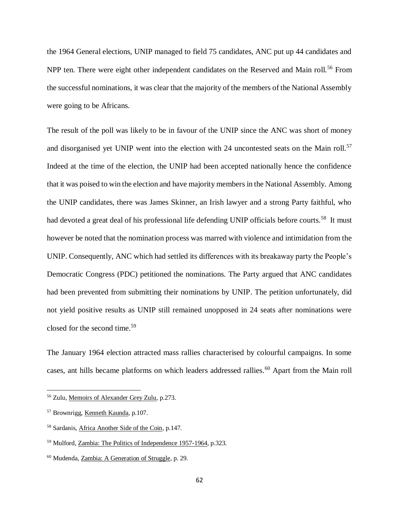the 1964 General elections, UNIP managed to field 75 candidates, ANC put up 44 candidates and NPP ten. There were eight other independent candidates on the Reserved and Main roll.<sup>56</sup> From the successful nominations, it was clear that the majority of the members of the National Assembly were going to be Africans.

The result of the poll was likely to be in favour of the UNIP since the ANC was short of money and disorganised yet UNIP went into the election with 24 uncontested seats on the Main roll.<sup>57</sup> Indeed at the time of the election, the UNIP had been accepted nationally hence the confidence that it was poised to win the election and have majority members in the National Assembly. Among the UNIP candidates, there was James Skinner, an Irish lawyer and a strong Party faithful, who had devoted a great deal of his professional life defending UNIP officials before courts.<sup>58</sup> It must however be noted that the nomination process was marred with violence and intimidation from the UNIP. Consequently, ANC which had settled its differences with its breakaway party the People's Democratic Congress (PDC) petitioned the nominations. The Party argued that ANC candidates had been prevented from submitting their nominations by UNIP. The petition unfortunately, did not yield positive results as UNIP still remained unopposed in 24 seats after nominations were closed for the second time.<sup>59</sup>

The January 1964 election attracted mass rallies characterised by colourful campaigns. In some cases, ant hills became platforms on which leaders addressed rallies.<sup>60</sup> Apart from the Main roll

<sup>56</sup> Zulu, Memoirs of Alexander Grey Zulu, p.273.

<sup>57</sup> Brownrigg, Kenneth Kaunda, p.107.

<sup>58</sup> Sardanis, Africa Another Side of the Coin, p.147.

<sup>59</sup> Mulford, Zambia: The Politics of Independence 1957-1964, p.323.

<sup>60</sup> Mudenda, Zambia: A Generation of Struggle, p. 29.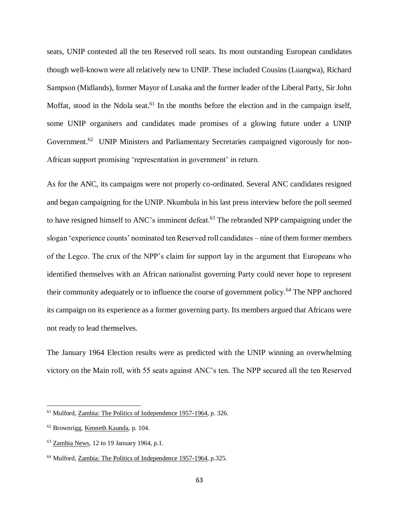seats, UNIP contested all the ten Reserved roll seats. Its most outstanding European candidates though well-known were all relatively new to UNIP. These included Cousins (Luangwa), Richard Sampson (Midlands), former Mayor of Lusaka and the former leader of the Liberal Party, Sir John Moffat, stood in the Ndola seat.<sup>61</sup> In the months before the election and in the campaign itself, some UNIP organisers and candidates made promises of a glowing future under a UNIP Government.<sup>62</sup> UNIP Ministers and Parliamentary Secretaries campaigned vigorously for non-African support promising 'representation in government' in return.

As for the ANC, its campaigns were not properly co-ordinated. Several ANC candidates resigned and began campaigning for the UNIP. Nkumbula in his last press interview before the poll seemed to have resigned himself to ANC's imminent defeat.<sup>63</sup> The rebranded NPP campaigning under the slogan 'experience counts' nominated ten Reserved roll candidates – nine of them former members of the Legco. The crux of the NPP's claim for support lay in the argument that Europeans who identified themselves with an African nationalist governing Party could never hope to represent their community adequately or to influence the course of government policy.<sup>64</sup> The NPP anchored its campaign on its experience as a former governing party. Its members argued that Africans were not ready to lead themselves.

The January 1964 Election results were as predicted with the UNIP winning an overwhelming victory on the Main roll, with 55 seats against ANC's ten. The NPP secured all the ten Reserved

<sup>&</sup>lt;sup>61</sup> Mulford, Zambia: The Politics of Independence 1957-1964, p. 326.

<sup>62</sup> Brownrigg, Kenneth Kaunda, p. 104.

 $63$  Zambia News, 12 to 19 January 1964, p.1.

<sup>64</sup> Mulford, Zambia: The Politics of Independence 1957-1964, p.325.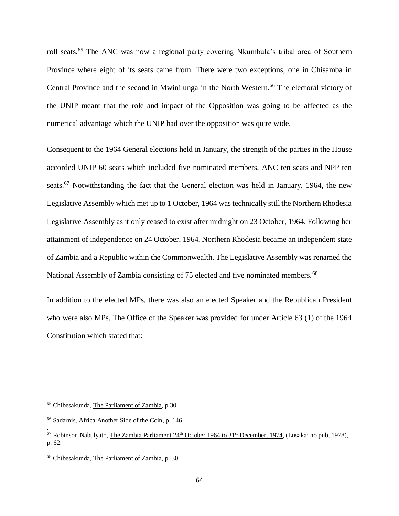roll seats.<sup>65</sup> The ANC was now a regional party covering Nkumbula's tribal area of Southern Province where eight of its seats came from. There were two exceptions, one in Chisamba in Central Province and the second in Mwinilunga in the North Western. <sup>66</sup> The electoral victory of the UNIP meant that the role and impact of the Opposition was going to be affected as the numerical advantage which the UNIP had over the opposition was quite wide.

Consequent to the 1964 General elections held in January, the strength of the parties in the House accorded UNIP 60 seats which included five nominated members, ANC ten seats and NPP ten seats.<sup>67</sup> Notwithstanding the fact that the General election was held in January, 1964, the new Legislative Assembly which met up to 1 October, 1964 was technically still the Northern Rhodesia Legislative Assembly as it only ceased to exist after midnight on 23 October, 1964. Following her attainment of independence on 24 October, 1964, Northern Rhodesia became an independent state of Zambia and a Republic within the Commonwealth. The Legislative Assembly was renamed the National Assembly of Zambia consisting of 75 elected and five nominated members.<sup>68</sup>

In addition to the elected MPs, there was also an elected Speaker and the Republican President who were also MPs. The Office of the Speaker was provided for under Article 63 (1) of the 1964 Constitution which stated that:

 $\overline{a}$ 

.

<sup>65</sup> Chibesakunda, The Parliament of Zambia, p.30.

<sup>66</sup> Sadarnis, Africa Another Side of the Coin, p. 146.

 $67$  Robinson Nabulyato, The Zambia Parliament  $24<sup>th</sup>$  October 1964 to 31<sup>st</sup> December, 1974, (Lusaka: no pub, 1978), p. 62.

<sup>68</sup> Chibesakunda, The Parliament of Zambia, p. 30.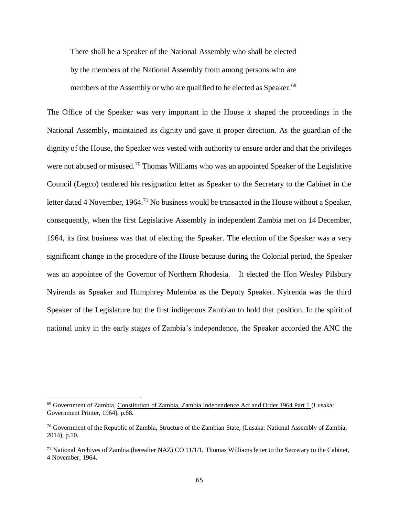There shall be a Speaker of the National Assembly who shall be elected by the members of the National Assembly from among persons who are members of the Assembly or who are qualified to be elected as Speaker.<sup>69</sup>

The Office of the Speaker was very important in the House it shaped the proceedings in the National Assembly, maintained its dignity and gave it proper direction. As the guardian of the dignity of the House, the Speaker was vested with authority to ensure order and that the privileges were not abused or misused.<sup>70</sup> Thomas Williams who was an appointed Speaker of the Legislative Council (Legco) tendered his resignation letter as Speaker to the Secretary to the Cabinet in the letter dated 4 November, 1964.<sup>71</sup> No business would be transacted in the House without a Speaker, consequently, when the first Legislative Assembly in independent Zambia met on 14 December, 1964, its first business was that of electing the Speaker. The election of the Speaker was a very significant change in the procedure of the House because during the Colonial period, the Speaker was an appointee of the Governor of Northern Rhodesia. It elected the Hon Wesley Pilsbury Nyirenda as Speaker and Humphrey Mulemba as the Deputy Speaker. Nyirenda was the third Speaker of the Legislature but the first indigenous Zambian to hold that position. In the spirit of national unity in the early stages of Zambia's independence, the Speaker accorded the ANC the

<sup>69</sup> Government of Zambia, Constitution of Zambia, Zambia Independence Act and Order 1964 Part 1 (Lusaka: Government Printer, 1964), p.68.

<sup>70</sup> Government of the Republic of Zambia, Structure of the Zambian State, (Lusaka: National Assembly of Zambia, 2014), p.10.

 $71$  National Archives of Zambia (hereafter NAZ) CO 11/1/1, Thomas Williams letter to the Secretary to the Cabinet, 4 November, 1964.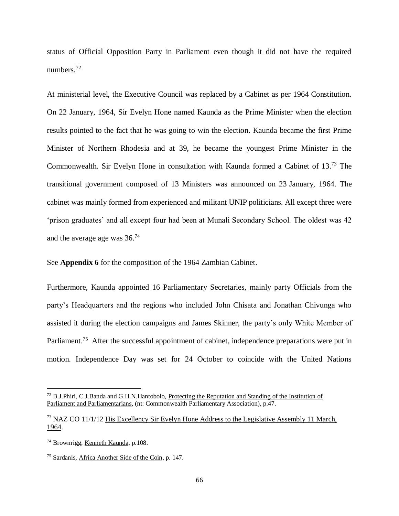status of Official Opposition Party in Parliament even though it did not have the required numbers.<sup>72</sup>

At ministerial level, the Executive Council was replaced by a Cabinet as per 1964 Constitution. On 22 January, 1964, Sir Evelyn Hone named Kaunda as the Prime Minister when the election results pointed to the fact that he was going to win the election. Kaunda became the first Prime Minister of Northern Rhodesia and at 39, he became the youngest Prime Minister in the Commonwealth. Sir Evelyn Hone in consultation with Kaunda formed a Cabinet of 13. <sup>73</sup> The transitional government composed of 13 Ministers was announced on 23 January, 1964. The cabinet was mainly formed from experienced and militant UNIP politicians. All except three were 'prison graduates' and all except four had been at Munali Secondary School. The oldest was 42 and the average age was  $36.^{74}$ 

See **Appendix 6** for the composition of the 1964 Zambian Cabinet.

Furthermore, Kaunda appointed 16 Parliamentary Secretaries, mainly party Officials from the party's Headquarters and the regions who included John Chisata and Jonathan Chivunga who assisted it during the election campaigns and James Skinner, the party's only White Member of Parliament.<sup>75</sup> After the successful appointment of cabinet, independence preparations were put in motion. Independence Day was set for 24 October to coincide with the United Nations

 $<sup>72</sup>$  B.J.Phiri, C.J.Banda and G.H.N.Hantobolo, Protecting the Reputation and Standing of the Institution of</sup> Parliament and Parliamentarians, (nt: Commonwealth Parliamentary Association), p.47.

 $^{73}$  NAZ CO 11/1/12 His Excellency Sir Evelyn Hone Address to the Legislative Assembly 11 March, 1964.

<sup>74</sup> Brownrigg, Kenneth Kaunda, p.108.

<sup>75</sup> Sardanis, Africa Another Side of the Coin, p. 147.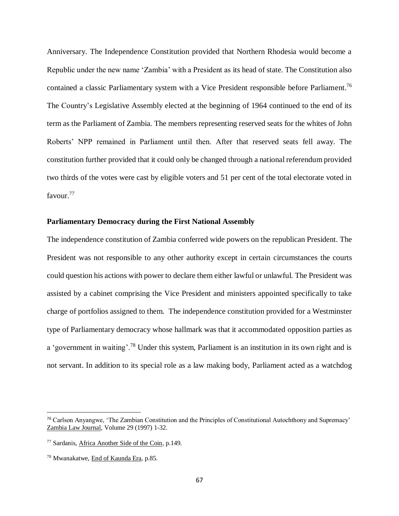Anniversary. The Independence Constitution provided that Northern Rhodesia would become a Republic under the new name 'Zambia' with a President as its head of state. The Constitution also contained a classic Parliamentary system with a Vice President responsible before Parliament.<sup>76</sup> The Country's Legislative Assembly elected at the beginning of 1964 continued to the end of its term as the Parliament of Zambia. The members representing reserved seats for the whites of John Roberts' NPP remained in Parliament until then. After that reserved seats fell away. The constitution further provided that it could only be changed through a national referendum provided two thirds of the votes were cast by eligible voters and 51 per cent of the total electorate voted in favour.<sup>77</sup>

## **Parliamentary Democracy during the First National Assembly**

The independence constitution of Zambia conferred wide powers on the republican President. The President was not responsible to any other authority except in certain circumstances the courts could question his actions with power to declare them either lawful or unlawful. The President was assisted by a cabinet comprising the Vice President and ministers appointed specifically to take charge of portfolios assigned to them. The independence constitution provided for a Westminster type of Parliamentary democracy whose hallmark was that it accommodated opposition parties as a 'government in waiting'.<sup>78</sup> Under this system, Parliament is an institution in its own right and is not servant. In addition to its special role as a law making body, Parliament acted as a watchdog

<sup>76</sup> Carlson Anyangwe, 'The Zambian Constitution and the Principles of Constitutional Autochthony and Supremacy' Zambia Law Journal, Volume 29 (1997) 1-32.

<sup>77</sup> Sardanis, Africa Another Side of the Coin, p.149.

<sup>78</sup> Mwanakatwe, End of Kaunda Era, p.85.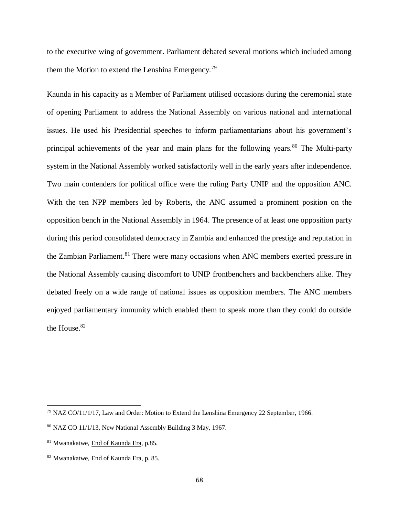to the executive wing of government. Parliament debated several motions which included among them the Motion to extend the Lenshina Emergency.<sup>79</sup>

Kaunda in his capacity as a Member of Parliament utilised occasions during the ceremonial state of opening Parliament to address the National Assembly on various national and international issues. He used his Presidential speeches to inform parliamentarians about his government's principal achievements of the year and main plans for the following years.<sup>80</sup> The Multi-party system in the National Assembly worked satisfactorily well in the early years after independence. Two main contenders for political office were the ruling Party UNIP and the opposition ANC. With the ten NPP members led by Roberts, the ANC assumed a prominent position on the opposition bench in the National Assembly in 1964. The presence of at least one opposition party during this period consolidated democracy in Zambia and enhanced the prestige and reputation in the Zambian Parliament.<sup>81</sup> There were many occasions when ANC members exerted pressure in the National Assembly causing discomfort to UNIP frontbenchers and backbenchers alike. They debated freely on a wide range of national issues as opposition members. The ANC members enjoyed parliamentary immunity which enabled them to speak more than they could do outside the House.<sup>82</sup>

<sup>&</sup>lt;sup>79</sup> NAZ CO/11/1/17, Law and Order: Motion to Extend the Lenshina Emergency 22 September, 1966.

<sup>80</sup> NAZ CO 11/1/13, New National Assembly Building 3 May, 1967.

<sup>81</sup> Mwanakatwe, End of Kaunda Era, p.85.

<sup>82</sup> Mwanakatwe, End of Kaunda Era, p. 85.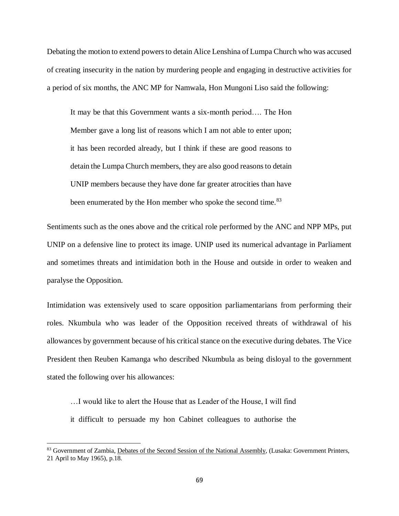Debating the motion to extend powers to detain Alice Lenshina of Lumpa Church who was accused of creating insecurity in the nation by murdering people and engaging in destructive activities for a period of six months, the ANC MP for Namwala, Hon Mungoni Liso said the following:

It may be that this Government wants a six-month period…. The Hon Member gave a long list of reasons which I am not able to enter upon; it has been recorded already, but I think if these are good reasons to detain the Lumpa Church members, they are also good reasons to detain UNIP members because they have done far greater atrocities than have been enumerated by the Hon member who spoke the second time.<sup>83</sup>

Sentiments such as the ones above and the critical role performed by the ANC and NPP MPs, put UNIP on a defensive line to protect its image. UNIP used its numerical advantage in Parliament and sometimes threats and intimidation both in the House and outside in order to weaken and paralyse the Opposition.

Intimidation was extensively used to scare opposition parliamentarians from performing their roles. Nkumbula who was leader of the Opposition received threats of withdrawal of his allowances by government because of his critical stance on the executive during debates. The Vice President then Reuben Kamanga who described Nkumbula as being disloyal to the government stated the following over his allowances:

…I would like to alert the House that as Leader of the House, I will find

it difficult to persuade my hon Cabinet colleagues to authorise the

<sup>83</sup> Government of Zambia, Debates of the Second Session of the National Assembly, (Lusaka: Government Printers, 21 April to May 1965), p.18.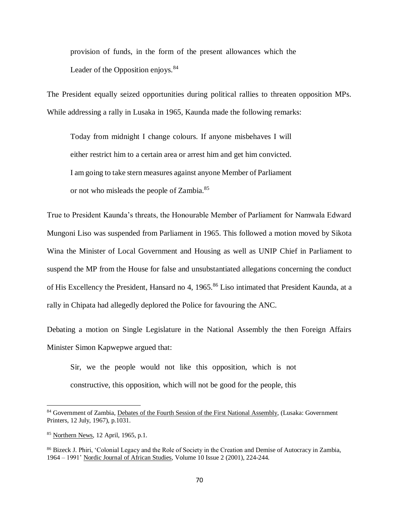provision of funds, in the form of the present allowances which the Leader of the Opposition enjoys.  $84$ 

The President equally seized opportunities during political rallies to threaten opposition MPs. While addressing a rally in Lusaka in 1965, Kaunda made the following remarks:

Today from midnight I change colours. If anyone misbehaves I will either restrict him to a certain area or arrest him and get him convicted. I am going to take stern measures against anyone Member of Parliament or not who misleads the people of Zambia.<sup>85</sup>

True to President Kaunda's threats, the Honourable Member of Parliament for Namwala Edward Mungoni Liso was suspended from Parliament in 1965. This followed a motion moved by Sikota Wina the Minister of Local Government and Housing as well as UNIP Chief in Parliament to suspend the MP from the House for false and unsubstantiated allegations concerning the conduct of His Excellency the President, Hansard no 4, 1965.<sup>86</sup> Liso intimated that President Kaunda, at a rally in Chipata had allegedly deplored the Police for favouring the ANC.

Debating a motion on Single Legislature in the National Assembly the then Foreign Affairs Minister Simon Kapwepwe argued that:

Sir, we the people would not like this opposition, which is not constructive, this opposition, which will not be good for the people, this

<sup>84</sup> Government of Zambia, Debates of the Fourth Session of the First National Assembly, (Lusaka: Government Printers, 12 July, 1967), p.1031.

<sup>85</sup> Northern News, 12 April, 1965, p.1.

<sup>86</sup> Bizeck J. Phiri, 'Colonial Legacy and the Role of Society in the Creation and Demise of Autocracy in Zambia, 1964 – 1991' Nordic Journal of African Studies, Volume 10 Issue 2 (2001), 224-244.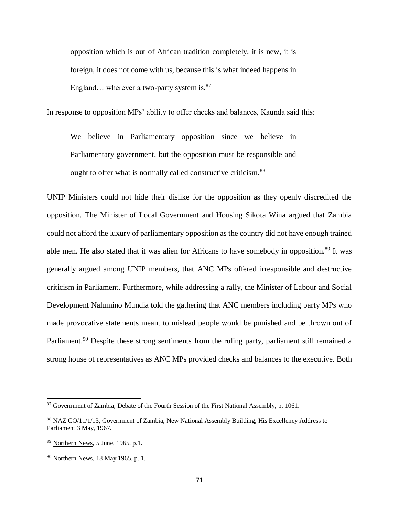opposition which is out of African tradition completely, it is new, it is foreign, it does not come with us, because this is what indeed happens in England... wherever a two-party system is. $87$ 

In response to opposition MPs' ability to offer checks and balances, Kaunda said this:

We believe in Parliamentary opposition since we believe in Parliamentary government, but the opposition must be responsible and ought to offer what is normally called constructive criticism.<sup>88</sup>

UNIP Ministers could not hide their dislike for the opposition as they openly discredited the opposition. The Minister of Local Government and Housing Sikota Wina argued that Zambia could not afford the luxury of parliamentary opposition as the country did not have enough trained able men. He also stated that it was alien for Africans to have somebody in opposition.<sup>89</sup> It was generally argued among UNIP members, that ANC MPs offered irresponsible and destructive criticism in Parliament. Furthermore, while addressing a rally, the Minister of Labour and Social Development Nalumino Mundia told the gathering that ANC members including party MPs who made provocative statements meant to mislead people would be punished and be thrown out of Parliament.<sup>90</sup> Despite these strong sentiments from the ruling party, parliament still remained a strong house of representatives as ANC MPs provided checks and balances to the executive. Both

<sup>&</sup>lt;sup>87</sup> Government of Zambia, Debate of the Fourth Session of the First National Assembly, p, 1061.

<sup>88</sup> NAZ CO/11/1/13, Government of Zambia, New National Assembly Building, His Excellency Address to Parliament 3 May, 1967.

<sup>89</sup> Northern News, 5 June, 1965, p.1.

<sup>&</sup>lt;sup>90</sup> Northern News, 18 May 1965, p. 1.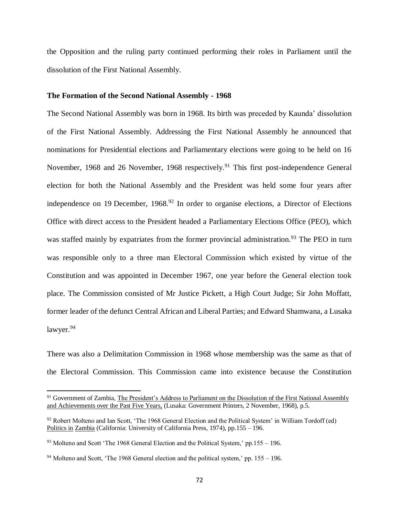the Opposition and the ruling party continued performing their roles in Parliament until the dissolution of the First National Assembly.

### **The Formation of the Second National Assembly - 1968**

The Second National Assembly was born in 1968. Its birth was preceded by Kaunda' dissolution of the First National Assembly. Addressing the First National Assembly he announced that nominations for Presidential elections and Parliamentary elections were going to be held on 16 November, 1968 and 26 November, 1968 respectively.<sup>91</sup> This first post-independence General election for both the National Assembly and the President was held some four years after independence on 19 December,  $1968<sup>92</sup>$  In order to organise elections, a Director of Elections Office with direct access to the President headed a Parliamentary Elections Office (PEO), which was staffed mainly by expatriates from the former provincial administration.<sup>93</sup> The PEO in turn was responsible only to a three man Electoral Commission which existed by virtue of the Constitution and was appointed in December 1967, one year before the General election took place. The Commission consisted of Mr Justice Pickett, a High Court Judge; Sir John Moffatt, former leader of the defunct Central African and Liberal Parties; and Edward Shamwana, a Lusaka lawyer.<sup>94</sup>

There was also a Delimitation Commission in 1968 whose membership was the same as that of the Electoral Commission. This Commission came into existence because the Constitution

<sup>&</sup>lt;sup>91</sup> Government of Zambia, The President's Address to Parliament on the Dissolution of the First National Assembly and Achievements over the Past Five Years, (Lusaka: Government Printers, 2 November, 1968), p.5.

<sup>&</sup>lt;sup>92</sup> Robert Molteno and Ian Scott, 'The 1968 General Election and the Political System' in William Tordoff (ed) Politics in Zambia (California: University of California Press, 1974), pp.155 – 196.

 $93$  Molteno and Scott 'The 1968 General Election and the Political System,' pp.155 – 196.

<sup>&</sup>lt;sup>94</sup> Molteno and Scott, 'The 1968 General election and the political system,' pp.  $155 - 196$ .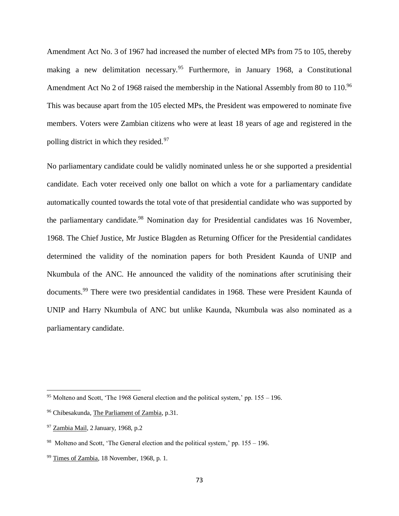Amendment Act No. 3 of 1967 had increased the number of elected MPs from 75 to 105, thereby making a new delimitation necessary.<sup>95</sup> Furthermore, in January 1968, a Constitutional Amendment Act No 2 of 1968 raised the membership in the National Assembly from 80 to 110.<sup>96</sup> This was because apart from the 105 elected MPs, the President was empowered to nominate five members. Voters were Zambian citizens who were at least 18 years of age and registered in the polling district in which they resided.<sup>97</sup>

No parliamentary candidate could be validly nominated unless he or she supported a presidential candidate. Each voter received only one ballot on which a vote for a parliamentary candidate automatically counted towards the total vote of that presidential candidate who was supported by the parliamentary candidate.<sup>98</sup> Nomination day for Presidential candidates was 16 November, 1968. The Chief Justice, Mr Justice Blagden as Returning Officer for the Presidential candidates determined the validity of the nomination papers for both President Kaunda of UNIP and Nkumbula of the ANC. He announced the validity of the nominations after scrutinising their documents.<sup>99</sup> There were two presidential candidates in 1968. These were President Kaunda of UNIP and Harry Nkumbula of ANC but unlike Kaunda, Nkumbula was also nominated as a parliamentary candidate.

<sup>&</sup>lt;sup>95</sup> Molteno and Scott, 'The 1968 General election and the political system,' pp.  $155 - 196$ .

<sup>96</sup> Chibesakunda, The Parliament of Zambia, p.31.

<sup>97</sup> Zambia Mail, 2 January, 1968, p.2

<sup>&</sup>lt;sup>98</sup> Molteno and Scott, 'The General election and the political system,' pp.  $155 - 196$ .

<sup>99</sup> Times of Zambia, 18 November, 1968, p. 1.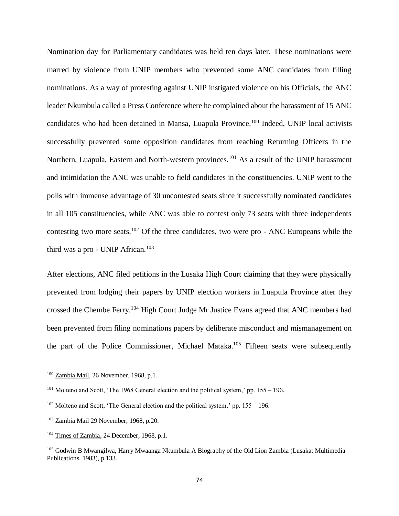Nomination day for Parliamentary candidates was held ten days later. These nominations were marred by violence from UNIP members who prevented some ANC candidates from filling nominations. As a way of protesting against UNIP instigated violence on his Officials, the ANC leader Nkumbula called a Press Conference where he complained about the harassment of 15 ANC candidates who had been detained in Mansa, Luapula Province.<sup>100</sup> Indeed, UNIP local activists successfully prevented some opposition candidates from reaching Returning Officers in the Northern, Luapula, Eastern and North-western provinces.<sup>101</sup> As a result of the UNIP harassment and intimidation the ANC was unable to field candidates in the constituencies. UNIP went to the polls with immense advantage of 30 uncontested seats since it successfully nominated candidates in all 105 constituencies, while ANC was able to contest only 73 seats with three independents contesting two more seats.<sup>102</sup> Of the three candidates, two were pro - ANC Europeans while the third was a pro - UNIP African.<sup>103</sup>

After elections, ANC filed petitions in the Lusaka High Court claiming that they were physically prevented from lodging their papers by UNIP election workers in Luapula Province after they crossed the Chembe Ferry.<sup>104</sup> High Court Judge Mr Justice Evans agreed that ANC members had been prevented from filing nominations papers by deliberate misconduct and mismanagement on the part of the Police Commissioner, Michael Mataka.<sup>105</sup> Fifteen seats were subsequently

<sup>100</sup> Zambia Mail, 26 November, 1968, p.1.

 $101$  Molteno and Scott, 'The 1968 General election and the political system,' pp. 155 – 196.

 $102$  Molteno and Scott, 'The General election and the political system,' pp. 155 – 196.

<sup>103</sup> Zambia Mail 29 November, 1968, p.20.

<sup>&</sup>lt;sup>104</sup> Times of Zambia, 24 December, 1968, p.1.

<sup>105</sup> Godwin B Mwangilwa, Harry Mwaanga Nkumbula A Biography of the Old Lion Zambia (Lusaka: Multimedia Publications, 1983), p.133.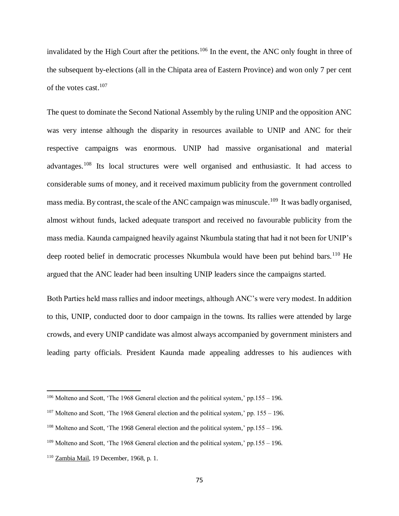invalidated by the High Court after the petitions.<sup>106</sup> In the event, the ANC only fought in three of the subsequent by-elections (all in the Chipata area of Eastern Province) and won only 7 per cent of the votes cast.<sup>107</sup>

The quest to dominate the Second National Assembly by the ruling UNIP and the opposition ANC was very intense although the disparity in resources available to UNIP and ANC for their respective campaigns was enormous. UNIP had massive organisational and material advantages.<sup>108</sup> Its local structures were well organised and enthusiastic. It had access to considerable sums of money, and it received maximum publicity from the government controlled mass media. By contrast, the scale of the ANC campaign was minuscule.<sup>109</sup> It was badly organised, almost without funds, lacked adequate transport and received no favourable publicity from the mass media. Kaunda campaigned heavily against Nkumbula stating that had it not been for UNIP's deep rooted belief in democratic processes Nkumbula would have been put behind bars.<sup>110</sup> He argued that the ANC leader had been insulting UNIP leaders since the campaigns started.

Both Parties held mass rallies and indoor meetings, although ANC's were very modest. In addition to this, UNIP, conducted door to door campaign in the towns. Its rallies were attended by large crowds, and every UNIP candidate was almost always accompanied by government ministers and leading party officials. President Kaunda made appealing addresses to his audiences with

<sup>&</sup>lt;sup>106</sup> Molteno and Scott, 'The 1968 General election and the political system,' pp.155 – 196.

 $107$  Molteno and Scott, 'The 1968 General election and the political system,' pp. 155 – 196.

<sup>&</sup>lt;sup>108</sup> Molteno and Scott, 'The 1968 General election and the political system,' pp.155 – 196.

<sup>&</sup>lt;sup>109</sup> Molteno and Scott, 'The 1968 General election and the political system,' pp.155 – 196.

<sup>110</sup> Zambia Mail, 19 December, 1968, p. 1.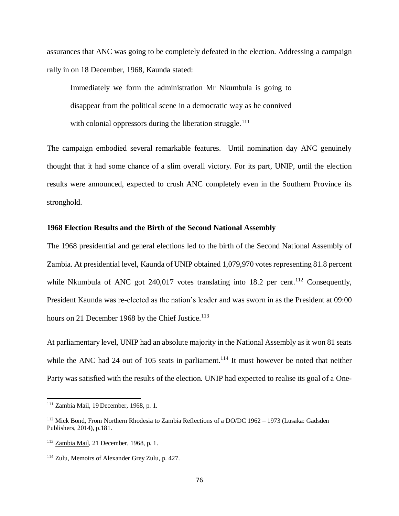assurances that ANC was going to be completely defeated in the election. Addressing a campaign rally in on 18 December, 1968, Kaunda stated:

Immediately we form the administration Mr Nkumbula is going to disappear from the political scene in a democratic way as he connived with colonial oppressors during the liberation struggle.<sup>111</sup>

The campaign embodied several remarkable features. Until nomination day ANC genuinely thought that it had some chance of a slim overall victory. For its part, UNIP, until the election results were announced, expected to crush ANC completely even in the Southern Province its stronghold.

# **1968 Election Results and the Birth of the Second National Assembly**

The 1968 presidential and general elections led to the birth of the Second National Assembly of Zambia. At presidential level, Kaunda of UNIP obtained 1,079,970 votes representing 81.8 percent while Nkumbula of ANC got  $240,017$  votes translating into 18.2 per cent.<sup>112</sup> Consequently, President Kaunda was re-elected as the nation's leader and was sworn in as the President at 09:00 hours on 21 December 1968 by the Chief Justice.<sup>113</sup>

At parliamentary level, UNIP had an absolute majority in the National Assembly as it won 81 seats while the ANC had 24 out of 105 seats in parliament.<sup>114</sup> It must however be noted that neither Party was satisfied with the results of the election. UNIP had expected to realise its goal of a One-

<sup>111</sup> Zambia Mail, 19 December, 1968, p. 1.

<sup>&</sup>lt;sup>112</sup> Mick Bond, From Northern Rhodesia to Zambia Reflections of a DO/DC 1962 – 1973 (Lusaka: Gadsden Publishers, 2014), p.181.

<sup>113</sup> Zambia Mail, 21 December, 1968, p. 1.

<sup>114</sup> Zulu, Memoirs of Alexander Grey Zulu, p. 427.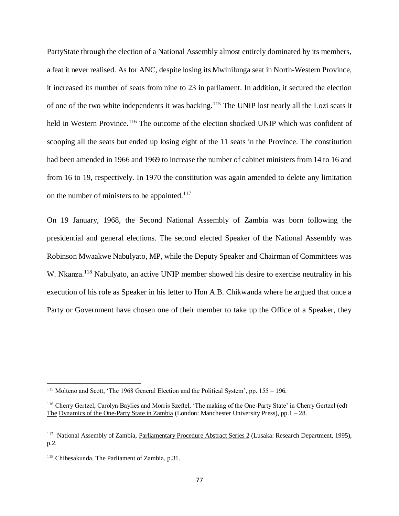PartyState through the election of a National Assembly almost entirely dominated by its members, a feat it never realised. As for ANC, despite losing its Mwinilunga seat in North-Western Province, it increased its number of seats from nine to 23 in parliament. In addition, it secured the election of one of the two white independents it was backing.<sup>115</sup> The UNIP lost nearly all the Lozi seats it held in Western Province.<sup>116</sup> The outcome of the election shocked UNIP which was confident of scooping all the seats but ended up losing eight of the 11 seats in the Province. The constitution had been amended in 1966 and 1969 to increase the number of cabinet ministers from 14 to 16 and from 16 to 19, respectively. In 1970 the constitution was again amended to delete any limitation on the number of ministers to be appointed.<sup>117</sup>

On 19 January, 1968, the Second National Assembly of Zambia was born following the presidential and general elections. The second elected Speaker of the National Assembly was Robinson Mwaakwe Nabulyato, MP, while the Deputy Speaker and Chairman of Committees was W. Nkanza.<sup>118</sup> Nabulyato, an active UNIP member showed his desire to exercise neutrality in his execution of his role as Speaker in his letter to Hon A.B. Chikwanda where he argued that once a Party or Government have chosen one of their member to take up the Office of a Speaker, they

<sup>115</sup> Molteno and Scott, 'The 1968 General Election and the Political System', pp. 155 – 196.

<sup>116</sup> Cherry Gertzel, Carolyn Baylies and Morris Szeftel, 'The making of the One-Party State' in Cherry Gertzel (ed) The Dynamics of the One-Party State in Zambia (London: Manchester University Press), pp.1 – 28.

<sup>&</sup>lt;sup>117</sup> National Assembly of Zambia, Parliamentary Procedure Abstract Series 2 (Lusaka: Research Department, 1995), p.2.

<sup>118</sup> Chibesakunda, The Parliament of Zambia, p.31.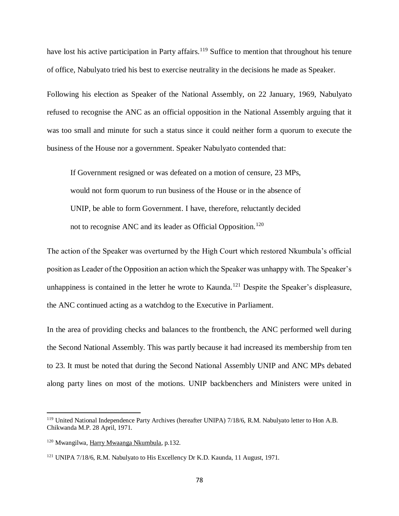have lost his active participation in Party affairs.<sup>119</sup> Suffice to mention that throughout his tenure of office, Nabulyato tried his best to exercise neutrality in the decisions he made as Speaker.

Following his election as Speaker of the National Assembly, on 22 January, 1969, Nabulyato refused to recognise the ANC as an official opposition in the National Assembly arguing that it was too small and minute for such a status since it could neither form a quorum to execute the business of the House nor a government. Speaker Nabulyato contended that:

If Government resigned or was defeated on a motion of censure, 23 MPs, would not form quorum to run business of the House or in the absence of UNIP, be able to form Government. I have, therefore, reluctantly decided not to recognise ANC and its leader as Official Opposition.<sup>120</sup>

The action of the Speaker was overturned by the High Court which restored Nkumbula's official position as Leader of the Opposition an action which the Speaker was unhappy with. The Speaker's unhappiness is contained in the letter he wrote to Kaunda.<sup>121</sup> Despite the Speaker's displeasure, the ANC continued acting as a watchdog to the Executive in Parliament.

In the area of providing checks and balances to the frontbench, the ANC performed well during the Second National Assembly. This was partly because it had increased its membership from ten to 23. It must be noted that during the Second National Assembly UNIP and ANC MPs debated along party lines on most of the motions. UNIP backbenchers and Ministers were united in

<sup>119</sup> United National Independence Party Archives (hereafter UNIPA) 7/18/6, R.M. Nabulyato letter to Hon A.B. Chikwanda M.P. 28 April, 1971.

<sup>120</sup> Mwangilwa, Harry Mwaanga Nkumbula, p.132.

<sup>121</sup> UNIPA 7/18/6, R.M. Nabulyato to His Excellency Dr K.D. Kaunda, 11 August, 1971.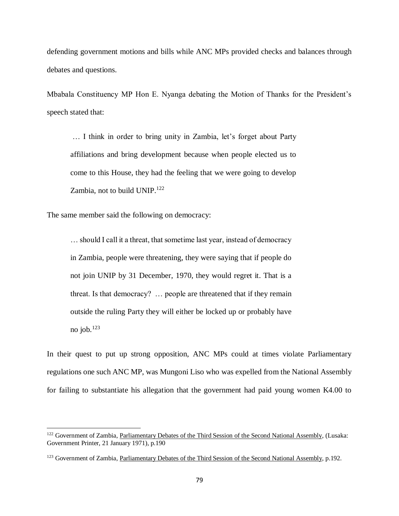defending government motions and bills while ANC MPs provided checks and balances through debates and questions.

Mbabala Constituency MP Hon E. Nyanga debating the Motion of Thanks for the President's speech stated that:

… I think in order to bring unity in Zambia, let's forget about Party affiliations and bring development because when people elected us to come to this House, they had the feeling that we were going to develop Zambia, not to build UNIP.<sup>122</sup>

The same member said the following on democracy:

 $\overline{\phantom{a}}$ 

… should I call it a threat, that sometime last year, instead of democracy in Zambia, people were threatening, they were saying that if people do not join UNIP by 31 December, 1970, they would regret it. That is a threat. Is that democracy? … people are threatened that if they remain outside the ruling Party they will either be locked up or probably have no job. $^{123}$ 

In their quest to put up strong opposition, ANC MPs could at times violate Parliamentary regulations one such ANC MP, was Mungoni Liso who was expelled from the National Assembly for failing to substantiate his allegation that the government had paid young women K4.00 to

<sup>&</sup>lt;sup>122</sup> Government of Zambia, Parliamentary Debates of the Third Session of the Second National Assembly, (Lusaka: Government Printer, 21 January 1971), p.190

<sup>&</sup>lt;sup>123</sup> Government of Zambia, Parliamentary Debates of the Third Session of the Second National Assembly, p.192.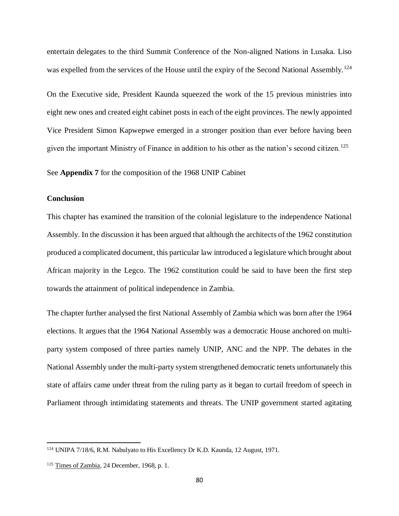entertain delegates to the third Summit Conference of the Non-aligned Nations in Lusaka. Liso was expelled from the services of the House until the expiry of the Second National Assembly.<sup>124</sup>

On the Executive side, President Kaunda squeezed the work of the 15 previous ministries into eight new ones and created eight cabinet posts in each of the eight provinces. The newly appointed Vice President Simon Kapwepwe emerged in a stronger position than ever before having been given the important Ministry of Finance in addition to his other as the nation's second citizen.<sup>125</sup>

See **Appendix 7** for the composition of the 1968 UNIP Cabinet

# **Conclusion**

This chapter has examined the transition of the colonial legislature to the independence National Assembly. In the discussion it has been argued that although the architects of the 1962 constitution produced a complicated document, this particular law introduced a legislature which brought about African majority in the Legco. The 1962 constitution could be said to have been the first step towards the attainment of political independence in Zambia.

The chapter further analysed the first National Assembly of Zambia which was born after the 1964 elections. It argues that the 1964 National Assembly was a democratic House anchored on multiparty system composed of three parties namely UNIP, ANC and the NPP. The debates in the National Assembly under the multi-party system strengthened democratic tenets unfortunately this state of affairs came under threat from the ruling party as it began to curtail freedom of speech in Parliament through intimidating statements and threats. The UNIP government started agitating

<sup>124</sup> UNIPA 7/18/6, R.M. Nabulyato to His Excellency Dr K.D. Kaunda, 12 August, 1971.

<sup>&</sup>lt;sup>125</sup> Times of Zambia, 24 December, 1968, p. 1.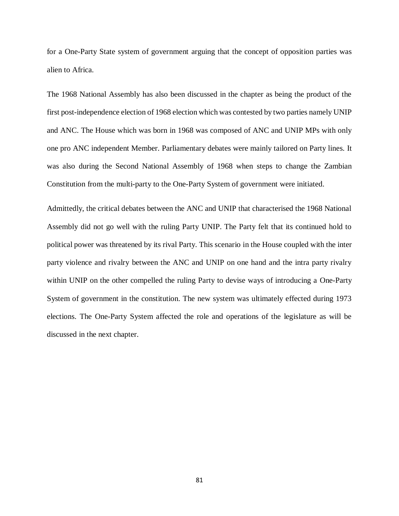for a One-Party State system of government arguing that the concept of opposition parties was alien to Africa.

The 1968 National Assembly has also been discussed in the chapter as being the product of the first post-independence election of 1968 election which was contested by two parties namely UNIP and ANC. The House which was born in 1968 was composed of ANC and UNIP MPs with only one pro ANC independent Member. Parliamentary debates were mainly tailored on Party lines. It was also during the Second National Assembly of 1968 when steps to change the Zambian Constitution from the multi-party to the One-Party System of government were initiated.

Admittedly, the critical debates between the ANC and UNIP that characterised the 1968 National Assembly did not go well with the ruling Party UNIP. The Party felt that its continued hold to political power was threatened by its rival Party. This scenario in the House coupled with the inter party violence and rivalry between the ANC and UNIP on one hand and the intra party rivalry within UNIP on the other compelled the ruling Party to devise ways of introducing a One-Party System of government in the constitution. The new system was ultimately effected during 1973 elections. The One-Party System affected the role and operations of the legislature as will be discussed in the next chapter.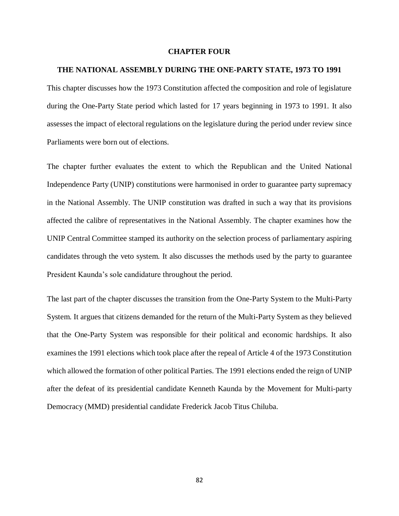#### **CHAPTER FOUR**

#### **THE NATIONAL ASSEMBLY DURING THE ONE-PARTY STATE, 1973 TO 1991**

This chapter discusses how the 1973 Constitution affected the composition and role of legislature during the One-Party State period which lasted for 17 years beginning in 1973 to 1991. It also assesses the impact of electoral regulations on the legislature during the period under review since Parliaments were born out of elections.

The chapter further evaluates the extent to which the Republican and the United National Independence Party (UNIP) constitutions were harmonised in order to guarantee party supremacy in the National Assembly. The UNIP constitution was drafted in such a way that its provisions affected the calibre of representatives in the National Assembly. The chapter examines how the UNIP Central Committee stamped its authority on the selection process of parliamentary aspiring candidates through the veto system. It also discusses the methods used by the party to guarantee President Kaunda's sole candidature throughout the period.

The last part of the chapter discusses the transition from the One-Party System to the Multi-Party System. It argues that citizens demanded for the return of the Multi-Party System as they believed that the One-Party System was responsible for their political and economic hardships. It also examines the 1991 elections which took place after the repeal of Article 4 of the 1973 Constitution which allowed the formation of other political Parties. The 1991 elections ended the reign of UNIP after the defeat of its presidential candidate Kenneth Kaunda by the Movement for Multi-party Democracy (MMD) presidential candidate Frederick Jacob Titus Chiluba.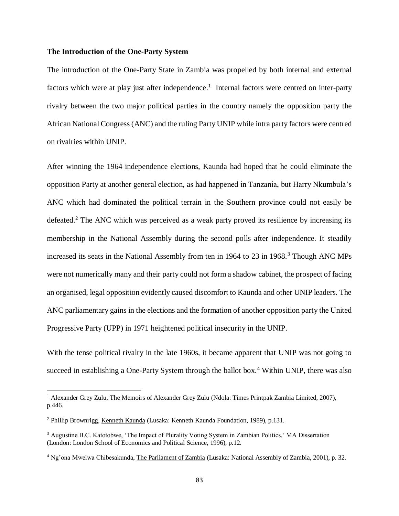## **The Introduction of the One-Party System**

The introduction of the One-Party State in Zambia was propelled by both internal and external factors which were at play just after independence.<sup>1</sup> Internal factors were centred on inter-party rivalry between the two major political parties in the country namely the opposition party the African National Congress (ANC) and the ruling Party UNIP while intra party factors were centred on rivalries within UNIP.

After winning the 1964 independence elections, Kaunda had hoped that he could eliminate the opposition Party at another general election, as had happened in Tanzania, but Harry Nkumbula's ANC which had dominated the political terrain in the Southern province could not easily be defeated.<sup>2</sup> The ANC which was perceived as a weak party proved its resilience by increasing its membership in the National Assembly during the second polls after independence. It steadily increased its seats in the National Assembly from ten in 1964 to 23 in 1968.<sup>3</sup> Though ANC MPs were not numerically many and their party could not form a shadow cabinet, the prospect of facing an organised, legal opposition evidently caused discomfort to Kaunda and other UNIP leaders. The ANC parliamentary gains in the elections and the formation of another opposition party the United Progressive Party (UPP) in 1971 heightened political insecurity in the UNIP.

With the tense political rivalry in the late 1960s, it became apparent that UNIP was not going to succeed in establishing a One-Party System through the ballot box.<sup>4</sup> Within UNIP, there was also

<sup>&</sup>lt;sup>1</sup> Alexander Grey Zulu, The Memoirs of Alexander Grey Zulu (Ndola: Times Printpak Zambia Limited, 2007), p.446.

<sup>2</sup> Phillip Brownrigg, Kenneth Kaunda (Lusaka: Kenneth Kaunda Foundation, 1989), p.131.

<sup>3</sup> Augustine B.C. Katotobwe, 'The Impact of Plurality Voting System in Zambian Politics,' MA Dissertation (London: London School of Economics and Political Science, 1996), p.12.

<sup>4</sup> Ng'ona Mwelwa Chibesakunda, The Parliament of Zambia (Lusaka: National Assembly of Zambia, 2001), p. 32.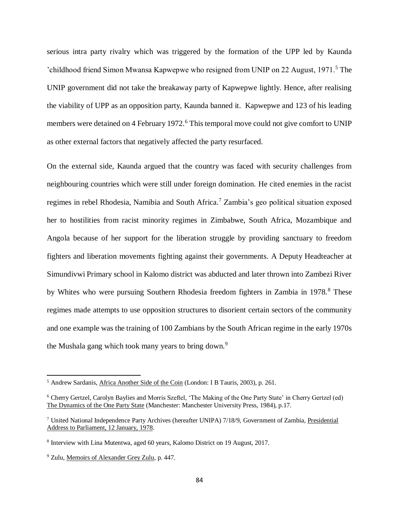serious intra party rivalry which was triggered by the formation of the UPP led by Kaunda 'childhood friend Simon Mwansa Kapwepwe who resigned from UNIP on 22 August, 1971.<sup>5</sup> The UNIP government did not take the breakaway party of Kapwepwe lightly. Hence, after realising the viability of UPP as an opposition party, Kaunda banned it. Kapwepwe and 123 of his leading members were detained on 4 February 1972.<sup>6</sup> This temporal move could not give comfort to UNIP as other external factors that negatively affected the party resurfaced.

On the external side, Kaunda argued that the country was faced with security challenges from neighbouring countries which were still under foreign domination. He cited enemies in the racist regimes in rebel Rhodesia, Namibia and South Africa.<sup>7</sup> Zambia's geo political situation exposed her to hostilities from racist minority regimes in Zimbabwe, South Africa, Mozambique and Angola because of her support for the liberation struggle by providing sanctuary to freedom fighters and liberation movements fighting against their governments. A Deputy Headteacher at Simundivwi Primary school in Kalomo district was abducted and later thrown into Zambezi River by Whites who were pursuing Southern Rhodesia freedom fighters in Zambia in 1978.<sup>8</sup> These regimes made attempts to use opposition structures to disorient certain sectors of the community and one example was the training of 100 Zambians by the South African regime in the early 1970s the Mushala gang which took many years to bring down.<sup>9</sup>

<sup>5</sup> Andrew Sardanis, Africa Another Side of the Coin (London: I B Tauris, 2003), p. 261.

<sup>6</sup> Cherry Gertzel, Carolyn Baylies and Morris Szeftel, 'The Making of the One Party State' in Cherry Gertzel (ed) The Dynamics of the One Party State (Manchester: Manchester University Press, 1984), p.17.

<sup>7</sup> United National Independence Party Archives (hereafter UNIPA) 7/18/9, Government of Zambia, Presidential Address to Parliament, 12 January, 1978.

<sup>&</sup>lt;sup>8</sup> Interview with Lina Mutentwa, aged 60 years, Kalomo District on 19 August, 2017.

<sup>9</sup> Zulu, Memoirs of Alexander Grey Zulu, p. 447.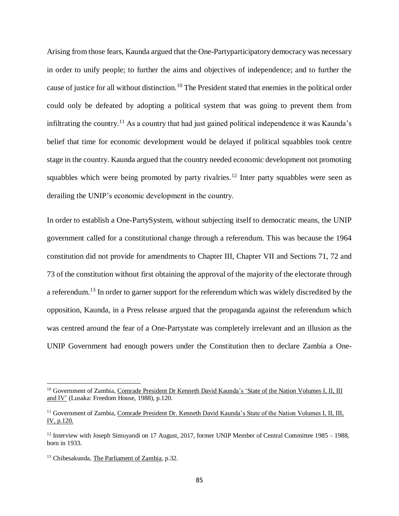Arising from those fears, Kaunda argued that the One-Partyparticipatory democracy was necessary in order to unify people; to further the aims and objectives of independence; and to further the cause of justice for all without distinction.<sup>10</sup> The President stated that enemies in the political order could only be defeated by adopting a political system that was going to prevent them from infiltrating the country.<sup>11</sup> As a country that had just gained political independence it was Kaunda's belief that time for economic development would be delayed if political squabbles took centre stage in the country. Kaunda argued that the country needed economic development not promoting squabbles which were being promoted by party rivalries.<sup>12</sup> Inter party squabbles were seen as derailing the UNIP's economic development in the country.

In order to establish a One-PartySystem, without subjecting itself to democratic means, the UNIP government called for a constitutional change through a referendum. This was because the 1964 constitution did not provide for amendments to Chapter III, Chapter VII and Sections 71, 72 and 73 of the constitution without first obtaining the approval of the majority of the electorate through a referendum.<sup>13</sup> In order to garner support for the referendum which was widely discredited by the opposition, Kaunda, in a Press release argued that the propaganda against the referendum which was centred around the fear of a One-Partystate was completely irrelevant and an illusion as the UNIP Government had enough powers under the Constitution then to declare Zambia a One-

<sup>&</sup>lt;sup>10</sup> Government of Zambia, Comrade President Dr Kenneth David Kaunda's 'State of the Nation Volumes I, II, III and IV' (Lusaka: Freedom House, 1988), p.120.

<sup>11</sup> Government of Zambia, Comrade President Dr. Kenneth David Kaunda's State of the Nation Volumes I, II, III, IV, p.120.

<sup>&</sup>lt;sup>12</sup> Interview with Joseph Simuyandi on 17 August, 2017, former UNIP Member of Central Committee 1985 – 1988, born in 1933.

<sup>&</sup>lt;sup>13</sup> Chibesakunda, The Parliament of Zambia, p.32.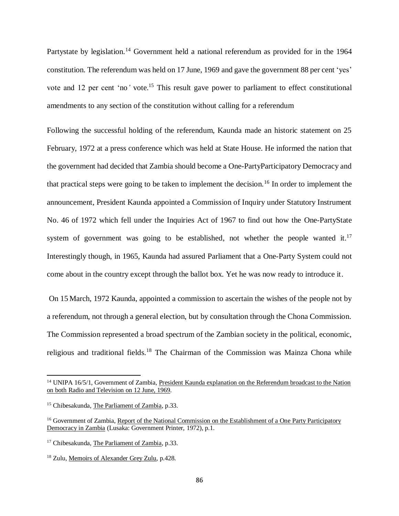Partystate by legislation.<sup>14</sup> Government held a national referendum as provided for in the 1964 constitution. The referendum was held on 17 June, 1969 and gave the government 88 per cent 'yes' vote and 12 per cent 'no*'* vote. <sup>15</sup> This result gave power to parliament to effect constitutional amendments to any section of the constitution without calling for a referendum

Following the successful holding of the referendum, Kaunda made an historic statement on 25 February, 1972 at a press conference which was held at State House. He informed the nation that the government had decided that Zambia should become a One-PartyParticipatory Democracy and that practical steps were going to be taken to implement the decision.<sup>16</sup> In order to implement the announcement, President Kaunda appointed a Commission of Inquiry under Statutory Instrument No. 46 of 1972 which fell under the Inquiries Act of 1967 to find out how the One-PartyState system of government was going to be established, not whether the people wanted it.<sup>17</sup> Interestingly though, in 1965, Kaunda had assured Parliament that a One-Party System could not come about in the country except through the ballot box. Yet he was now ready to introduce it.

On 15 March, 1972 Kaunda, appointed a commission to ascertain the wishes of the people not by a referendum, not through a general election, but by consultation through the Chona Commission. The Commission represented a broad spectrum of the Zambian society in the political, economic, religious and traditional fields.<sup>18</sup> The Chairman of the Commission was Mainza Chona while

<sup>14</sup> UNIPA 16/5/1, Government of Zambia, President Kaunda explanation on the Referendum broadcast to the Nation on both Radio and Television on 12 June, 1969.

<sup>15</sup> Chibesakunda, The Parliament of Zambia, p.33.

<sup>&</sup>lt;sup>16</sup> Government of Zambia, Report of the National Commission on the Establishment of a One Party Participatory Democracy in Zambia (Lusaka: Government Printer, 1972), p.1.

<sup>&</sup>lt;sup>17</sup> Chibesakunda, The Parliament of Zambia, p.33.

<sup>18</sup> Zulu, Memoirs of Alexander Grey Zulu, p.428.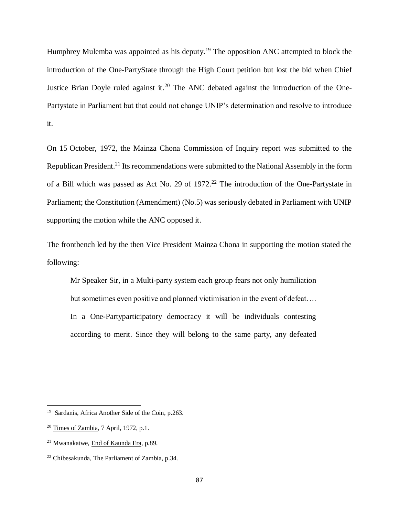Humphrey Mulemba was appointed as his deputy.<sup>19</sup> The opposition ANC attempted to block the introduction of the One-PartyState through the High Court petition but lost the bid when Chief Justice Brian Doyle ruled against it.<sup>20</sup> The ANC debated against the introduction of the One-Partystate in Parliament but that could not change UNIP's determination and resolve to introduce it.

On 15 October, 1972, the Mainza Chona Commission of Inquiry report was submitted to the Republican President.<sup>21</sup> Its recommendations were submitted to the National Assembly in the form of a Bill which was passed as Act No. 29 of  $1972<sup>22</sup>$  The introduction of the One-Partystate in Parliament; the Constitution (Amendment) (No.5) was seriously debated in Parliament with UNIP supporting the motion while the ANC opposed it.

The frontbench led by the then Vice President Mainza Chona in supporting the motion stated the following:

Mr Speaker Sir, in a Multi-party system each group fears not only humiliation but sometimes even positive and planned victimisation in the event of defeat…. In a One-Partyparticipatory democracy it will be individuals contesting according to merit. Since they will belong to the same party, any defeated

<sup>&</sup>lt;sup>19</sup> Sardanis, Africa Another Side of the Coin, p.263.

<sup>20</sup> Times of Zambia, 7 April, 1972, p.1.

<sup>21</sup> Mwanakatwe, End of Kaunda Era, p.89.

<sup>22</sup> Chibesakunda, The Parliament of Zambia, p.34.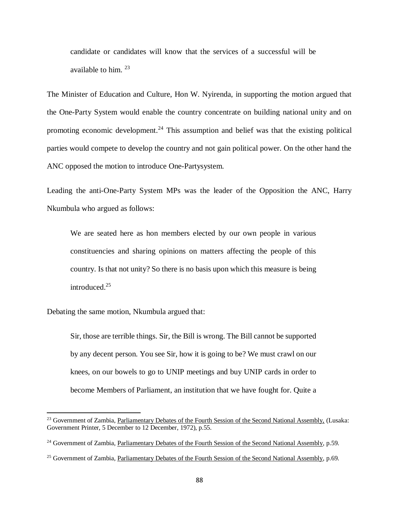candidate or candidates will know that the services of a successful will be available to him.<sup>23</sup>

The Minister of Education and Culture, Hon W. Nyirenda, in supporting the motion argued that the One-Party System would enable the country concentrate on building national unity and on promoting economic development.<sup>24</sup> This assumption and belief was that the existing political parties would compete to develop the country and not gain political power. On the other hand the ANC opposed the motion to introduce One-Partysystem.

Leading the anti-One-Party System MPs was the leader of the Opposition the ANC, Harry Nkumbula who argued as follows:

We are seated here as hon members elected by our own people in various constituencies and sharing opinions on matters affecting the people of this country. Is that not unity? So there is no basis upon which this measure is being introduced.<sup>25</sup>

Debating the same motion, Nkumbula argued that:

 $\overline{\phantom{a}}$ 

Sir, those are terrible things. Sir, the Bill is wrong. The Bill cannot be supported by any decent person. You see Sir, how it is going to be? We must crawl on our knees, on our bowels to go to UNIP meetings and buy UNIP cards in order to become Members of Parliament, an institution that we have fought for. Quite a

<sup>&</sup>lt;sup>23</sup> Government of Zambia, Parliamentary Debates of the Fourth Session of the Second National Assembly, (Lusaka: Government Printer, 5 December to 12 December, 1972), p.55.

<sup>&</sup>lt;sup>24</sup> Government of Zambia, Parliamentary Debates of the Fourth Session of the Second National Assembly, p.59.

<sup>&</sup>lt;sup>25</sup> Government of Zambia, Parliamentary Debates of the Fourth Session of the Second National Assembly, p.69.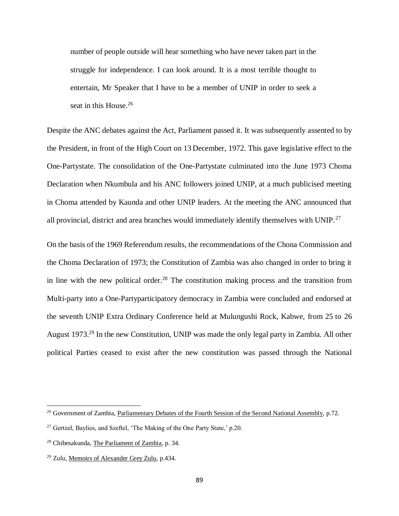number of people outside will hear something who have never taken part in the struggle for independence. I can look around. It is a most terrible thought to entertain, Mr Speaker that I have to be a member of UNIP in order to seek a seat in this House.<sup>26</sup>

Despite the ANC debates against the Act, Parliament passed it. It was subsequently assented to by the President, in front of the High Court on 13 December, 1972. This gave legislative effect to the One-Partystate. The consolidation of the One-Partystate culminated into the June 1973 Choma Declaration when Nkumbula and his ANC followers joined UNIP, at a much publicised meeting in Choma attended by Kaunda and other UNIP leaders. At the meeting the ANC announced that all provincial, district and area branches would immediately identify themselves with UNIP.<sup>27</sup>

On the basis of the 1969 Referendum results, the recommendations of the Chona Commission and the Choma Declaration of 1973; the Constitution of Zambia was also changed in order to bring it in line with the new political order.<sup>28</sup> The constitution making process and the transition from Multi-party into a One-Partyparticipatory democracy in Zambia were concluded and endorsed at the seventh UNIP Extra Ordinary Conference held at Mulungushi Rock, Kabwe, from 25 to 26 August 1973.<sup>29</sup> In the new Constitution, UNIP was made the only legal party in Zambia. All other political Parties ceased to exist after the new constitution was passed through the National

<sup>&</sup>lt;sup>26</sup> Government of Zambia, Parliamentary Debates of the Fourth Session of the Second National Assembly, p.72.

<sup>&</sup>lt;sup>27</sup> Gertzel, Baylies, and Szeftel, 'The Making of the One Party State,' p.20.

<sup>28</sup> Chibesakunda, The Parliament of Zambia, p. 34.

<sup>29</sup> Zulu, Memoirs of Alexander Grey Zulu, p.434.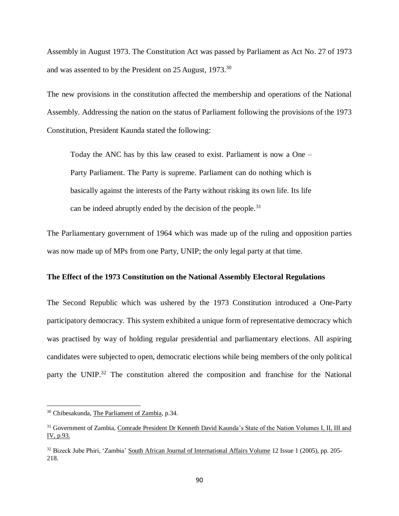Assembly in August 1973. The Constitution Act was passed by Parliament as Act No. 27 of 1973 and was assented to by the President on 25 August, 1973.<sup>30</sup>

The new provisions in the constitution affected the membership and operations of the National Assembly. Addressing the nation on the status of Parliament following the provisions of the 1973 Constitution, President Kaunda stated the following:

Today the ANC has by this law ceased to exist. Parliament is now a One – Party Parliament. The Party is supreme. Parliament can do nothing which is basically against the interests of the Party without risking its own life. Its life can be indeed abruptly ended by the decision of the people.<sup>31</sup>

The Parliamentary government of 1964 which was made up of the ruling and opposition parties was now made up of MPs from one Party, UNIP; the only legal party at that time.

# **The Effect of the 1973 Constitution on the National Assembly Electoral Regulations**

The Second Republic which was ushered by the 1973 Constitution introduced a One-Party participatory democracy. This system exhibited a unique form of representative democracy which was practised by way of holding regular presidential and parliamentary elections. All aspiring candidates were subjected to open, democratic elections while being members of the only political party the UNIP.<sup>32</sup> The constitution altered the composition and franchise for the National

<sup>30</sup> Chibesakunda, The Parliament of Zambia, p.34.

<sup>&</sup>lt;sup>31</sup> Government of Zambia, Comrade President Dr Kenneth David Kaunda's State of the Nation Volumes I, II, III and IV, p.93.

<sup>&</sup>lt;sup>32</sup> Bizeck Jube Phiri, 'Zambia' South African Journal of International Affairs Volume 12 Issue 1 (2005), pp. 205-218.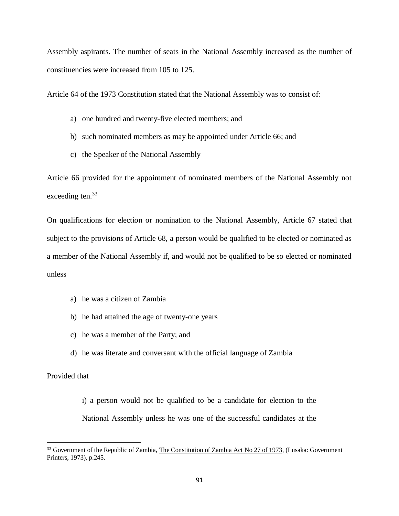Assembly aspirants. The number of seats in the National Assembly increased as the number of constituencies were increased from 105 to 125.

Article 64 of the 1973 Constitution stated that the National Assembly was to consist of:

- a) one hundred and twenty-five elected members; and
- b) such nominated members as may be appointed under Article 66; and
- c) the Speaker of the National Assembly

Article 66 provided for the appointment of nominated members of the National Assembly not exceeding ten.<sup>33</sup>

On qualifications for election or nomination to the National Assembly, Article 67 stated that subject to the provisions of Article 68, a person would be qualified to be elected or nominated as a member of the National Assembly if, and would not be qualified to be so elected or nominated unless

- a) he was a citizen of Zambia
- b) he had attained the age of twenty-one years
- c) he was a member of the Party; and
- d) he was literate and conversant with the official language of Zambia

# Provided that

 $\overline{a}$ 

i) a person would not be qualified to be a candidate for election to the National Assembly unless he was one of the successful candidates at the

<sup>&</sup>lt;sup>33</sup> Government of the Republic of Zambia, The Constitution of Zambia Act No 27 of 1973, (Lusaka: Government Printers, 1973), p.245.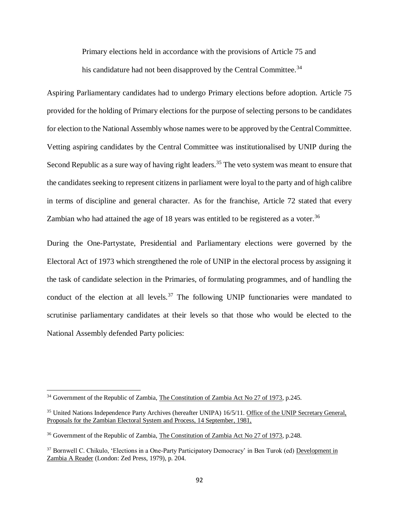Primary elections held in accordance with the provisions of Article 75 and his candidature had not been disapproved by the Central Committee.<sup>34</sup>

Aspiring Parliamentary candidates had to undergo Primary elections before adoption. Article 75 provided for the holding of Primary elections for the purpose of selecting persons to be candidates for election to the National Assembly whose names were to be approved by the Central Committee. Vetting aspiring candidates by the Central Committee was institutionalised by UNIP during the Second Republic as a sure way of having right leaders.<sup>35</sup> The veto system was meant to ensure that the candidates seeking to represent citizens in parliament were loyal to the party and of high calibre in terms of discipline and general character. As for the franchise, Article 72 stated that every Zambian who had attained the age of 18 years was entitled to be registered as a voter.<sup>36</sup>

During the One-Partystate, Presidential and Parliamentary elections were governed by the Electoral Act of 1973 which strengthened the role of UNIP in the electoral process by assigning it the task of candidate selection in the Primaries, of formulating programmes, and of handling the conduct of the election at all levels. $37$  The following UNIP functionaries were mandated to scrutinise parliamentary candidates at their levels so that those who would be elected to the National Assembly defended Party policies:

 $\overline{\phantom{a}}$ <sup>34</sup> Government of the Republic of Zambia, The Constitution of Zambia Act No 27 of 1973, p.245.

<sup>35</sup> United Nations Independence Party Archives (hereafter UNIPA) 16/5/11. Office of the UNIP Secretary General, Proposals for the Zambian Electoral System and Process, 14 September, 1981,

<sup>36</sup> Government of the Republic of Zambia, The Constitution of Zambia Act No 27 of 1973, p.248.

<sup>37</sup> Bornwell C. Chikulo, 'Elections in a One-Party Participatory Democracy' in Ben Turok (ed) Development in Zambia A Reader (London: Zed Press, 1979), p. 204.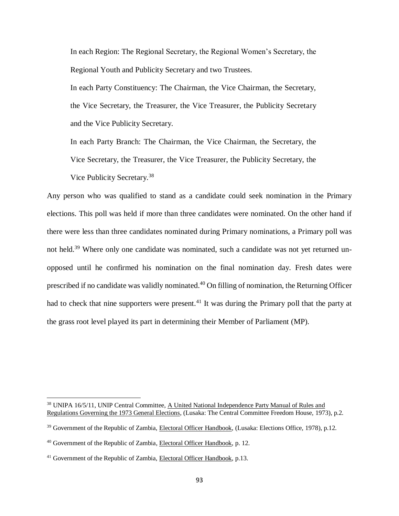In each Region: The Regional Secretary, the Regional Women's Secretary, the Regional Youth and Publicity Secretary and two Trustees.

In each Party Constituency: The Chairman, the Vice Chairman, the Secretary, the Vice Secretary, the Treasurer, the Vice Treasurer, the Publicity Secretary and the Vice Publicity Secretary.

In each Party Branch: The Chairman, the Vice Chairman, the Secretary, the Vice Secretary, the Treasurer, the Vice Treasurer, the Publicity Secretary, the Vice Publicity Secretary.<sup>38</sup>

Any person who was qualified to stand as a candidate could seek nomination in the Primary elections. This poll was held if more than three candidates were nominated. On the other hand if there were less than three candidates nominated during Primary nominations, a Primary poll was not held.<sup>39</sup> Where only one candidate was nominated, such a candidate was not yet returned unopposed until he confirmed his nomination on the final nomination day. Fresh dates were prescribed if no candidate was validly nominated.<sup>40</sup> On filling of nomination, the Returning Officer had to check that nine supporters were present.<sup>41</sup> It was during the Primary poll that the party at the grass root level played its part in determining their Member of Parliament (MP).

<sup>&</sup>lt;sup>38</sup> UNIPA 16/5/11, UNIP Central Committee, A United National Independence Party Manual of Rules and Regulations Governing the 1973 General Elections, (Lusaka: The Central Committee Freedom House, 1973), p.2.

<sup>39</sup> Government of the Republic of Zambia, Electoral Officer Handbook, (Lusaka: Elections Office, 1978), p.12.

<sup>40</sup> Government of the Republic of Zambia, Electoral Officer Handbook, p. 12.

<sup>&</sup>lt;sup>41</sup> Government of the Republic of Zambia, Electoral Officer Handbook, p.13.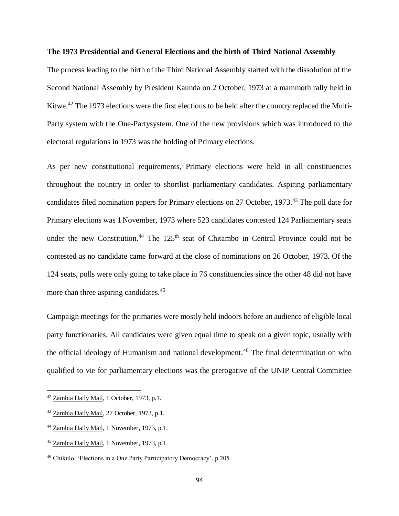## **The 1973 Presidential and General Elections and the birth of Third National Assembly**

The process leading to the birth of the Third National Assembly started with the dissolution of the Second National Assembly by President Kaunda on 2 October, 1973 at a mammoth rally held in Kitwe.<sup>42</sup> The 1973 elections were the first elections to be held after the country replaced the Multi-Party system with the One-Partysystem. One of the new provisions which was introduced to the electoral regulations in 1973 was the holding of Primary elections.

As per new constitutional requirements, Primary elections were held in all constituencies throughout the country in order to shortlist parliamentary candidates. Aspiring parliamentary candidates filed nomination papers for Primary elections on 27 October, 1973.<sup>43</sup> The poll date for Primary elections was 1 November, 1973 where 523 candidates contested 124 Parliamentary seats under the new Constitution.<sup>44</sup> The  $125<sup>th</sup>$  seat of Chitambo in Central Province could not be contested as no candidate came forward at the close of nominations on 26 October, 1973. Of the 124 seats, polls were only going to take place in 76 constituencies since the other 48 did not have more than three aspiring candidates.<sup>45</sup>

Campaign meetings for the primaries were mostly held indoors before an audience of eligible local party functionaries. All candidates were given equal time to speak on a given topic, usually with the official ideology of Humanism and national development.<sup>46</sup> The final determination on who qualified to vie for parliamentary elections was the prerogative of the UNIP Central Committee

<sup>&</sup>lt;sup>42</sup> Zambia Daily Mail, 1 October, 1973, p.1.

<sup>43</sup> Zambia Daily Mail, 27 October, 1973, p.1.

<sup>44</sup> Zambia Daily Mail, 1 November, 1973, p.1.

<sup>45</sup> Zambia Daily Mail, 1 November, 1973, p.1.

<sup>46</sup> Chikulo, 'Elections in a One Party Participatory Democracy', p.205.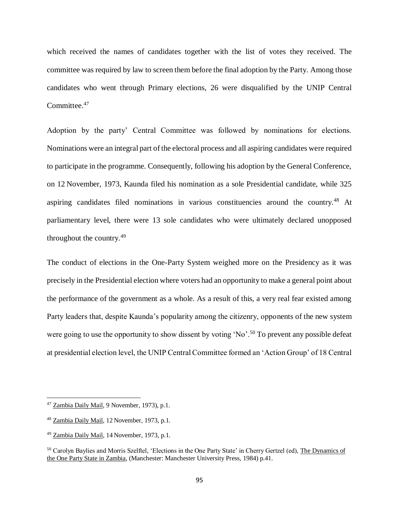which received the names of candidates together with the list of votes they received. The committee was required by law to screen them before the final adoption by the Party. Among those candidates who went through Primary elections, 26 were disqualified by the UNIP Central Committee.<sup>47</sup>

Adoption by the party' Central Committee was followed by nominations for elections. Nominations were an integral part of the electoral process and all aspiring candidates were required to participate in the programme. Consequently, following his adoption by the General Conference, on 12 November, 1973, Kaunda filed his nomination as a sole Presidential candidate, while 325 aspiring candidates filed nominations in various constituencies around the country.<sup>48</sup> At parliamentary level, there were 13 sole candidates who were ultimately declared unopposed throughout the country.<sup>49</sup>

The conduct of elections in the One-Party System weighed more on the Presidency as it was precisely in the Presidential election where voters had an opportunity to make a general point about the performance of the government as a whole. As a result of this, a very real fear existed among Party leaders that, despite Kaunda's popularity among the citizenry, opponents of the new system were going to use the opportunity to show dissent by voting 'No'.<sup>50</sup> To prevent any possible defeat at presidential election level, the UNIP Central Committee formed an 'Action Group' of 18 Central

<sup>47</sup> Zambia Daily Mail, 9 November, 1973), p.1.

<sup>48</sup> Zambia Daily Mail, 12 November, 1973, p.1.

<sup>49</sup> Zambia Daily Mail, 14 November, 1973, p.1.

<sup>50</sup> Carolyn Baylies and Morris Szelftel, 'Elections in the One Party State' in Cherry Gertzel (ed), The Dynamics of the One Party State in Zambia, (Manchester: Manchester University Press, 1984) p.41.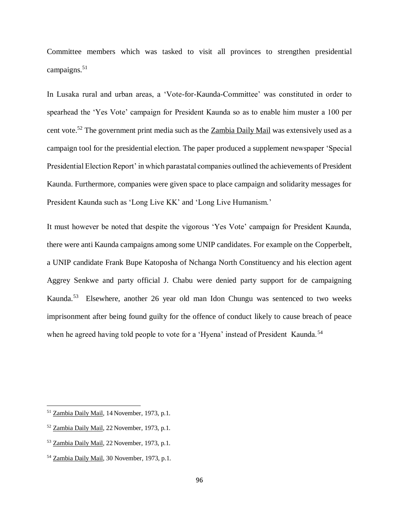Committee members which was tasked to visit all provinces to strengthen presidential campaigns.<sup>51</sup>

In Lusaka rural and urban areas, a 'Vote-for-Kaunda-Committee' was constituted in order to spearhead the 'Yes Vote' campaign for President Kaunda so as to enable him muster a 100 per cent vote.<sup>52</sup> The government print media such as the Zambia Daily Mail was extensively used as a campaign tool for the presidential election. The paper produced a supplement newspaper 'Special Presidential Election Report' in which parastatal companies outlined the achievements of President Kaunda. Furthermore, companies were given space to place campaign and solidarity messages for President Kaunda such as 'Long Live KK' and 'Long Live Humanism.'

It must however be noted that despite the vigorous 'Yes Vote' campaign for President Kaunda, there were anti Kaunda campaigns among some UNIP candidates. For example on the Copperbelt, a UNIP candidate Frank Bupe Katoposha of Nchanga North Constituency and his election agent Aggrey Senkwe and party official J. Chabu were denied party support for de campaigning Kaunda.<sup>53</sup> Elsewhere, another 26 year old man Idon Chungu was sentenced to two weeks imprisonment after being found guilty for the offence of conduct likely to cause breach of peace when he agreed having told people to vote for a 'Hyena' instead of President Kaunda.<sup>54</sup>

<sup>&</sup>lt;sup>51</sup> Zambia Daily Mail, 14 November, 1973, p.1.

<sup>52</sup> Zambia Daily Mail, 22 November, 1973, p.1.

<sup>53</sup> Zambia Daily Mail, 22 November, 1973, p.1.

<sup>54</sup> Zambia Daily Mail, 30 November, 1973, p.1.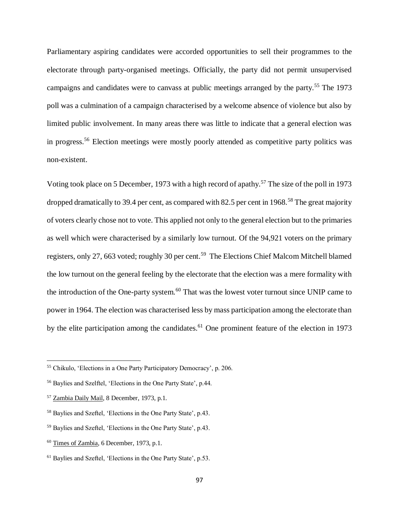Parliamentary aspiring candidates were accorded opportunities to sell their programmes to the electorate through party-organised meetings. Officially, the party did not permit unsupervised campaigns and candidates were to canvass at public meetings arranged by the party.<sup>55</sup> The 1973 poll was a culmination of a campaign characterised by a welcome absence of violence but also by limited public involvement. In many areas there was little to indicate that a general election was in progress.<sup>56</sup> Election meetings were mostly poorly attended as competitive party politics was non-existent.

Voting took place on 5 December, 1973 with a high record of apathy.<sup>57</sup> The size of the poll in 1973 dropped dramatically to 39.4 per cent, as compared with 82.5 per cent in 1968.<sup>58</sup> The great majority of voters clearly chose not to vote. This applied not only to the general election but to the primaries as well which were characterised by a similarly low turnout. Of the 94,921 voters on the primary registers, only 27, 663 voted; roughly 30 per cent.<sup>59</sup> The Elections Chief Malcom Mitchell blamed the low turnout on the general feeling by the electorate that the election was a mere formality with the introduction of the One-party system.<sup>60</sup> That was the lowest voter turnout since UNIP came to power in 1964. The election was characterised less by mass participation among the electorate than by the elite participation among the candidates.<sup>61</sup> One prominent feature of the election in 1973

<sup>55</sup> Chikulo, 'Elections in a One Party Participatory Democracy', p. 206.

<sup>56</sup> Baylies and Szelftel, 'Elections in the One Party State', p.44.

<sup>57</sup> Zambia Daily Mail, 8 December, 1973, p.1.

<sup>58</sup> Baylies and Szeftel, 'Elections in the One Party State', p.43.

<sup>59</sup> Baylies and Szeftel, 'Elections in the One Party State', p.43.

<sup>60</sup> Times of Zambia, 6 December, 1973, p.1.

<sup>61</sup> Baylies and Szeftel, 'Elections in the One Party State', p.53.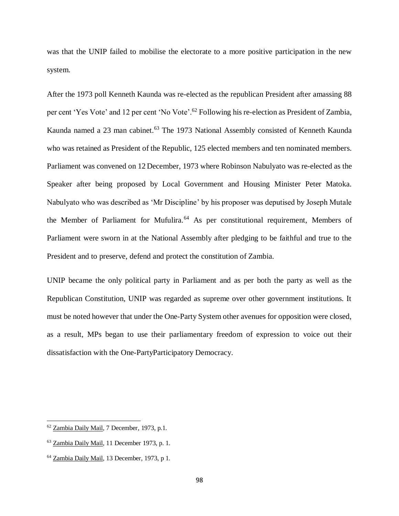was that the UNIP failed to mobilise the electorate to a more positive participation in the new system.

After the 1973 poll Kenneth Kaunda was re-elected as the republican President after amassing 88 per cent 'Yes Vote' and 12 per cent 'No Vote'.<sup>62</sup> Following his re-election as President of Zambia, Kaunda named a 23 man cabinet.<sup>63</sup> The 1973 National Assembly consisted of Kenneth Kaunda who was retained as President of the Republic, 125 elected members and ten nominated members. Parliament was convened on 12 December, 1973 where Robinson Nabulyato was re-elected as the Speaker after being proposed by Local Government and Housing Minister Peter Matoka. Nabulyato who was described as 'Mr Discipline' by his proposer was deputised by Joseph Mutale the Member of Parliament for Mufulira.<sup>64</sup> As per constitutional requirement, Members of Parliament were sworn in at the National Assembly after pledging to be faithful and true to the President and to preserve, defend and protect the constitution of Zambia.

UNIP became the only political party in Parliament and as per both the party as well as the Republican Constitution, UNIP was regarded as supreme over other government institutions. It must be noted however that under the One-Party System other avenues for opposition were closed, as a result, MPs began to use their parliamentary freedom of expression to voice out their dissatisfaction with the One-PartyParticipatory Democracy.

<sup>62</sup> Zambia Daily Mail, 7 December, 1973, p.1.

<sup>63</sup> Zambia Daily Mail, 11 December 1973, p. 1.

<sup>64</sup> Zambia Daily Mail, 13 December, 1973, p 1.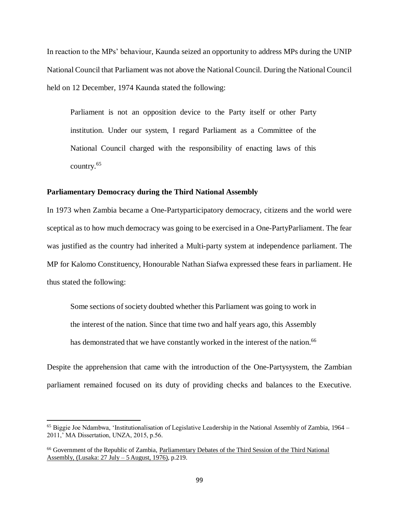In reaction to the MPs' behaviour, Kaunda seized an opportunity to address MPs during the UNIP National Council that Parliament was not above the National Council. During the National Council held on 12 December, 1974 Kaunda stated the following:

Parliament is not an opposition device to the Party itself or other Party institution. Under our system, I regard Parliament as a Committee of the National Council charged with the responsibility of enacting laws of this country.<sup>65</sup>

## **Parliamentary Democracy during the Third National Assembly**

In 1973 when Zambia became a One-Partyparticipatory democracy, citizens and the world were sceptical as to how much democracy was going to be exercised in a One-PartyParliament. The fear was justified as the country had inherited a Multi-party system at independence parliament. The MP for Kalomo Constituency, Honourable Nathan Siafwa expressed these fears in parliament. He thus stated the following:

Some sections of society doubted whether this Parliament was going to work in the interest of the nation. Since that time two and half years ago, this Assembly has demonstrated that we have constantly worked in the interest of the nation.<sup>66</sup>

Despite the apprehension that came with the introduction of the One-Partysystem, the Zambian parliament remained focused on its duty of providing checks and balances to the Executive.

 $65$  Biggie Joe Ndambwa, 'Institutionalisation of Legislative Leadership in the National Assembly of Zambia, 1964 – 2011,' MA Dissertation, UNZA, 2015, p.56.

<sup>66</sup> Government of the Republic of Zambia, Parliamentary Debates of the Third Session of the Third National Assembly, (Lusaka: 27 July – 5 August, 1976), p.219.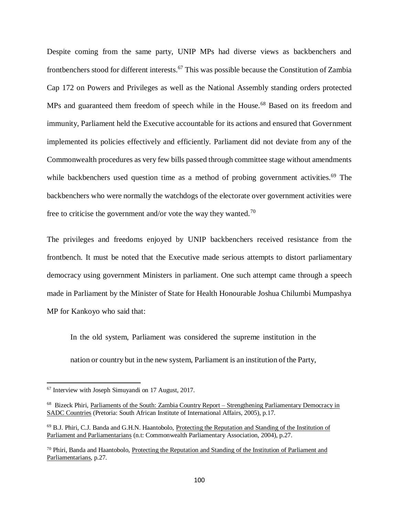Despite coming from the same party, UNIP MPs had diverse views as backbenchers and frontbenchers stood for different interests.<sup>67</sup> This was possible because the Constitution of Zambia Cap 172 on Powers and Privileges as well as the National Assembly standing orders protected MPs and guaranteed them freedom of speech while in the House.<sup>68</sup> Based on its freedom and immunity, Parliament held the Executive accountable for its actions and ensured that Government implemented its policies effectively and efficiently. Parliament did not deviate from any of the Commonwealth procedures as very few bills passed through committee stage without amendments while backbenchers used question time as a method of probing government activities.<sup>69</sup> The backbenchers who were normally the watchdogs of the electorate over government activities were free to criticise the government and/or vote the way they wanted.<sup>70</sup>

The privileges and freedoms enjoyed by UNIP backbenchers received resistance from the frontbench. It must be noted that the Executive made serious attempts to distort parliamentary democracy using government Ministers in parliament. One such attempt came through a speech made in Parliament by the Minister of State for Health Honourable Joshua Chilumbi Mumpashya MP for Kankoyo who said that:

In the old system, Parliament was considered the supreme institution in the nation or country but in the new system, Parliament is an institution of the Party,

<sup>67</sup> Interview with Joseph Simuyandi on 17 August, 2017.

<sup>&</sup>lt;sup>68</sup> Bizeck Phiri, Parliaments of the South: Zambia Country Report – Strengthening Parliamentary Democracy in SADC Countries (Pretoria: South African Institute of International Affairs, 2005), p.17.

<sup>69</sup> B.J. Phiri, C.J. Banda and G.H.N. Haantobolo, Protecting the Reputation and Standing of the Institution of Parliament and Parliamentarians (n.t: Commonwealth Parliamentary Association, 2004), p.27.

 $70$  Phiri, Banda and Haantobolo, Protecting the Reputation and Standing of the Institution of Parliament and Parliamentarians, p.27.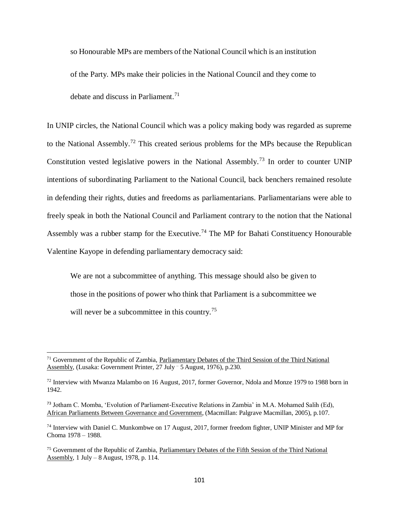so Honourable MPs are members of the National Council which is an institution of the Party. MPs make their policies in the National Council and they come to debate and discuss in Parliament.<sup>71</sup>

In UNIP circles, the National Council which was a policy making body was regarded as supreme to the National Assembly.<sup>72</sup> This created serious problems for the MPs because the Republican Constitution vested legislative powers in the National Assembly.<sup>73</sup> In order to counter UNIP intentions of subordinating Parliament to the National Council, back benchers remained resolute in defending their rights, duties and freedoms as parliamentarians. Parliamentarians were able to freely speak in both the National Council and Parliament contrary to the notion that the National Assembly was a rubber stamp for the Executive.<sup>74</sup> The MP for Bahati Constituency Honourable Valentine Kayope in defending parliamentary democracy said:

We are not a subcommittee of anything. This message should also be given to those in the positions of power who think that Parliament is a subcommittee we will never be a subcommittee in this country.<sup>75</sup>

<sup>71</sup> Government of the Republic of Zambia, Parliamentary Debates of the Third Session of the Third National Assembly, (Lusaka: Government Printer, 27 July – 5 August, 1976), p.230.

 $^{72}$  Interview with Mwanza Malambo on 16 August, 2017, former Governor, Ndola and Monze 1979 to 1988 born in 1942.

<sup>73</sup> Jotham C. Momba, 'Evolution of Parliament-Executive Relations in Zambia' in M.A. Mohamed Salih (Ed), African Parliaments Between Governance and Government, (Macmillan: Palgrave Macmillan, 2005), p.107.

<sup>74</sup> Interview with Daniel C. Munkombwe on 17 August, 2017, former freedom fighter, UNIP Minister and MP for Choma 1978 – 1988.

<sup>75</sup> Government of the Republic of Zambia, Parliamentary Debates of the Fifth Session of the Third National Assembly, 1 July – 8 August, 1978, p. 114.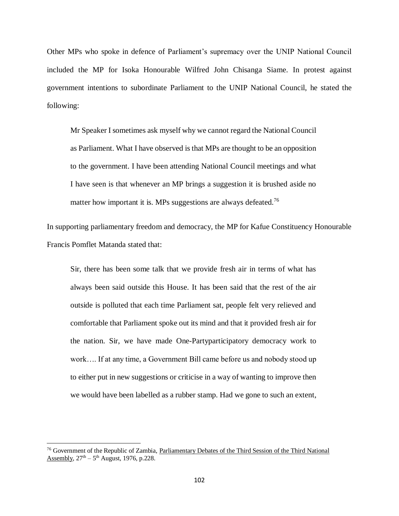Other MPs who spoke in defence of Parliament's supremacy over the UNIP National Council included the MP for Isoka Honourable Wilfred John Chisanga Siame. In protest against government intentions to subordinate Parliament to the UNIP National Council, he stated the following:

Mr Speaker I sometimes ask myself why we cannot regard the National Council as Parliament. What I have observed is that MPs are thought to be an opposition to the government. I have been attending National Council meetings and what I have seen is that whenever an MP brings a suggestion it is brushed aside no matter how important it is. MPs suggestions are always defeated.<sup>76</sup>

In supporting parliamentary freedom and democracy, the MP for Kafue Constituency Honourable Francis Pomflet Matanda stated that:

Sir, there has been some talk that we provide fresh air in terms of what has always been said outside this House. It has been said that the rest of the air outside is polluted that each time Parliament sat, people felt very relieved and comfortable that Parliament spoke out its mind and that it provided fresh air for the nation. Sir, we have made One-Partyparticipatory democracy work to work…. If at any time, a Government Bill came before us and nobody stood up to either put in new suggestions or criticise in a way of wanting to improve then we would have been labelled as a rubber stamp. Had we gone to such an extent,

<sup>&</sup>lt;sup>76</sup> Government of the Republic of Zambia, Parliamentary Debates of the Third Session of the Third National Assembly,  $27<sup>th</sup> - 5<sup>th</sup>$  August, 1976, p.228.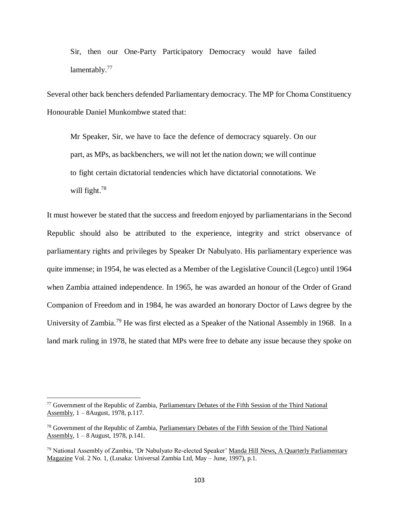Sir, then our One-Party Participatory Democracy would have failed lamentably.<sup>77</sup>

Several other back benchers defended Parliamentary democracy. The MP for Choma Constituency Honourable Daniel Munkombwe stated that:

Mr Speaker, Sir, we have to face the defence of democracy squarely. On our part, as MPs, as backbenchers, we will not let the nation down; we will continue to fight certain dictatorial tendencies which have dictatorial connotations. We will fight.<sup>78</sup>

It must however be stated that the success and freedom enjoyed by parliamentarians in the Second Republic should also be attributed to the experience, integrity and strict observance of parliamentary rights and privileges by Speaker Dr Nabulyato. His parliamentary experience was quite immense; in 1954, he was elected as a Member of the Legislative Council (Legco) until 1964 when Zambia attained independence. In 1965, he was awarded an honour of the Order of Grand Companion of Freedom and in 1984, he was awarded an honorary Doctor of Laws degree by the University of Zambia.<sup>79</sup> He was first elected as a Speaker of the National Assembly in 1968. In a land mark ruling in 1978, he stated that MPs were free to debate any issue because they spoke on

<sup>&</sup>lt;sup>77</sup> Government of the Republic of Zambia, Parliamentary Debates of the Fifth Session of the Third National Assembly, 1 – 8August, 1978, p.117.

<sup>78</sup> Government of the Republic of Zambia, Parliamentary Debates of the Fifth Session of the Third National Assembly,  $1 - 8$  August, 1978, p.141.

<sup>&</sup>lt;sup>79</sup> National Assembly of Zambia, 'Dr Nabulyato Re-elected Speaker' Manda Hill News, A Quarterly Parliamentary Magazine Vol. 2 No. 1, (Lusaka: Universal Zambia Ltd, May – June, 1997), p.1.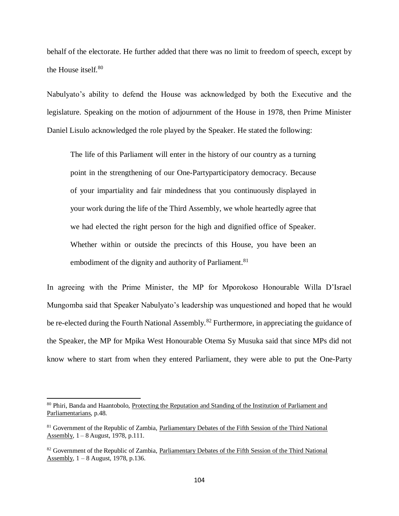behalf of the electorate. He further added that there was no limit to freedom of speech, except by the House itself.<sup>80</sup>

Nabulyato's ability to defend the House was acknowledged by both the Executive and the legislature. Speaking on the motion of adjournment of the House in 1978, then Prime Minister Daniel Lisulo acknowledged the role played by the Speaker. He stated the following:

The life of this Parliament will enter in the history of our country as a turning point in the strengthening of our One-Partyparticipatory democracy. Because of your impartiality and fair mindedness that you continuously displayed in your work during the life of the Third Assembly, we whole heartedly agree that we had elected the right person for the high and dignified office of Speaker. Whether within or outside the precincts of this House, you have been an embodiment of the dignity and authority of Parliament.<sup>81</sup>

In agreeing with the Prime Minister, the MP for Mporokoso Honourable Willa D'Israel Mungomba said that Speaker Nabulyato's leadership was unquestioned and hoped that he would be re-elected during the Fourth National Assembly.<sup>82</sup> Furthermore, in appreciating the guidance of the Speaker, the MP for Mpika West Honourable Otema Sy Musuka said that since MPs did not know where to start from when they entered Parliament, they were able to put the One-Party

<sup>80</sup> Phiri, Banda and Haantobolo, Protecting the Reputation and Standing of the Institution of Parliament and Parliamentarians, p.48.

<sup>81</sup> Government of the Republic of Zambia, Parliamentary Debates of the Fifth Session of the Third National Assembly,  $1 - 8$  August, 1978, p.111.

<sup>&</sup>lt;sup>82</sup> Government of the Republic of Zambia, Parliamentary Debates of the Fifth Session of the Third National Assembly, 1 – 8 August, 1978, p.136.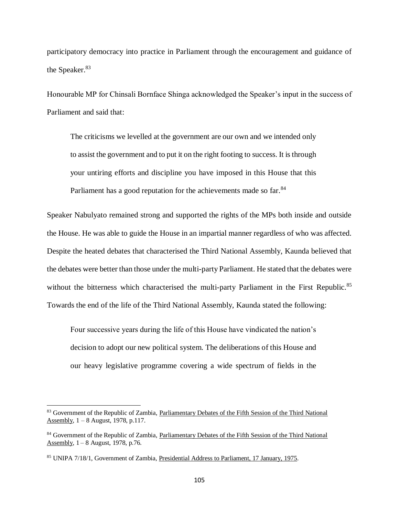participatory democracy into practice in Parliament through the encouragement and guidance of the Speaker.<sup>83</sup>

Honourable MP for Chinsali Bornface Shinga acknowledged the Speaker's input in the success of Parliament and said that:

The criticisms we levelled at the government are our own and we intended only to assist the government and to put it on the right footing to success. It is through your untiring efforts and discipline you have imposed in this House that this Parliament has a good reputation for the achievements made so far.<sup>84</sup>

Speaker Nabulyato remained strong and supported the rights of the MPs both inside and outside the House. He was able to guide the House in an impartial manner regardless of who was affected. Despite the heated debates that characterised the Third National Assembly, Kaunda believed that the debates were better than those under the multi-party Parliament. He stated that the debates were without the bitterness which characterised the multi-party Parliament in the First Republic.<sup>85</sup> Towards the end of the life of the Third National Assembly, Kaunda stated the following:

Four successive years during the life of this House have vindicated the nation's decision to adopt our new political system. The deliberations of this House and our heavy legislative programme covering a wide spectrum of fields in the

<sup>&</sup>lt;sup>83</sup> Government of the Republic of Zambia, Parliamentary Debates of the Fifth Session of the Third National Assembly, 1 – 8 August, 1978, p.117.

<sup>&</sup>lt;sup>84</sup> Government of the Republic of Zambia, Parliamentary Debates of the Fifth Session of the Third National Assembly,  $1 - 8$  August, 1978, p.76.

<sup>85</sup> UNIPA 7/18/1, Government of Zambia, Presidential Address to Parliament, 17 January, 1975.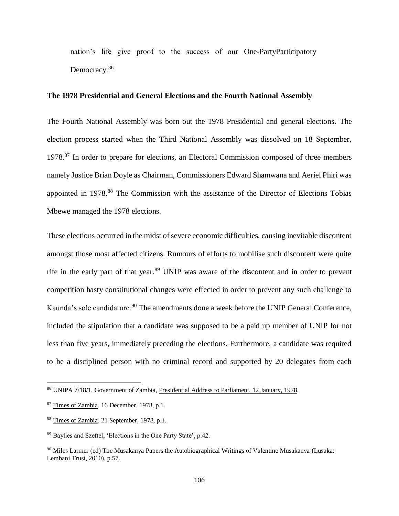nation's life give proof to the success of our One-PartyParticipatory Democracy.<sup>86</sup>

## **The 1978 Presidential and General Elections and the Fourth National Assembly**

The Fourth National Assembly was born out the 1978 Presidential and general elections. The election process started when the Third National Assembly was dissolved on 18 September, 1978.<sup>87</sup> In order to prepare for elections, an Electoral Commission composed of three members namely Justice Brian Doyle as Chairman, Commissioners Edward Shamwana and Aeriel Phiri was appointed in 1978.<sup>88</sup> The Commission with the assistance of the Director of Elections Tobias Mbewe managed the 1978 elections.

These elections occurred in the midst of severe economic difficulties, causing inevitable discontent amongst those most affected citizens. Rumours of efforts to mobilise such discontent were quite rife in the early part of that year.<sup>89</sup> UNIP was aware of the discontent and in order to prevent competition hasty constitutional changes were effected in order to prevent any such challenge to Kaunda's sole candidature.<sup>90</sup> The amendments done a week before the UNIP General Conference, included the stipulation that a candidate was supposed to be a paid up member of UNIP for not less than five years, immediately preceding the elections. Furthermore, a candidate was required to be a disciplined person with no criminal record and supported by 20 delegates from each

<sup>86</sup> UNIPA 7/18/1, Government of Zambia, Presidential Address to Parliament, 12 January, 1978.

<sup>&</sup>lt;sup>87</sup> Times of Zambia, 16 December, 1978, p.1.

<sup>88</sup> Times of Zambia, 21 September, 1978, p.1.

<sup>89</sup> Baylies and Szeftel, 'Elections in the One Party State', p.42.

<sup>90</sup> Miles Larmer (ed) The Musakanya Papers the Autobiographical Writings of Valentine Musakanya (Lusaka: Lembani Trust, 2010), p.57.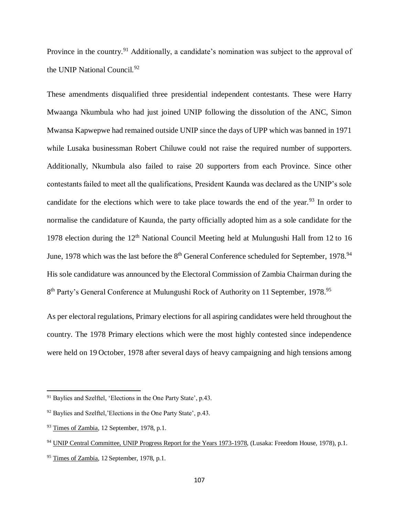Province in the country.<sup>91</sup> Additionally, a candidate's nomination was subject to the approval of the UNIP National Council.<sup>92</sup>

These amendments disqualified three presidential independent contestants. These were Harry Mwaanga Nkumbula who had just joined UNIP following the dissolution of the ANC, Simon Mwansa Kapwepwe had remained outside UNIP since the days of UPP which was banned in 1971 while Lusaka businessman Robert Chiluwe could not raise the required number of supporters. Additionally, Nkumbula also failed to raise 20 supporters from each Province. Since other contestants failed to meet all the qualifications, President Kaunda was declared as the UNIP's sole candidate for the elections which were to take place towards the end of the year.<sup>93</sup> In order to normalise the candidature of Kaunda, the party officially adopted him as a sole candidate for the 1978 election during the  $12<sup>th</sup>$  National Council Meeting held at Mulungushi Hall from 12 to 16 June, 1978 which was the last before the 8<sup>th</sup> General Conference scheduled for September, 1978.<sup>94</sup> His sole candidature was announced by the Electoral Commission of Zambia Chairman during the 8<sup>th</sup> Party's General Conference at Mulungushi Rock of Authority on 11 September, 1978.<sup>95</sup>

As per electoral regulations, Primary elections for all aspiring candidates were held throughout the country. The 1978 Primary elections which were the most highly contested since independence were held on 19 October, 1978 after several days of heavy campaigning and high tensions among

<sup>&</sup>lt;sup>91</sup> Baylies and Szelftel, 'Elections in the One Party State', p.43.

<sup>92</sup> Baylies and Szelftel,'Elections in the One Party State', p.43.

<sup>93</sup> Times of Zambia, 12 September, 1978, p.1.

<sup>&</sup>lt;sup>94</sup> UNIP Central Committee, UNIP Progress Report for the Years 1973-1978, (Lusaka: Freedom House, 1978), p.1.

<sup>&</sup>lt;sup>95</sup> Times of Zambia, 12 September, 1978, p.1.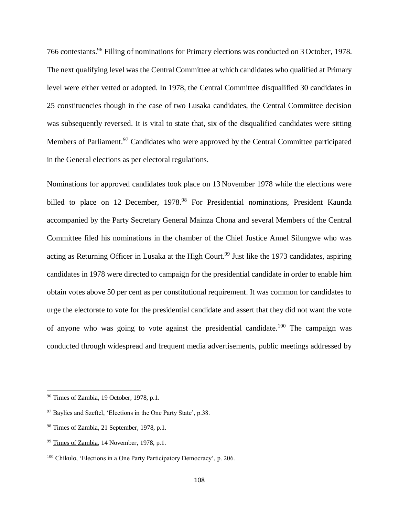766 contestants.<sup>96</sup> Filling of nominations for Primary elections was conducted on 3 October, 1978. The next qualifying level was the Central Committee at which candidates who qualified at Primary level were either vetted or adopted. In 1978, the Central Committee disqualified 30 candidates in 25 constituencies though in the case of two Lusaka candidates, the Central Committee decision was subsequently reversed. It is vital to state that, six of the disqualified candidates were sitting Members of Parliament.<sup>97</sup> Candidates who were approved by the Central Committee participated in the General elections as per electoral regulations.

Nominations for approved candidates took place on 13 November 1978 while the elections were billed to place on 12 December, 1978.<sup>98</sup> For Presidential nominations, President Kaunda accompanied by the Party Secretary General Mainza Chona and several Members of the Central Committee filed his nominations in the chamber of the Chief Justice Annel Silungwe who was acting as Returning Officer in Lusaka at the High Court.<sup>99</sup> Just like the 1973 candidates, aspiring candidates in 1978 were directed to campaign for the presidential candidate in order to enable him obtain votes above 50 per cent as per constitutional requirement. It was common for candidates to urge the electorate to vote for the presidential candidate and assert that they did not want the vote of anyone who was going to vote against the presidential candidate.<sup>100</sup> The campaign was conducted through widespread and frequent media advertisements, public meetings addressed by

<sup>&</sup>lt;sup>96</sup> Times of Zambia, 19 October, 1978, p.1.

<sup>97</sup> Baylies and Szeftel, 'Elections in the One Party State', p.38.

<sup>98</sup> Times of Zambia, 21 September, 1978, p.1.

<sup>99</sup> Times of Zambia, 14 November, 1978, p.1.

<sup>100</sup> Chikulo, 'Elections in a One Party Participatory Democracy', p. 206.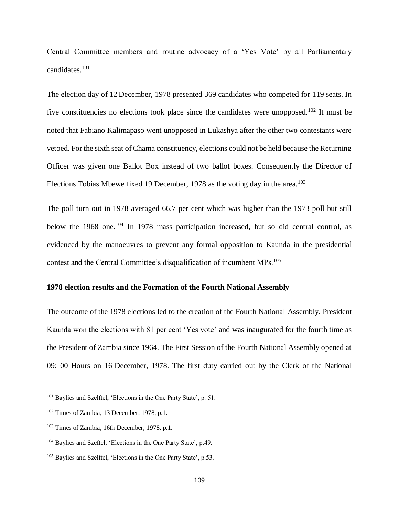Central Committee members and routine advocacy of a 'Yes Vote' by all Parliamentary candidates.<sup>101</sup>

The election day of 12 December, 1978 presented 369 candidates who competed for 119 seats. In five constituencies no elections took place since the candidates were unopposed.<sup>102</sup> It must be noted that Fabiano Kalimapaso went unopposed in Lukashya after the other two contestants were vetoed. For the sixth seat of Chama constituency, elections could not be held because the Returning Officer was given one Ballot Box instead of two ballot boxes. Consequently the Director of Elections Tobias Mbewe fixed 19 December, 1978 as the voting day in the area.<sup>103</sup>

The poll turn out in 1978 averaged 66.7 per cent which was higher than the 1973 poll but still below the 1968 one.<sup>104</sup> In 1978 mass participation increased, but so did central control, as evidenced by the manoeuvres to prevent any formal opposition to Kaunda in the presidential contest and the Central Committee's disqualification of incumbent MPs.<sup>105</sup>

# **1978 election results and the Formation of the Fourth National Assembly**

The outcome of the 1978 elections led to the creation of the Fourth National Assembly. President Kaunda won the elections with 81 per cent 'Yes vote' and was inaugurated for the fourth time as the President of Zambia since 1964. The First Session of the Fourth National Assembly opened at 09: 00 Hours on 16 December, 1978. The first duty carried out by the Clerk of the National

<sup>&</sup>lt;sup>101</sup> Baylies and Szelftel, 'Elections in the One Party State', p. 51.

<sup>&</sup>lt;sup>102</sup> Times of Zambia, 13 December, 1978, p.1.

<sup>103</sup> Times of Zambia, 16th December, 1978, p.1.

<sup>104</sup> Baylies and Szeftel, 'Elections in the One Party State', p.49.

<sup>105</sup> Baylies and Szelftel, 'Elections in the One Party State', p.53.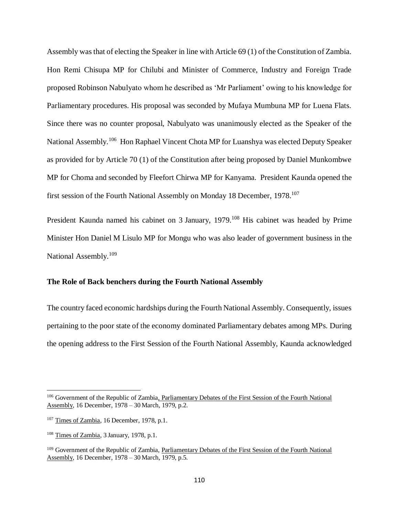Assembly was that of electing the Speaker in line with Article 69 (1) of the Constitution of Zambia. Hon Remi Chisupa MP for Chilubi and Minister of Commerce, Industry and Foreign Trade proposed Robinson Nabulyato whom he described as 'Mr Parliament' owing to his knowledge for Parliamentary procedures. His proposal was seconded by Mufaya Mumbuna MP for Luena Flats. Since there was no counter proposal, Nabulyato was unanimously elected as the Speaker of the National Assembly.<sup>106</sup> Hon Raphael Vincent Chota MP for Luanshya was elected Deputy Speaker as provided for by Article 70 (1) of the Constitution after being proposed by Daniel Munkombwe MP for Choma and seconded by Fleefort Chirwa MP for Kanyama. President Kaunda opened the first session of the Fourth National Assembly on Monday 18 December, 1978.<sup>107</sup>

President Kaunda named his cabinet on 3 January, 1979.<sup>108</sup> His cabinet was headed by Prime Minister Hon Daniel M Lisulo MP for Mongu who was also leader of government business in the National Assembly.<sup>109</sup>

# **The Role of Back benchers during the Fourth National Assembly**

The country faced economic hardships during the Fourth National Assembly. Consequently, issues pertaining to the poor state of the economy dominated Parliamentary debates among MPs. During the opening address to the First Session of the Fourth National Assembly, Kaunda acknowledged

<sup>&</sup>lt;sup>106</sup> Government of the Republic of Zambia, Parliamentary Debates of the First Session of the Fourth National Assembly, 16 December, 1978 – 30 March, 1979, p.2.

<sup>&</sup>lt;sup>107</sup> Times of Zambia, 16 December, 1978, p.1.

<sup>108</sup> Times of Zambia, 3 January, 1978, p.1.

<sup>&</sup>lt;sup>109</sup> Government of the Republic of Zambia, Parliamentary Debates of the First Session of the Fourth National Assembly, 16 December, 1978 – 30 March, 1979, p.5.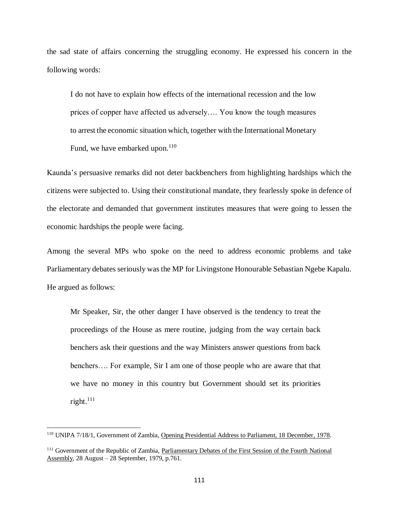the sad state of affairs concerning the struggling economy. He expressed his concern in the following words:

I do not have to explain how effects of the international recession and the low prices of copper have affected us adversely…. You know the tough measures to arrest the economic situation which, together with the International Monetary Fund, we have embarked upon.<sup>110</sup>

Kaunda's persuasive remarks did not deter backbenchers from highlighting hardships which the citizens were subjected to. Using their constitutional mandate, they fearlessly spoke in defence of the electorate and demanded that government institutes measures that were going to lessen the economic hardships the people were facing.

Among the several MPs who spoke on the need to address economic problems and take Parliamentary debates seriously was the MP for Livingstone Honourable Sebastian Ngebe Kapalu. He argued as follows:

Mr Speaker, Sir, the other danger I have observed is the tendency to treat the proceedings of the House as mere routine, judging from the way certain back benchers ask their questions and the way Ministers answer questions from back benchers…. For example, Sir I am one of those people who are aware that that we have no money in this country but Government should set its priorities right. $^{111}$ 

<sup>110</sup> UNIPA 7/18/1, Government of Zambia, Opening Presidential Address to Parliament, 18 December, 1978.

<sup>&</sup>lt;sup>111</sup> Government of the Republic of Zambia, Parliamentary Debates of the First Session of the Fourth National Assembly, 28 August – 28 September, 1979, p.761.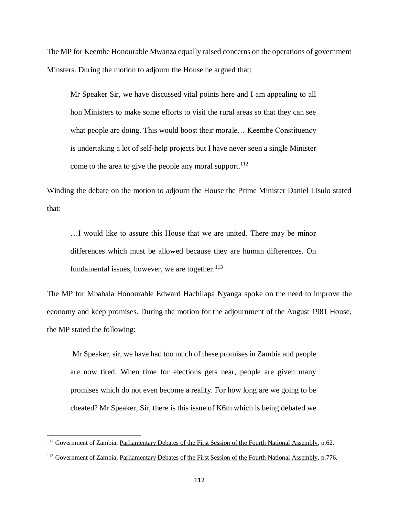The MP for Keembe Honourable Mwanza equally raised concerns on the operations of government Minsters. During the motion to adjourn the House he argued that:

Mr Speaker Sir, we have discussed vital points here and I am appealing to all hon Ministers to make some efforts to visit the rural areas so that they can see what people are doing. This would boost their morale… Keembe Constituency is undertaking a lot of self-help projects but I have never seen a single Minister come to the area to give the people any moral support. $112$ 

Winding the debate on the motion to adjourn the House the Prime Minister Daniel Lisulo stated that:

…I would like to assure this House that we are united. There may be minor differences which must be allowed because they are human differences. On fundamental issues, however, we are together. $113$ 

The MP for Mbabala Honourable Edward Hachilapa Nyanga spoke on the need to improve the economy and keep promises. During the motion for the adjournment of the August 1981 House, the MP stated the following:

Mr Speaker, sir, we have had too much of these promises in Zambia and people are now tired. When time for elections gets near, people are given many promises which do not even become a reality. For how long are we going to be cheated? Mr Speaker, Sir, there is this issue of K6m which is being debated we

<sup>&</sup>lt;sup>112</sup> Government of Zambia, Parliamentary Debates of the First Session of the Fourth National Assembly, p.62.

<sup>&</sup>lt;sup>113</sup> Government of Zambia, Parliamentary Debates of the First Session of the Fourth National Assembly, p.776.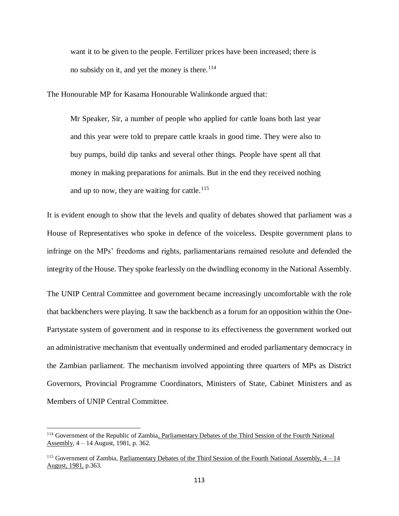want it to be given to the people. Fertilizer prices have been increased; there is no subsidy on it, and yet the money is there.<sup>114</sup>

The Honourable MP for Kasama Honourable Walinkonde argued that:

Mr Speaker, Sir, a number of people who applied for cattle loans both last year and this year were told to prepare cattle kraals in good time. They were also to buy pumps, build dip tanks and several other things. People have spent all that money in making preparations for animals. But in the end they received nothing and up to now, they are waiting for cattle.<sup>115</sup>

It is evident enough to show that the levels and quality of debates showed that parliament was a House of Representatives who spoke in defence of the voiceless. Despite government plans to infringe on the MPs' freedoms and rights, parliamentarians remained resolute and defended the integrity of the House. They spoke fearlessly on the dwindling economy in the National Assembly.

The UNIP Central Committee and government became increasingly uncomfortable with the role that backbenchers were playing. It saw the backbench as a forum for an opposition within the One-Partystate system of government and in response to its effectiveness the government worked out an administrative mechanism that eventually undermined and eroded parliamentary democracy in the Zambian parliament. The mechanism involved appointing three quarters of MPs as District Governors, Provincial Programme Coordinators, Ministers of State, Cabinet Ministers and as Members of UNIP Central Committee.

<sup>114</sup> Government of the Republic of Zambia, Parliamentary Debates of the Third Session of the Fourth National Assembly, 4 – 14 August, 1981, p. 362.

<sup>&</sup>lt;sup>115</sup> Government of Zambia, Parliamentary Debates of the Third Session of the Fourth National Assembly,  $4-14$ August, 1981, p.363.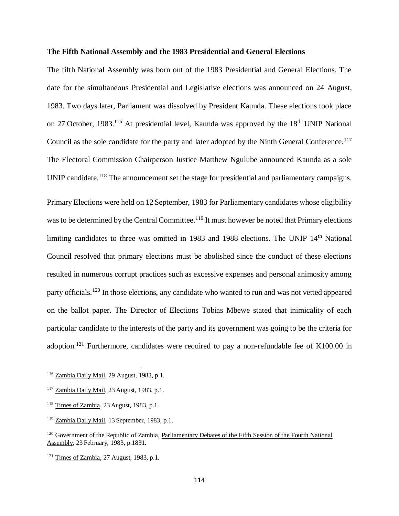# **The Fifth National Assembly and the 1983 Presidential and General Elections**

The fifth National Assembly was born out of the 1983 Presidential and General Elections. The date for the simultaneous Presidential and Legislative elections was announced on 24 August, 1983. Two days later, Parliament was dissolved by President Kaunda. These elections took place on 27 October, 1983.<sup>116</sup> At presidential level, Kaunda was approved by the 18<sup>th</sup> UNIP National Council as the sole candidate for the party and later adopted by the Ninth General Conference.<sup>117</sup> The Electoral Commission Chairperson Justice Matthew Ngulube announced Kaunda as a sole UNIP candidate.<sup>118</sup> The announcement set the stage for presidential and parliamentary campaigns.

Primary Elections were held on 12 September, 1983 for Parliamentary candidates whose eligibility was to be determined by the Central Committee.<sup>119</sup> It must however be noted that Primary elections limiting candidates to three was omitted in 1983 and 1988 elections. The UNIP 14<sup>th</sup> National Council resolved that primary elections must be abolished since the conduct of these elections resulted in numerous corrupt practices such as excessive expenses and personal animosity among party officials.<sup>120</sup> In those elections, any candidate who wanted to run and was not vetted appeared on the ballot paper. The Director of Elections Tobias Mbewe stated that inimicality of each particular candidate to the interests of the party and its government was going to be the criteria for adoption.<sup>121</sup> Furthermore, candidates were required to pay a non-refundable fee of K100.00 in

<sup>116</sup> Zambia Daily Mail, 29 August, 1983, p.1.

<sup>117</sup> Zambia Daily Mail, 23 August, 1983, p.1.

<sup>&</sup>lt;sup>118</sup> Times of Zambia, 23 August, 1983, p.1.

<sup>119</sup> Zambia Daily Mail, 13 September, 1983, p.1.

<sup>&</sup>lt;sup>120</sup> Government of the Republic of Zambia, Parliamentary Debates of the Fifth Session of the Fourth National Assembly, 23 February, 1983, p.1831.

<sup>&</sup>lt;sup>121</sup> Times of Zambia, 27 August, 1983, p.1.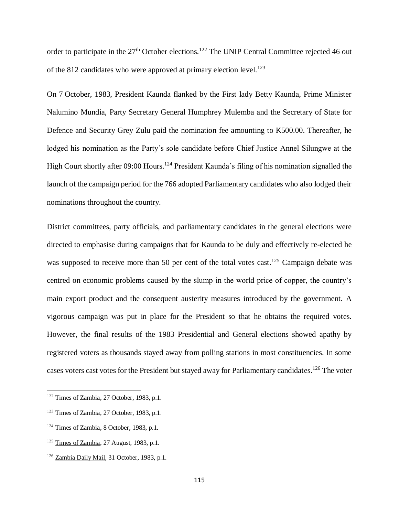order to participate in the 27<sup>th</sup> October elections.<sup>122</sup> The UNIP Central Committee rejected 46 out of the 812 candidates who were approved at primary election level.<sup>123</sup>

On 7 October, 1983, President Kaunda flanked by the First lady Betty Kaunda, Prime Minister Nalumino Mundia, Party Secretary General Humphrey Mulemba and the Secretary of State for Defence and Security Grey Zulu paid the nomination fee amounting to K500.00. Thereafter, he lodged his nomination as the Party's sole candidate before Chief Justice Annel Silungwe at the High Court shortly after 09:00 Hours.<sup>124</sup> President Kaunda's filing of his nomination signalled the launch of the campaign period for the 766 adopted Parliamentary candidates who also lodged their nominations throughout the country.

District committees, party officials, and parliamentary candidates in the general elections were directed to emphasise during campaigns that for Kaunda to be duly and effectively re-elected he was supposed to receive more than 50 per cent of the total votes cast.<sup>125</sup> Campaign debate was centred on economic problems caused by the slump in the world price of copper, the country's main export product and the consequent austerity measures introduced by the government. A vigorous campaign was put in place for the President so that he obtains the required votes. However, the final results of the 1983 Presidential and General elections showed apathy by registered voters as thousands stayed away from polling stations in most constituencies. In some cases voters cast votes for the President but stayed away for Parliamentary candidates.<sup>126</sup> The voter

<sup>&</sup>lt;sup>122</sup> Times of Zambia, 27 October, 1983, p.1.

<sup>123</sup> Times of Zambia, 27 October, 1983, p.1.

<sup>124</sup> Times of Zambia, 8 October, 1983, p.1.

 $125$  Times of Zambia, 27 August, 1983, p.1.

<sup>126</sup> Zambia Daily Mail, 31 October, 1983, p.1.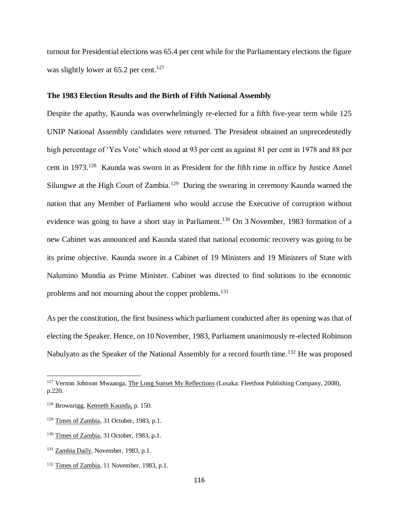turnout for Presidential elections was 65.4 per cent while for the Parliamentary elections the figure was slightly lower at  $65.2$  per cent.<sup>127</sup>

#### **The 1983 Election Results and the Birth of Fifth National Assembly**

Despite the apathy, Kaunda was overwhelmingly re-elected for a fifth five-year term while 125 UNIP National Assembly candidates were returned. The President obtained an unprecedentedly high percentage of 'Yes Vote' which stood at 93 per cent as against 81 per cent in 1978 and 88 per cent in 1973.<sup>128</sup> Kaunda was sworn in as President for the fifth time in office by Justice Annel Silungwe at the High Court of Zambia.<sup>129</sup> During the swearing in ceremony Kaunda warned the nation that any Member of Parliament who would accuse the Executive of corruption without evidence was going to have a short stay in Parliament.<sup>130</sup> On 3 November, 1983 formation of a new Cabinet was announced and Kaunda stated that national economic recovery was going to be its prime objective. Kaunda swore in a Cabinet of 19 Ministers and 19 Ministers of State with Nalumino Mundia as Prime Minister. Cabinet was directed to find solutions to the economic problems and not mourning about the copper problems.<sup>131</sup>

As per the constitution, the first business which parliament conducted after its opening was that of electing the Speaker. Hence, on 10 November, 1983, Parliament unanimously re-elected Robinson Nabulyato as the Speaker of the National Assembly for a record fourth time.<sup>132</sup> He was proposed

<sup>&</sup>lt;sup>127</sup> Vernon Johnson Mwaanga, The Long Sunset My Reflections (Lusaka: Fleetfoot Publishing Company, 2008), p.220.

<sup>128</sup> Brownrigg, Kenneth Kaunda, p. 150.

<sup>&</sup>lt;sup>129</sup> Times of Zambia, 31 October, 1983, p.1.

<sup>&</sup>lt;sup>130</sup> Times of Zambia, 31 October, 1983, p.1.

<sup>131</sup> Zambia Daily, November, 1983, p.1.

<sup>&</sup>lt;sup>132</sup> Times of Zambia, 11 November, 1983, p.1.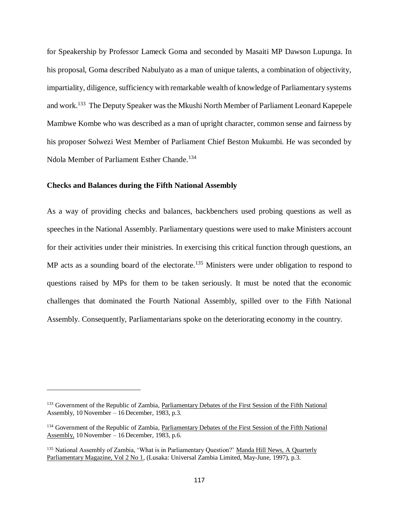for Speakership by Professor Lameck Goma and seconded by Masaiti MP Dawson Lupunga. In his proposal, Goma described Nabulyato as a man of unique talents, a combination of objectivity, impartiality, diligence, sufficiency with remarkable wealth of knowledge of Parliamentary systems and work.<sup>133</sup> The Deputy Speaker was the Mkushi North Member of Parliament Leonard Kapepele Mambwe Kombe who was described as a man of upright character, common sense and fairness by his proposer Solwezi West Member of Parliament Chief Beston Mukumbi. He was seconded by Ndola Member of Parliament Esther Chande.<sup>134</sup>

# **Checks and Balances during the Fifth National Assembly**

 $\overline{\phantom{a}}$ 

As a way of providing checks and balances, backbenchers used probing questions as well as speeches in the National Assembly. Parliamentary questions were used to make Ministers account for their activities under their ministries. In exercising this critical function through questions, an MP acts as a sounding board of the electorate.<sup>135</sup> Ministers were under obligation to respond to questions raised by MPs for them to be taken seriously. It must be noted that the economic challenges that dominated the Fourth National Assembly, spilled over to the Fifth National Assembly. Consequently, Parliamentarians spoke on the deteriorating economy in the country.

<sup>&</sup>lt;sup>133</sup> Government of the Republic of Zambia, Parliamentary Debates of the First Session of the Fifth National Assembly, 10 November – 16 December, 1983, p.3.

<sup>&</sup>lt;sup>134</sup> Government of the Republic of Zambia, Parliamentary Debates of the First Session of the Fifth National Assembly, 10 November – 16 December, 1983, p.6.

<sup>&</sup>lt;sup>135</sup> National Assembly of Zambia, 'What is in Parliamentary Question?' Manda Hill News, A Quarterly Parliamentary Magazine, Vol 2 No 1, (Lusaka: Universal Zambia Limited, May-June, 1997), p.3.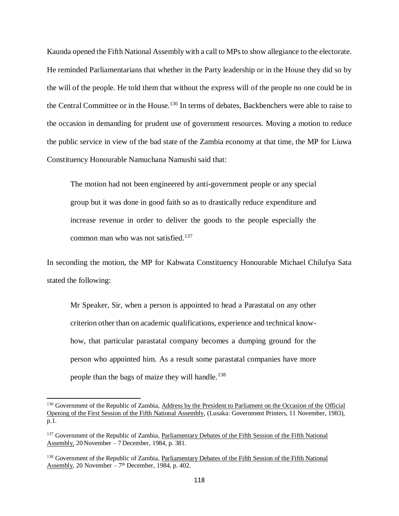Kaunda opened the Fifth National Assembly with a call to MPs to show allegiance to the electorate. He reminded Parliamentarians that whether in the Party leadership or in the House they did so by the will of the people. He told them that without the express will of the people no one could be in the Central Committee or in the House.<sup>136</sup> In terms of debates, Backbenchers were able to raise to the occasion in demanding for prudent use of government resources. Moving a motion to reduce the public service in view of the bad state of the Zambia economy at that time, the MP for Liuwa Constituency Honourable Namuchana Namushi said that:

The motion had not been engineered by anti-government people or any special group but it was done in good faith so as to drastically reduce expenditure and increase revenue in order to deliver the goods to the people especially the common man who was not satisfied.<sup>137</sup>

In seconding the motion, the MP for Kabwata Constituency Honourable Michael Chilufya Sata stated the following:

Mr Speaker, Sir, when a person is appointed to head a Parastatal on any other criterion other than on academic qualifications, experience and technical knowhow, that particular parastatal company becomes a dumping ground for the person who appointed him. As a result some parastatal companies have more people than the bags of maize they will handle.<sup>138</sup>

<sup>&</sup>lt;sup>136</sup> Government of the Republic of Zambia, Address by the President to Parliament on the Occasion of the Official Opening of the First Session of the Fifth National Assembly, (Lusaka: Government Printers, 11 November, 1983), p.1.

<sup>&</sup>lt;sup>137</sup> Government of the Republic of Zambia, Parliamentary Debates of the Fifth Session of the Fifth National Assembly, 20 November – 7 December, 1984, p. 381.

<sup>&</sup>lt;sup>138</sup> Government of the Republic of Zambia, Parliamentary Debates of the Fifth Session of the Fifth National Assembly, 20 November  $-7<sup>th</sup>$  December, 1984, p. 402.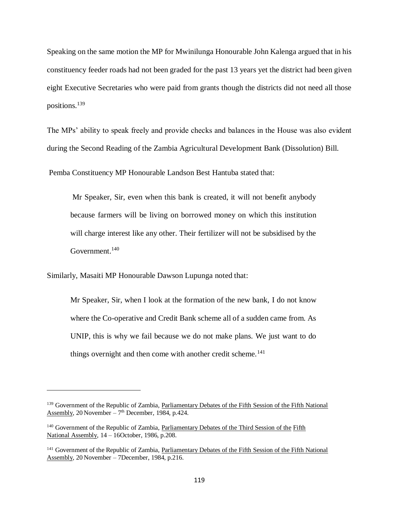Speaking on the same motion the MP for Mwinilunga Honourable John Kalenga argued that in his constituency feeder roads had not been graded for the past 13 years yet the district had been given eight Executive Secretaries who were paid from grants though the districts did not need all those positions.<sup>139</sup>

The MPs' ability to speak freely and provide checks and balances in the House was also evident during the Second Reading of the Zambia Agricultural Development Bank (Dissolution) Bill.

Pemba Constituency MP Honourable Landson Best Hantuba stated that:

Mr Speaker, Sir, even when this bank is created, it will not benefit anybody because farmers will be living on borrowed money on which this institution will charge interest like any other. Their fertilizer will not be subsidised by the Government.<sup>140</sup>

Similarly, Masaiti MP Honourable Dawson Lupunga noted that:

 $\overline{\phantom{a}}$ 

Mr Speaker, Sir, when I look at the formation of the new bank, I do not know where the Co-operative and Credit Bank scheme all of a sudden came from. As UNIP, this is why we fail because we do not make plans. We just want to do things overnight and then come with another credit scheme.<sup>141</sup>

<sup>&</sup>lt;sup>139</sup> Government of the Republic of Zambia, Parliamentary Debates of the Fifth Session of the Fifth National  $Assembly, 20 November – 7<sup>th</sup> December, 1984, p.424.$ </u>

<sup>140</sup> Government of the Republic of Zambia, Parliamentary Debates of the Third Session of the Fifth National Assembly, 14 – 16October, 1986, p.208.

<sup>141</sup> Government of the Republic of Zambia, Parliamentary Debates of the Fifth Session of the Fifth National Assembly, 20 November – 7December, 1984, p.216.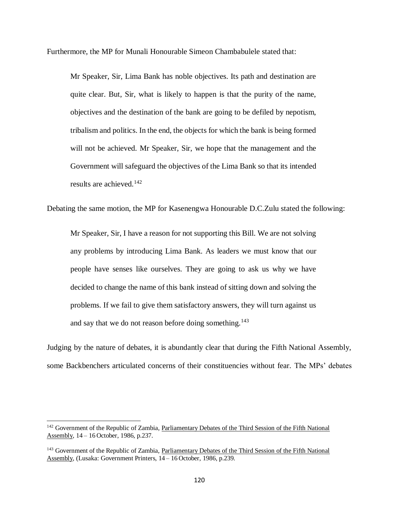Furthermore, the MP for Munali Honourable Simeon Chambabulele stated that:

Mr Speaker, Sir, Lima Bank has noble objectives. Its path and destination are quite clear. But, Sir, what is likely to happen is that the purity of the name, objectives and the destination of the bank are going to be defiled by nepotism, tribalism and politics. In the end, the objects for which the bank is being formed will not be achieved. Mr Speaker, Sir, we hope that the management and the Government will safeguard the objectives of the Lima Bank so that its intended results are achieved.<sup>142</sup>

Debating the same motion, the MP for Kasenengwa Honourable D.C.Zulu stated the following:

Mr Speaker, Sir, I have a reason for not supporting this Bill. We are not solving any problems by introducing Lima Bank. As leaders we must know that our people have senses like ourselves. They are going to ask us why we have decided to change the name of this bank instead of sitting down and solving the problems. If we fail to give them satisfactory answers, they will turn against us and say that we do not reason before doing something.<sup>143</sup>

Judging by the nature of debates, it is abundantly clear that during the Fifth National Assembly, some Backbenchers articulated concerns of their constituencies without fear. The MPs' debates

<sup>&</sup>lt;sup>142</sup> Government of the Republic of Zambia, Parliamentary Debates of the Third Session of the Fifth National Assembly, 14 – 16 October, 1986, p.237.

<sup>&</sup>lt;sup>143</sup> Government of the Republic of Zambia, Parliamentary Debates of the Third Session of the Fifth National Assembly, (Lusaka: Government Printers, 14 – 16 October, 1986, p.239.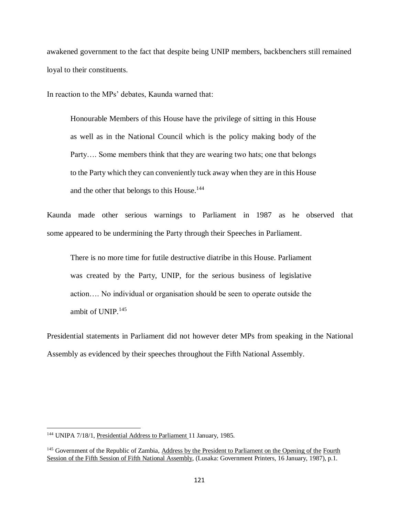awakened government to the fact that despite being UNIP members, backbenchers still remained loyal to their constituents.

In reaction to the MPs' debates, Kaunda warned that:

Honourable Members of this House have the privilege of sitting in this House as well as in the National Council which is the policy making body of the Party…. Some members think that they are wearing two hats; one that belongs to the Party which they can conveniently tuck away when they are in this House and the other that belongs to this House.<sup>144</sup>

Kaunda made other serious warnings to Parliament in 1987 as he observed that some appeared to be undermining the Party through their Speeches in Parliament.

There is no more time for futile destructive diatribe in this House. Parliament was created by the Party, UNIP, for the serious business of legislative action…. No individual or organisation should be seen to operate outside the ambit of UNIP.<sup>145</sup>

Presidential statements in Parliament did not however deter MPs from speaking in the National Assembly as evidenced by their speeches throughout the Fifth National Assembly.

<sup>144</sup> UNIPA 7/18/1, Presidential Address to Parliament 11 January, 1985.

<sup>&</sup>lt;sup>145</sup> Government of the Republic of Zambia, Address by the President to Parliament on the Opening of the Fourth Session of the Fifth Session of Fifth National Assembly, (Lusaka: Government Printers, 16 January, 1987), p.1.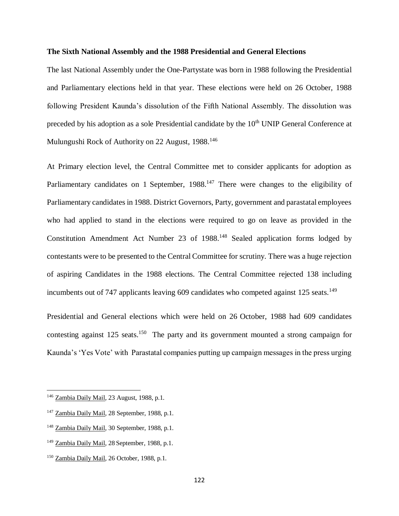# **The Sixth National Assembly and the 1988 Presidential and General Elections**

The last National Assembly under the One-Partystate was born in 1988 following the Presidential and Parliamentary elections held in that year. These elections were held on 26 October, 1988 following President Kaunda's dissolution of the Fifth National Assembly. The dissolution was preceded by his adoption as a sole Presidential candidate by the 10<sup>th</sup> UNIP General Conference at Mulungushi Rock of Authority on 22 August, 1988.<sup>146</sup>

At Primary election level, the Central Committee met to consider applicants for adoption as Parliamentary candidates on 1 September, 1988.<sup>147</sup> There were changes to the eligibility of Parliamentary candidates in 1988. District Governors, Party, government and parastatal employees who had applied to stand in the elections were required to go on leave as provided in the Constitution Amendment Act Number 23 of 1988.<sup>148</sup> Sealed application forms lodged by contestants were to be presented to the Central Committee for scrutiny. There was a huge rejection of aspiring Candidates in the 1988 elections. The Central Committee rejected 138 including incumbents out of 747 applicants leaving 609 candidates who competed against 125 seats.<sup>149</sup>

Presidential and General elections which were held on 26 October, 1988 had 609 candidates contesting against  $125$  seats.<sup>150</sup> The party and its government mounted a strong campaign for Kaunda's 'Yes Vote' with Parastatal companies putting up campaign messages in the press urging

<sup>146</sup> Zambia Daily Mail, 23 August, 1988, p.1.

<sup>147</sup> Zambia Daily Mail, 28 September, 1988, p.1.

<sup>148</sup> Zambia Daily Mail, 30 September, 1988, p.1.

<sup>149</sup> Zambia Daily Mail, 28 September, 1988, p.1.

<sup>150</sup> Zambia Daily Mail, 26 October, 1988, p.1.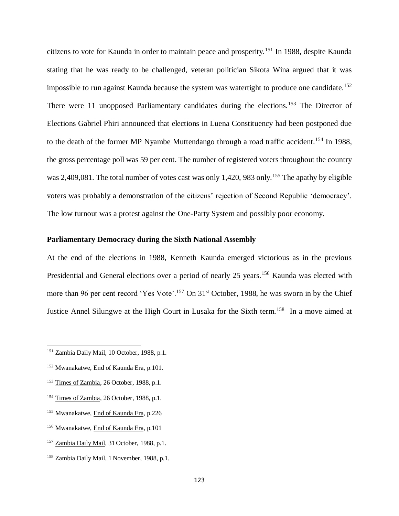citizens to vote for Kaunda in order to maintain peace and prosperity.<sup>151</sup> In 1988, despite Kaunda stating that he was ready to be challenged, veteran politician Sikota Wina argued that it was impossible to run against Kaunda because the system was watertight to produce one candidate.<sup>152</sup> There were 11 unopposed Parliamentary candidates during the elections.<sup>153</sup> The Director of Elections Gabriel Phiri announced that elections in Luena Constituency had been postponed due to the death of the former MP Nyambe Muttendango through a road traffic accident.<sup>154</sup> In 1988, the gross percentage poll was 59 per cent. The number of registered voters throughout the country was 2,409,081. The total number of votes cast was only 1,420, 983 only.<sup>155</sup> The apathy by eligible voters was probably a demonstration of the citizens' rejection of Second Republic 'democracy'. The low turnout was a protest against the One-Party System and possibly poor economy.

# **Parliamentary Democracy during the Sixth National Assembly**

At the end of the elections in 1988, Kenneth Kaunda emerged victorious as in the previous Presidential and General elections over a period of nearly 25 years.<sup>156</sup> Kaunda was elected with more than 96 per cent record 'Yes Vote'.<sup>157</sup> On 31<sup>st</sup> October, 1988, he was sworn in by the Chief Justice Annel Silungwe at the High Court in Lusaka for the Sixth term.<sup>158</sup> In a move aimed at

- <sup>152</sup> Mwanakatwe, End of Kaunda Era, p.101.
- <sup>153</sup> Times of Zambia, 26 October, 1988, p.1.
- <sup>154</sup> Times of Zambia, 26 October, 1988, p.1.
- <sup>155</sup> Mwanakatwe, End of Kaunda Era, p.226
- <sup>156</sup> Mwanakatwe, End of Kaunda Era, p.101
- <sup>157</sup> Zambia Daily Mail, 31 October, 1988, p.1.
- <sup>158</sup> Zambia Daily Mail, 1 November, 1988, p.1.

<sup>151</sup> Zambia Daily Mail, 10 October, 1988, p.1.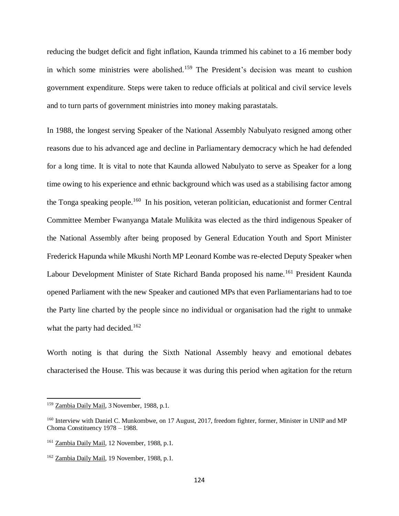reducing the budget deficit and fight inflation, Kaunda trimmed his cabinet to a 16 member body in which some ministries were abolished.<sup>159</sup> The President's decision was meant to cushion government expenditure. Steps were taken to reduce officials at political and civil service levels and to turn parts of government ministries into money making parastatals.

In 1988, the longest serving Speaker of the National Assembly Nabulyato resigned among other reasons due to his advanced age and decline in Parliamentary democracy which he had defended for a long time. It is vital to note that Kaunda allowed Nabulyato to serve as Speaker for a long time owing to his experience and ethnic background which was used as a stabilising factor among the Tonga speaking people.<sup>160</sup> In his position, veteran politician, educationist and former Central Committee Member Fwanyanga Matale Mulikita was elected as the third indigenous Speaker of the National Assembly after being proposed by General Education Youth and Sport Minister Frederick Hapunda while Mkushi North MP Leonard Kombe was re-elected Deputy Speaker when Labour Development Minister of State Richard Banda proposed his name.<sup>161</sup> President Kaunda opened Parliament with the new Speaker and cautioned MPs that even Parliamentarians had to toe the Party line charted by the people since no individual or organisation had the right to unmake what the party had decided.<sup>162</sup>

Worth noting is that during the Sixth National Assembly heavy and emotional debates characterised the House. This was because it was during this period when agitation for the return

<sup>159</sup> Zambia Daily Mail, 3 November, 1988, p.1.

<sup>&</sup>lt;sup>160</sup> Interview with Daniel C. Munkombwe, on 17 August, 2017, freedom fighter, former, Minister in UNIP and MP Choma Constituency 1978 – 1988.

<sup>161</sup> Zambia Daily Mail, 12 November, 1988, p.1.

<sup>162</sup> Zambia Daily Mail, 19 November, 1988, p.1.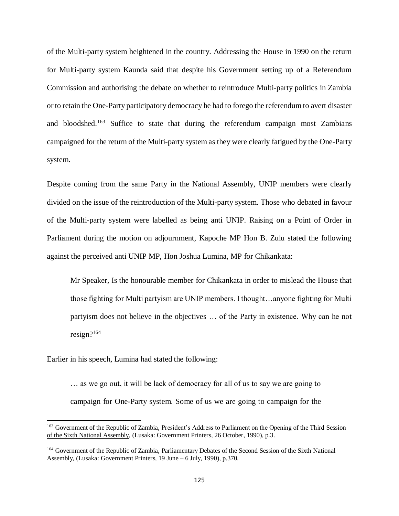of the Multi-party system heightened in the country. Addressing the House in 1990 on the return for Multi-party system Kaunda said that despite his Government setting up of a Referendum Commission and authorising the debate on whether to reintroduce Multi-party politics in Zambia or to retain the One-Party participatory democracy he had to forego the referendum to avert disaster and bloodshed.<sup>163</sup> Suffice to state that during the referendum campaign most Zambians campaigned for the return of the Multi-party system as they were clearly fatigued by the One-Party system.

Despite coming from the same Party in the National Assembly, UNIP members were clearly divided on the issue of the reintroduction of the Multi-party system. Those who debated in favour of the Multi-party system were labelled as being anti UNIP. Raising on a Point of Order in Parliament during the motion on adjournment, Kapoche MP Hon B. Zulu stated the following against the perceived anti UNIP MP, Hon Joshua Lumina, MP for Chikankata:

Mr Speaker, Is the honourable member for Chikankata in order to mislead the House that those fighting for Multi partyism are UNIP members. I thought…anyone fighting for Multi partyism does not believe in the objectives … of the Party in existence. Why can he not resign?<sup>164</sup>

Earlier in his speech, Lumina had stated the following:

 $\overline{\phantom{a}}$ 

… as we go out, it will be lack of democracy for all of us to say we are going to campaign for One-Party system. Some of us we are going to campaign for the

<sup>&</sup>lt;sup>163</sup> Government of the Republic of Zambia, President's Address to Parliament on the Opening of the Third Session of the Sixth National Assembly, (Lusaka: Government Printers, 26 October, 1990), p.3.

<sup>164</sup> Government of the Republic of Zambia, Parliamentary Debates of the Second Session of the Sixth National Assembly, (Lusaka: Government Printers, 19 June – 6 July, 1990), p.370.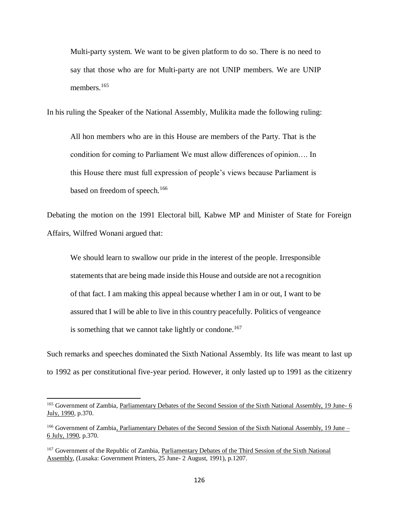Multi-party system. We want to be given platform to do so. There is no need to say that those who are for Multi-party are not UNIP members. We are UNIP members.<sup>165</sup>

In his ruling the Speaker of the National Assembly, Mulikita made the following ruling:

All hon members who are in this House are members of the Party. That is the condition for coming to Parliament We must allow differences of opinion…. In this House there must full expression of people's views because Parliament is based on freedom of speech.<sup>166</sup>

Debating the motion on the 1991 Electoral bill, Kabwe MP and Minister of State for Foreign Affairs, Wilfred Wonani argued that:

We should learn to swallow our pride in the interest of the people. Irresponsible statements that are being made inside this House and outside are not a recognition of that fact. I am making this appeal because whether I am in or out, I want to be assured that I will be able to live in this country peacefully. Politics of vengeance is something that we cannot take lightly or condone.<sup>167</sup>

Such remarks and speeches dominated the Sixth National Assembly. Its life was meant to last up to 1992 as per constitutional five-year period. However, it only lasted up to 1991 as the citizenry

<sup>&</sup>lt;sup>165</sup> Government of Zambia, Parliamentary Debates of the Second Session of the Sixth National Assembly, 19 June- 6 July, 1990, p.370.

<sup>&</sup>lt;sup>166</sup> Government of Zambia, Parliamentary Debates of the Second Session of the Sixth National Assembly, 19 June – 6 July, 1990, p.370.

<sup>&</sup>lt;sup>167</sup> Government of the Republic of Zambia, Parliamentary Debates of the Third Session of the Sixth National Assembly, (Lusaka: Government Printers, 25 June- 2 August, 1991), p.1207.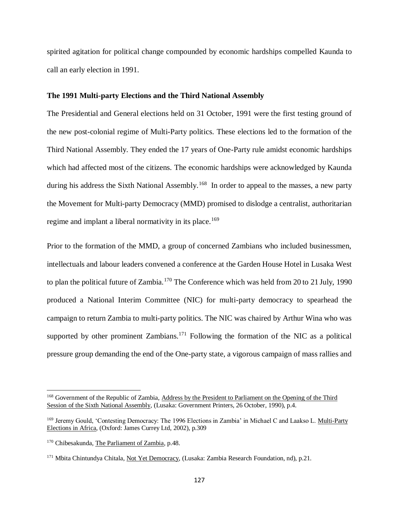spirited agitation for political change compounded by economic hardships compelled Kaunda to call an early election in 1991.

#### **The 1991 Multi-party Elections and the Third National Assembly**

The Presidential and General elections held on 31 October, 1991 were the first testing ground of the new post-colonial regime of Multi-Party politics. These elections led to the formation of the Third National Assembly. They ended the 17 years of One-Party rule amidst economic hardships which had affected most of the citizens. The economic hardships were acknowledged by Kaunda during his address the Sixth National Assembly.<sup>168</sup> In order to appeal to the masses, a new party the Movement for Multi-party Democracy (MMD) promised to dislodge a centralist, authoritarian regime and implant a liberal normativity in its place.<sup>169</sup>

Prior to the formation of the MMD, a group of concerned Zambians who included businessmen, intellectuals and labour leaders convened a conference at the Garden House Hotel in Lusaka West to plan the political future of Zambia.<sup>170</sup> The Conference which was held from 20 to 21 July, 1990 produced a National Interim Committee (NIC) for multi-party democracy to spearhead the campaign to return Zambia to multi-party politics. The NIC was chaired by Arthur Wina who was supported by other prominent Zambians.<sup>171</sup> Following the formation of the NIC as a political pressure group demanding the end of the One-party state, a vigorous campaign of mass rallies and

<sup>168</sup> Government of the Republic of Zambia, Address by the President to Parliament on the Opening of the Third Session of the Sixth National Assembly, (Lusaka: Government Printers, 26 October, 1990), p.4.

<sup>169</sup> Jeremy Gould, 'Contesting Democracy: The 1996 Elections in Zambia' in Michael C and Laakso L. Multi-Party Elections in Africa, (Oxford: James Currey Ltd, 2002), p.309

<sup>&</sup>lt;sup>170</sup> Chibesakunda, The Parliament of Zambia, p.48.

<sup>&</sup>lt;sup>171</sup> Mbita Chintundya Chitala, Not Yet Democracy, (Lusaka: Zambia Research Foundation, nd), p.21.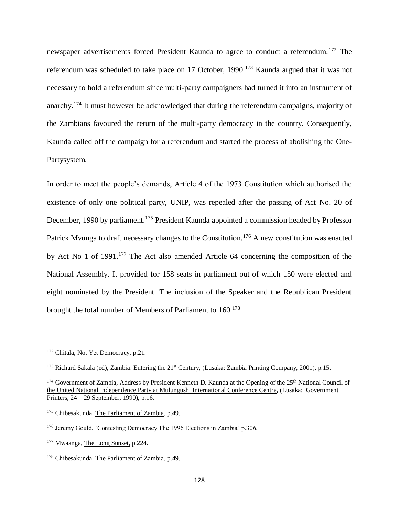newspaper advertisements forced President Kaunda to agree to conduct a referendum.<sup>172</sup> The referendum was scheduled to take place on 17 October, 1990.<sup>173</sup> Kaunda argued that it was not necessary to hold a referendum since multi-party campaigners had turned it into an instrument of anarchy.<sup>174</sup> It must however be acknowledged that during the referendum campaigns, majority of the Zambians favoured the return of the multi-party democracy in the country. Consequently, Kaunda called off the campaign for a referendum and started the process of abolishing the One-Partysystem.

In order to meet the people's demands, Article 4 of the 1973 Constitution which authorised the existence of only one political party, UNIP, was repealed after the passing of Act No. 20 of December, 1990 by parliament.<sup>175</sup> President Kaunda appointed a commission headed by Professor Patrick Mvunga to draft necessary changes to the Constitution.<sup>176</sup> A new constitution was enacted by Act No 1 of 1991.<sup>177</sup> The Act also amended Article 64 concerning the composition of the National Assembly. It provided for 158 seats in parliament out of which 150 were elected and eight nominated by the President. The inclusion of the Speaker and the Republican President brought the total number of Members of Parliament to 160.<sup>178</sup>

<sup>&</sup>lt;sup>172</sup> Chitala, Not Yet Democracy, p.21.

<sup>&</sup>lt;sup>173</sup> Richard Sakala (ed), Zambia: Entering the 21<sup>st</sup> Century, (Lusaka: Zambia Printing Company, 2001), p.15.

<sup>174</sup> Government of Zambia, Address by President Kenneth D. Kaunda at the Opening of the 25<sup>th</sup> National Council of the United National Independence Party at Mulungushi International Conference Centre, (Lusaka: Government Printers, 24 – 29 September, 1990), p.16.

<sup>175</sup> Chibesakunda, The Parliament of Zambia, p.49.

<sup>176</sup> Jeremy Gould, 'Contesting Democracy The 1996 Elections in Zambia' p.306.

<sup>&</sup>lt;sup>177</sup> Mwaanga, The Long Sunset, p.224.

<sup>178</sup> Chibesakunda, The Parliament of Zambia, p.49.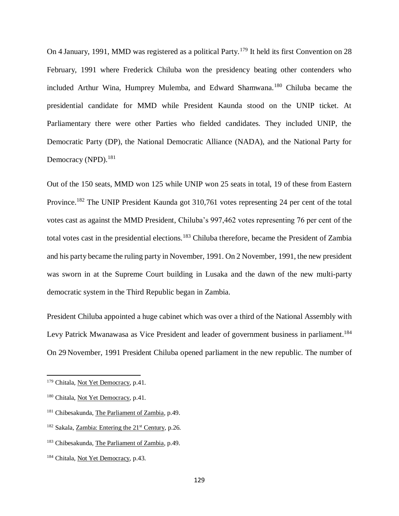On 4 January, 1991, MMD was registered as a political Party.<sup>179</sup> It held its first Convention on 28 February, 1991 where Frederick Chiluba won the presidency beating other contenders who included Arthur Wina, Humprey Mulemba, and Edward Shamwana.<sup>180</sup> Chiluba became the presidential candidate for MMD while President Kaunda stood on the UNIP ticket. At Parliamentary there were other Parties who fielded candidates. They included UNIP, the Democratic Party (DP), the National Democratic Alliance (NADA), and the National Party for Democracy (NPD).<sup>181</sup>

Out of the 150 seats, MMD won 125 while UNIP won 25 seats in total, 19 of these from Eastern Province.<sup>182</sup> The UNIP President Kaunda got 310,761 votes representing 24 per cent of the total votes cast as against the MMD President, Chiluba's 997,462 votes representing 76 per cent of the total votes cast in the presidential elections.<sup>183</sup> Chiluba therefore, became the President of Zambia and his party became the ruling party in November, 1991. On 2 November, 1991, the new president was sworn in at the Supreme Court building in Lusaka and the dawn of the new multi-party democratic system in the Third Republic began in Zambia.

President Chiluba appointed a huge cabinet which was over a third of the National Assembly with Levy Patrick Mwanawasa as Vice President and leader of government business in parliament.<sup>184</sup> On 29 November, 1991 President Chiluba opened parliament in the new republic. The number of

<sup>&</sup>lt;sup>179</sup> Chitala, Not Yet Democracy, p.41.

<sup>&</sup>lt;sup>180</sup> Chitala, Not Yet Democracy, p.41.

<sup>181</sup> Chibesakunda, The Parliament of Zambia, p.49.

 $182$  Sakala, Zambia: Entering the  $21<sup>st</sup>$  Century, p.26.

<sup>183</sup> Chibesakunda, The Parliament of Zambia, p.49.

<sup>&</sup>lt;sup>184</sup> Chitala, Not Yet Democracy, p.43.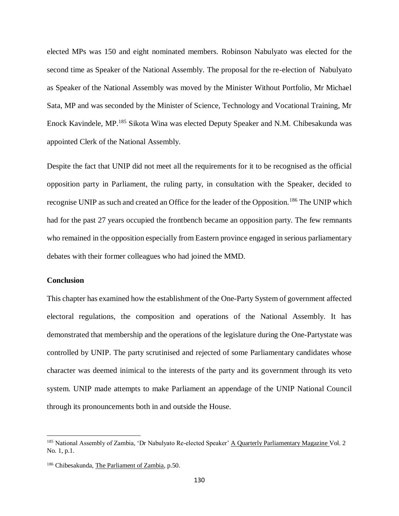elected MPs was 150 and eight nominated members. Robinson Nabulyato was elected for the second time as Speaker of the National Assembly. The proposal for the re-election of Nabulyato as Speaker of the National Assembly was moved by the Minister Without Portfolio, Mr Michael Sata, MP and was seconded by the Minister of Science, Technology and Vocational Training, Mr Enock Kavindele, MP.<sup>185</sup> Sikota Wina was elected Deputy Speaker and N.M. Chibesakunda was appointed Clerk of the National Assembly.

Despite the fact that UNIP did not meet all the requirements for it to be recognised as the official opposition party in Parliament, the ruling party, in consultation with the Speaker, decided to recognise UNIP as such and created an Office for the leader of the Opposition.<sup>186</sup> The UNIP which had for the past 27 years occupied the frontbench became an opposition party. The few remnants who remained in the opposition especially from Eastern province engaged in serious parliamentary debates with their former colleagues who had joined the MMD.

# **Conclusion**

 $\overline{a}$ 

This chapter has examined how the establishment of the One-Party System of government affected electoral regulations, the composition and operations of the National Assembly. It has demonstrated that membership and the operations of the legislature during the One-Partystate was controlled by UNIP. The party scrutinised and rejected of some Parliamentary candidates whose character was deemed inimical to the interests of the party and its government through its veto system. UNIP made attempts to make Parliament an appendage of the UNIP National Council through its pronouncements both in and outside the House.

<sup>&</sup>lt;sup>185</sup> National Assembly of Zambia, 'Dr Nabulyato Re-elected Speaker' A Quarterly Parliamentary Magazine Vol. 2 No. 1, p.1.

<sup>186</sup> Chibesakunda, The Parliament of Zambia, p.50.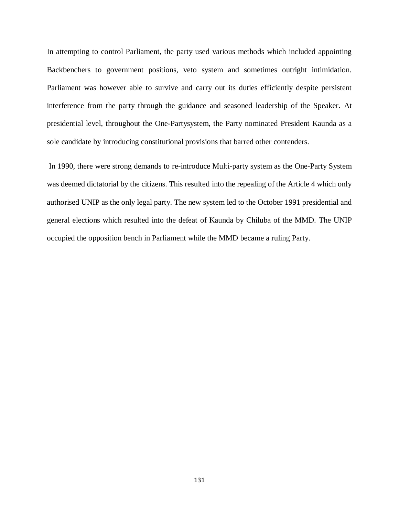In attempting to control Parliament, the party used various methods which included appointing Backbenchers to government positions, veto system and sometimes outright intimidation. Parliament was however able to survive and carry out its duties efficiently despite persistent interference from the party through the guidance and seasoned leadership of the Speaker. At presidential level, throughout the One-Partysystem, the Party nominated President Kaunda as a sole candidate by introducing constitutional provisions that barred other contenders.

In 1990, there were strong demands to re-introduce Multi-party system as the One-Party System was deemed dictatorial by the citizens. This resulted into the repealing of the Article 4 which only authorised UNIP as the only legal party. The new system led to the October 1991 presidential and general elections which resulted into the defeat of Kaunda by Chiluba of the MMD. The UNIP occupied the opposition bench in Parliament while the MMD became a ruling Party.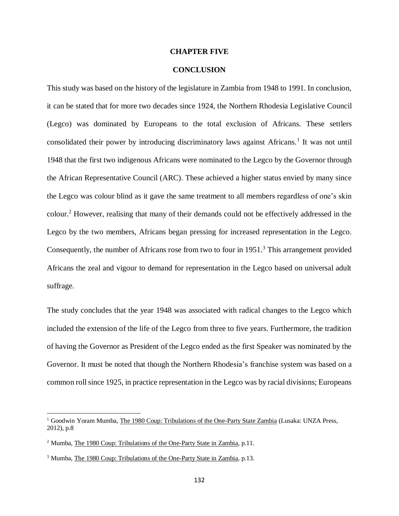## **CHAPTER FIVE**

# **CONCLUSION**

This study was based on the history of the legislature in Zambia from 1948 to 1991. In conclusion, it can be stated that for more two decades since 1924, the Northern Rhodesia Legislative Council (Legco) was dominated by Europeans to the total exclusion of Africans. These settlers consolidated their power by introducing discriminatory laws against Africans.<sup>1</sup> It was not until 1948 that the first two indigenous Africans were nominated to the Legco by the Governor through the African Representative Council (ARC). These achieved a higher status envied by many since the Legco was colour blind as it gave the same treatment to all members regardless of one's skin colour.<sup>2</sup> However, realising that many of their demands could not be effectively addressed in the Legco by the two members, Africans began pressing for increased representation in the Legco. Consequently, the number of Africans rose from two to four in 1951.<sup>3</sup> This arrangement provided Africans the zeal and vigour to demand for representation in the Legco based on universal adult suffrage.

The study concludes that the year 1948 was associated with radical changes to the Legco which included the extension of the life of the Legco from three to five years. Furthermore, the tradition of having the Governor as President of the Legco ended as the first Speaker was nominated by the Governor. It must be noted that though the Northern Rhodesia's franchise system was based on a common roll since 1925, in practice representation in the Legco was by racial divisions; Europeans

<sup>1</sup> Goodwin Yoram Mumba, The 1980 Coup: Tribulations of the One-Party State Zambia (Lusaka: UNZA Press, 2012), p.8

<sup>&</sup>lt;sup>2</sup> Mumba, The 1980 Coup: Tribulations of the One-Party State in Zambia, p.11.

<sup>&</sup>lt;sup>3</sup> Mumba, The 1980 Coup: Tribulations of the One-Party State in Zambia, p.13.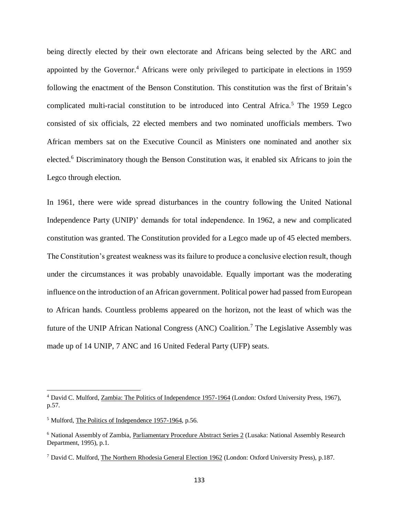being directly elected by their own electorate and Africans being selected by the ARC and appointed by the Governor.<sup>4</sup> Africans were only privileged to participate in elections in 1959 following the enactment of the Benson Constitution. This constitution was the first of Britain's complicated multi-racial constitution to be introduced into Central Africa.<sup>5</sup> The 1959 Legco consisted of six officials, 22 elected members and two nominated unofficials members. Two African members sat on the Executive Council as Ministers one nominated and another six elected.<sup>6</sup> Discriminatory though the Benson Constitution was, it enabled six Africans to join the Legco through election.

In 1961, there were wide spread disturbances in the country following the United National Independence Party (UNIP)' demands for total independence. In 1962, a new and complicated constitution was granted. The Constitution provided for a Legco made up of 45 elected members. The Constitution's greatest weakness was its failure to produce a conclusive election result, though under the circumstances it was probably unavoidable. Equally important was the moderating influence on the introduction of an African government. Political power had passed from European to African hands. Countless problems appeared on the horizon, not the least of which was the future of the UNIP African National Congress (ANC) Coalition.<sup>7</sup> The Legislative Assembly was made up of 14 UNIP, 7 ANC and 16 United Federal Party (UFP) seats.

<sup>4</sup> David C. Mulford, Zambia: The Politics of Independence 1957-1964 (London: Oxford University Press, 1967), p.57.

<sup>5</sup> Mulford, The Politics of Independence 1957-1964, p.56.

<sup>6</sup> National Assembly of Zambia, Parliamentary Procedure Abstract Series 2 (Lusaka: National Assembly Research Department, 1995), p.1.

<sup>7</sup> David C. Mulford, The Northern Rhodesia General Election 1962 (London: Oxford University Press), p.187.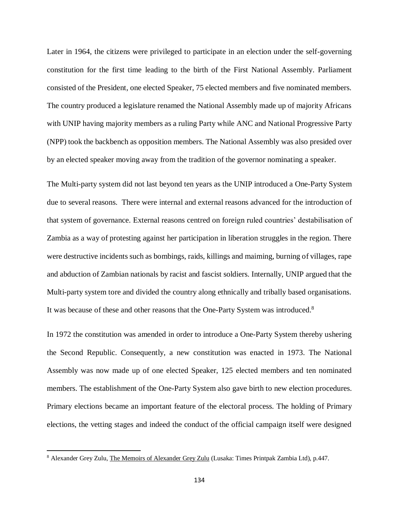Later in 1964, the citizens were privileged to participate in an election under the self-governing constitution for the first time leading to the birth of the First National Assembly. Parliament consisted of the President, one elected Speaker, 75 elected members and five nominated members. The country produced a legislature renamed the National Assembly made up of majority Africans with UNIP having majority members as a ruling Party while ANC and National Progressive Party (NPP) took the backbench as opposition members. The National Assembly was also presided over by an elected speaker moving away from the tradition of the governor nominating a speaker.

The Multi-party system did not last beyond ten years as the UNIP introduced a One-Party System due to several reasons. There were internal and external reasons advanced for the introduction of that system of governance. External reasons centred on foreign ruled countries' destabilisation of Zambia as a way of protesting against her participation in liberation struggles in the region. There were destructive incidents such as bombings, raids, killings and maiming, burning of villages, rape and abduction of Zambian nationals by racist and fascist soldiers. Internally, UNIP argued that the Multi-party system tore and divided the country along ethnically and tribally based organisations. It was because of these and other reasons that the One-Party System was introduced.<sup>8</sup>

In 1972 the constitution was amended in order to introduce a One-Party System thereby ushering the Second Republic. Consequently, a new constitution was enacted in 1973. The National Assembly was now made up of one elected Speaker, 125 elected members and ten nominated members. The establishment of the One-Party System also gave birth to new election procedures. Primary elections became an important feature of the electoral process. The holding of Primary elections, the vetting stages and indeed the conduct of the official campaign itself were designed

 $\overline{\phantom{a}}$ 

<sup>8</sup> Alexander Grey Zulu, The Memoirs of Alexander Grey Zulu (Lusaka: Times Printpak Zambia Ltd), p.447.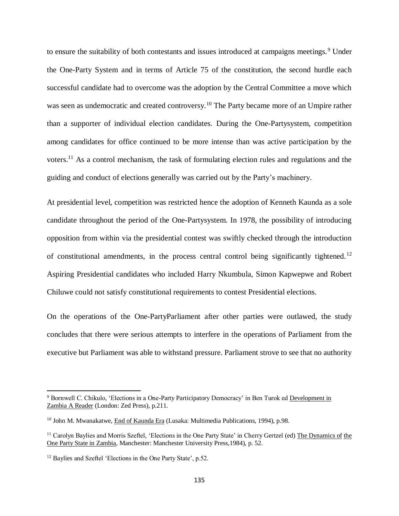to ensure the suitability of both contestants and issues introduced at campaigns meetings.<sup>9</sup> Under the One-Party System and in terms of Article 75 of the constitution, the second hurdle each successful candidate had to overcome was the adoption by the Central Committee a move which was seen as undemocratic and created controversy.<sup>10</sup> The Party became more of an Umpire rather than a supporter of individual election candidates. During the One-Partysystem, competition among candidates for office continued to be more intense than was active participation by the voters.<sup>11</sup> As a control mechanism, the task of formulating election rules and regulations and the guiding and conduct of elections generally was carried out by the Party's machinery.

At presidential level, competition was restricted hence the adoption of Kenneth Kaunda as a sole candidate throughout the period of the One-Partysystem. In 1978, the possibility of introducing opposition from within via the presidential contest was swiftly checked through the introduction of constitutional amendments, in the process central control being significantly tightened.<sup>12</sup> Aspiring Presidential candidates who included Harry Nkumbula, Simon Kapwepwe and Robert Chiluwe could not satisfy constitutional requirements to contest Presidential elections.

On the operations of the One-PartyParliament after other parties were outlawed, the study concludes that there were serious attempts to interfere in the operations of Parliament from the executive but Parliament was able to withstand pressure. Parliament strove to see that no authority

 $\overline{a}$ 

<sup>9</sup> Bornwell C. Chikulo, 'Elections in a One-Party Participatory Democracy' in Ben Turok ed Development in Zambia A Reader (London: Zed Press), p.211.

<sup>&</sup>lt;sup>10</sup> John M. Mwanakatwe, End of Kaunda Era (Lusaka: Multimedia Publications, 1994), p.98.

<sup>&</sup>lt;sup>11</sup> Carolyn Baylies and Morris Szeftel, 'Elections in the One Party State' in Cherry Gertzel (ed) The Dynamics of the One Party State in Zambia, Manchester: Manchester University Press,1984), p. 52.

<sup>&</sup>lt;sup>12</sup> Baylies and Szeftel 'Elections in the One Party State', p.52.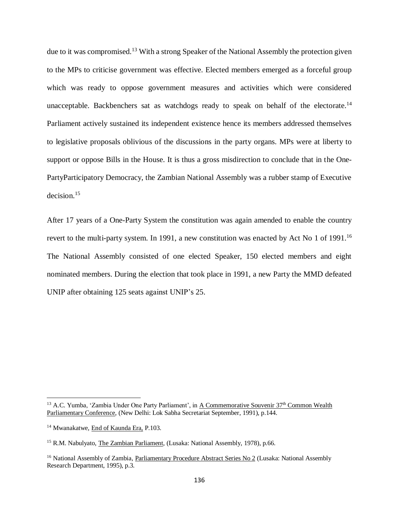due to it was compromised.<sup>13</sup> With a strong Speaker of the National Assembly the protection given to the MPs to criticise government was effective. Elected members emerged as a forceful group which was ready to oppose government measures and activities which were considered unacceptable. Backbenchers sat as watchdogs ready to speak on behalf of the electorate.<sup>14</sup> Parliament actively sustained its independent existence hence its members addressed themselves to legislative proposals oblivious of the discussions in the party organs. MPs were at liberty to support or oppose Bills in the House. It is thus a gross misdirection to conclude that in the One-PartyParticipatory Democracy, the Zambian National Assembly was a rubber stamp of Executive decision.<sup>15</sup>

After 17 years of a One-Party System the constitution was again amended to enable the country revert to the multi-party system. In 1991, a new constitution was enacted by Act No 1 of 1991.<sup>16</sup> The National Assembly consisted of one elected Speaker, 150 elected members and eight nominated members. During the election that took place in 1991, a new Party the MMD defeated UNIP after obtaining 125 seats against UNIP's 25.

 $\overline{a}$ 

<sup>&</sup>lt;sup>13</sup> A.C. Yumba, 'Zambia Under One Party Parliament', in A Commemorative Souvenir 37<sup>th</sup> Common Wealth Parliamentary Conference, (New Delhi: Lok Sabha Secretariat September, 1991), p.144.

<sup>14</sup> Mwanakatwe, End of Kaunda Era, P.103.

<sup>&</sup>lt;sup>15</sup> R.M. Nabulyato, The Zambian Parliament, (Lusaka: National Assembly, 1978), p.66.

<sup>&</sup>lt;sup>16</sup> National Assembly of Zambia, Parliamentary Procedure Abstract Series No 2 (Lusaka: National Assembly Research Department, 1995), p.3.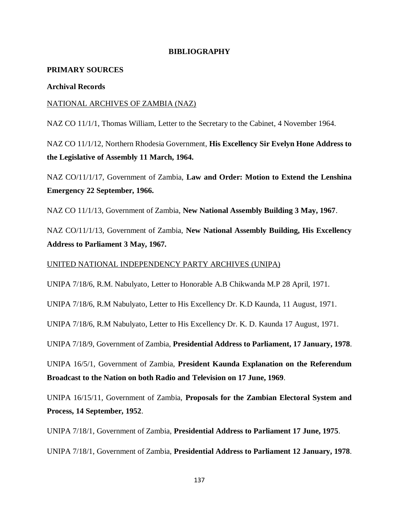### **BIBLIOGRAPHY**

### **PRIMARY SOURCES**

### **Archival Records**

### NATIONAL ARCHIVES OF ZAMBIA (NAZ)

NAZ CO 11/1/1, Thomas William, Letter to the Secretary to the Cabinet, 4 November 1964.

NAZ CO 11/1/12, Northern Rhodesia Government, **His Excellency Sir Evelyn Hone Address to the Legislative of Assembly 11 March, 1964.**

NAZ CO/11/1/17, Government of Zambia, **Law and Order: Motion to Extend the Lenshina Emergency 22 September, 1966.**

NAZ CO 11/1/13, Government of Zambia, **New National Assembly Building 3 May, 1967**.

NAZ CO/11/1/13, Government of Zambia, **New National Assembly Building, His Excellency Address to Parliament 3 May, 1967.**

### UNITED NATIONAL INDEPENDENCY PARTY ARCHIVES (UNIPA)

UNIPA 7/18/6, R.M. Nabulyato, Letter to Honorable A.B Chikwanda M.P 28 April, 1971.

UNIPA 7/18/6, R.M Nabulyato, Letter to His Excellency Dr. K.D Kaunda, 11 August, 1971.

UNIPA 7/18/6, R.M Nabulyato, Letter to His Excellency Dr. K. D. Kaunda 17 August, 1971.

UNIPA 7/18/9, Government of Zambia, **Presidential Address to Parliament, 17 January, 1978**.

UNIPA 16/5/1, Government of Zambia, **President Kaunda Explanation on the Referendum Broadcast to the Nation on both Radio and Television on 17 June, 1969**.

UNIPA 16/15/11, Government of Zambia, **Proposals for the Zambian Electoral System and Process, 14 September, 1952**.

UNIPA 7/18/1, Government of Zambia, **Presidential Address to Parliament 17 June, 1975**.

UNIPA 7/18/1, Government of Zambia, **Presidential Address to Parliament 12 January, 1978**.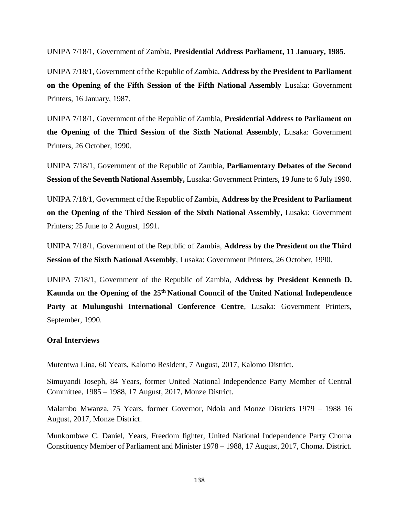UNIPA 7/18/1, Government of Zambia, **Presidential Address Parliament, 11 January, 1985**.

UNIPA 7/18/1, Government of the Republic of Zambia, **Address by the President to Parliament on the Opening of the Fifth Session of the Fifth National Assembly** Lusaka: Government Printers, 16 January, 1987.

UNIPA 7/18/1, Government of the Republic of Zambia, **Presidential Address to Parliament on the Opening of the Third Session of the Sixth National Assembly**, Lusaka: Government Printers, 26 October, 1990.

UNIPA 7/18/1, Government of the Republic of Zambia, **Parliamentary Debates of the Second Session of the Seventh National Assembly,** Lusaka: Government Printers, 19 June to 6 July 1990.

UNIPA 7/18/1, Government of the Republic of Zambia, **Address by the President to Parliament on the Opening of the Third Session of the Sixth National Assembly**, Lusaka: Government Printers; 25 June to 2 August, 1991.

UNIPA 7/18/1, Government of the Republic of Zambia, **Address by the President on the Third Session of the Sixth National Assembly**, Lusaka: Government Printers, 26 October, 1990.

UNIPA 7/18/1, Government of the Republic of Zambia, **Address by President Kenneth D. Kaunda on the Opening of the 25th National Council of the United National Independence Party at Mulungushi International Conference Centre**, Lusaka: Government Printers, September, 1990.

### **Oral Interviews**

Mutentwa Lina, 60 Years, Kalomo Resident, 7 August, 2017, Kalomo District.

Simuyandi Joseph, 84 Years, former United National Independence Party Member of Central Committee, 1985 – 1988, 17 August, 2017, Monze District.

Malambo Mwanza, 75 Years, former Governor, Ndola and Monze Districts 1979 – 1988 16 August, 2017, Monze District.

Munkombwe C. Daniel, Years, Freedom fighter, United National Independence Party Choma Constituency Member of Parliament and Minister 1978 – 1988, 17 August, 2017, Choma. District.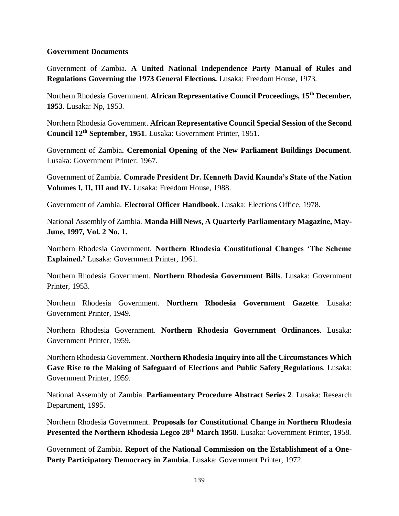### **Government Documents**

Government of Zambia. **A United National Independence Party Manual of Rules and Regulations Governing the 1973 General Elections.** Lusaka: Freedom House, 1973.

Northern Rhodesia Government. **African Representative Council Proceedings, 15th December, 1953**. Lusaka: Np, 1953.

Northern Rhodesia Government. **African Representative Council Special Session of the Second Council 12th September, 1951**. Lusaka: Government Printer, 1951.

Government of Zambia**. Ceremonial Opening of the New Parliament Buildings Document**. Lusaka: Government Printer: 1967.

Government of Zambia. **Comrade President Dr. Kenneth David Kaunda's State of the Nation Volumes I, II, III and IV.** Lusaka: Freedom House, 1988.

Government of Zambia. **Electoral Officer Handbook**. Lusaka: Elections Office, 1978.

National Assembly of Zambia. **Manda Hill News, A Quarterly Parliamentary Magazine, May-June, 1997, Vol. 2 No. 1.**

Northern Rhodesia Government. **Northern Rhodesia Constitutional Changes 'The Scheme Explained.'** Lusaka: Government Printer, 1961.

Northern Rhodesia Government. **Northern Rhodesia Government Bills**. Lusaka: Government Printer, 1953.

Northern Rhodesia Government. **Northern Rhodesia Government Gazette**. Lusaka: Government Printer, 1949.

Northern Rhodesia Government. **Northern Rhodesia Government Ordinances**. Lusaka: Government Printer, 1959.

Northern Rhodesia Government. **Northern Rhodesia Inquiry into all the Circumstances Which Gave Rise to the Making of Safeguard of Elections and Public Safety Regulations**. Lusaka: Government Printer, 1959.

National Assembly of Zambia. **Parliamentary Procedure Abstract Series 2**. Lusaka: Research Department, 1995.

Northern Rhodesia Government. **Proposals for Constitutional Change in Northern Rhodesia Presented the Northern Rhodesia Legco 28th March 1958**. Lusaka: Government Printer, 1958.

Government of Zambia. **Report of the National Commission on the Establishment of a One-Party Participatory Democracy in Zambia**. Lusaka: Government Printer, 1972.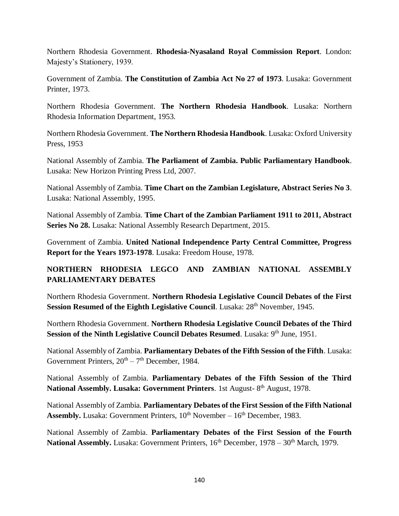Northern Rhodesia Government. **Rhodesia-Nyasaland Royal Commission Report**. London: Majesty's Stationery, 1939.

Government of Zambia. **The Constitution of Zambia Act No 27 of 1973**. Lusaka: Government Printer, 1973.

Northern Rhodesia Government. **The Northern Rhodesia Handbook**. Lusaka: Northern Rhodesia Information Department, 1953.

Northern Rhodesia Government. **The Northern Rhodesia Handbook**. Lusaka: Oxford University Press, 1953

National Assembly of Zambia. **The Parliament of Zambia. Public Parliamentary Handbook**. Lusaka: New Horizon Printing Press Ltd, 2007.

National Assembly of Zambia. **Time Chart on the Zambian Legislature, Abstract Series No 3**. Lusaka: National Assembly, 1995.

National Assembly of Zambia. **Time Chart of the Zambian Parliament 1911 to 2011, Abstract Series No 28.** Lusaka: National Assembly Research Department, 2015.

Government of Zambia. **United National Independence Party Central Committee, Progress Report for the Years 1973-1978**. Lusaka: Freedom House, 1978.

# **NORTHERN RHODESIA LEGCO AND ZAMBIAN NATIONAL ASSEMBLY PARLIAMENTARY DEBATES**

Northern Rhodesia Government. **Northern Rhodesia Legislative Council Debates of the First Session Resumed of the Eighth Legislative Council**. Lusaka: 28<sup>th</sup> November, 1945.

Northern Rhodesia Government. **Northern Rhodesia Legislative Council Debates of the Third Session of the Ninth Legislative Council Debates Resumed.** Lusaka: 9<sup>th</sup> June, 1951.

National Assembly of Zambia. **Parliamentary Debates of the Fifth Session of the Fifth**. Lusaka: Government Printers,  $20^{th} - 7^{th}$  December, 1984.

National Assembly of Zambia. **Parliamentary Debates of the Fifth Session of the Third National Assembly. Lusaka: Government Printers**. 1st August- 8 th August, 1978.

National Assembly of Zambia. **Parliamentary Debates of the First Session of the Fifth National Assembly.** Lusaka: Government Printers,  $10^{th}$  November –  $16^{th}$  December, 1983.

National Assembly of Zambia. **Parliamentary Debates of the First Session of the Fourth**  National Assembly. Lusaka: Government Printers, 16<sup>th</sup> December, 1978 – 30<sup>th</sup> March, 1979.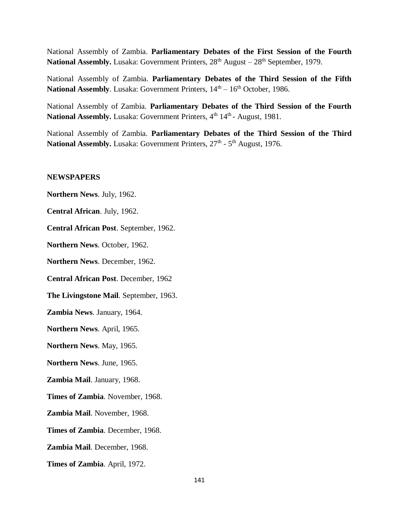National Assembly of Zambia. **Parliamentary Debates of the First Session of the Fourth**  National Assembly. Lusaka: Government Printers,  $28<sup>th</sup>$  August –  $28<sup>th</sup>$  September, 1979.

National Assembly of Zambia. **Parliamentary Debates of the Third Session of the Fifth**  National Assembly. Lusaka: Government Printers,  $14<sup>th</sup> - 16<sup>th</sup>$  October, 1986.

National Assembly of Zambia. **Parliamentary Debates of the Third Session of the Fourth**  National Assembly. Lusaka: Government Printers, 4<sup>th</sup> 14<sup>th</sup> - August, 1981.

National Assembly of Zambia. **Parliamentary Debates of the Third Session of the Third**  National Assembly. Lusaka: Government Printers, 27<sup>th</sup> - 5<sup>th</sup> August, 1976.

#### **NEWSPAPERS**

**Northern News**. July, 1962.

**Central African**. July, 1962.

**Central African Post**. September, 1962.

**Northern News**. October, 1962.

**Northern News**. December, 1962.

**Central African Post**. December, 1962

**The Livingstone Mail**. September, 1963.

**Zambia News**. January, 1964.

**Northern News**. April, 1965.

**Northern News**. May, 1965.

**Northern News**. June, 1965.

**Zambia Mail**. January, 1968.

**Times of Zambia**. November, 1968.

**Zambia Mail**. November, 1968.

**Times of Zambia**. December, 1968.

**Zambia Mail**. December, 1968.

**Times of Zambia**. April, 1972.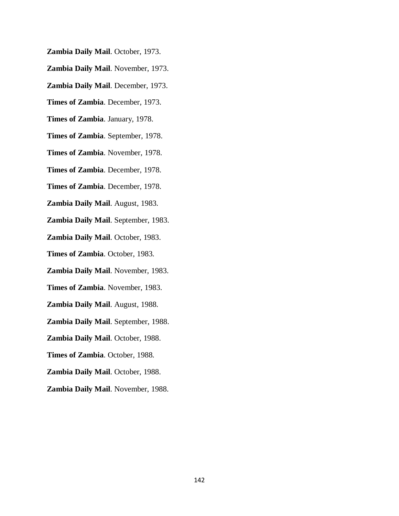- **Zambia Daily Mail**. October, 1973.
- **Zambia Daily Mail**. November, 1973.
- **Zambia Daily Mail**. December, 1973.
- **Times of Zambia**. December, 1973.
- **Times of Zambia**. January, 1978.
- **Times of Zambia**. September, 1978.
- **Times of Zambia**. November, 1978.
- **Times of Zambia**. December, 1978.
- **Times of Zambia**. December, 1978.
- **Zambia Daily Mail**. August, 1983.
- **Zambia Daily Mail**. September, 1983.
- **Zambia Daily Mail**. October, 1983.
- **Times of Zambia**. October, 1983.
- **Zambia Daily Mail**. November, 1983.
- **Times of Zambia**. November, 1983.
- **Zambia Daily Mail**. August, 1988.
- **Zambia Daily Mail**. September, 1988.
- **Zambia Daily Mail**. October, 1988.
- **Times of Zambia**. October, 1988.
- **Zambia Daily Mail**. October, 1988.
- **Zambia Daily Mail**. November, 1988.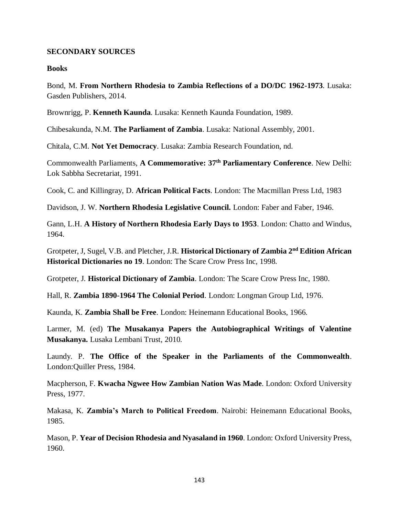### **SECONDARY SOURCES**

### **Books**

Bond, M. **From Northern Rhodesia to Zambia Reflections of a DO/DC 1962-1973**. Lusaka: Gasden Publishers, 2014.

Brownrigg, P. **Kenneth Kaunda**. Lusaka: Kenneth Kaunda Foundation, 1989.

Chibesakunda, N.M. **The Parliament of Zambia**. Lusaka: National Assembly, 2001.

Chitala, C.M. **Not Yet Democracy**. Lusaka: Zambia Research Foundation, nd.

Commonwealth Parliaments, **A Commemorative: 37th Parliamentary Conference**. New Delhi: Lok Sabbha Secretariat, 1991.

Cook, C. and Killingray, D. **African Political Facts**. London: The Macmillan Press Ltd, 1983

Davidson, J. W. **Northern Rhodesia Legislative Council.** London: Faber and Faber, 1946.

Gann, L.H. **A History of Northern Rhodesia Early Days to 1953**. London: Chatto and Windus, 1964.

Grotpeter, J, Sugel, V.B. and Pletcher, J.R. **Historical Dictionary of Zambia 2nd Edition African Historical Dictionaries no 19**. London: The Scare Crow Press Inc, 1998.

Grotpeter, J. **Historical Dictionary of Zambia**. London: The Scare Crow Press Inc, 1980.

Hall, R. **Zambia 1890-1964 The Colonial Period**. London: Longman Group Ltd, 1976.

Kaunda, K. **Zambia Shall be Free**. London: Heinemann Educational Books, 1966.

Larmer, M. (ed) **The Musakanya Papers the Autobiographical Writings of Valentine Musakanya.** Lusaka Lembani Trust, 2010.

Laundy. P. **The Office of the Speaker in the Parliaments of the Commonwealth**. London:Quiller Press, 1984.

Macpherson, F. **Kwacha Ngwee How Zambian Nation Was Made**. London: Oxford University Press, 1977.

Makasa, K. **Zambia's March to Political Freedom**. Nairobi: Heinemann Educational Books, 1985.

Mason, P. **Year of Decision Rhodesia and Nyasaland in 1960**. London: Oxford University Press, 1960.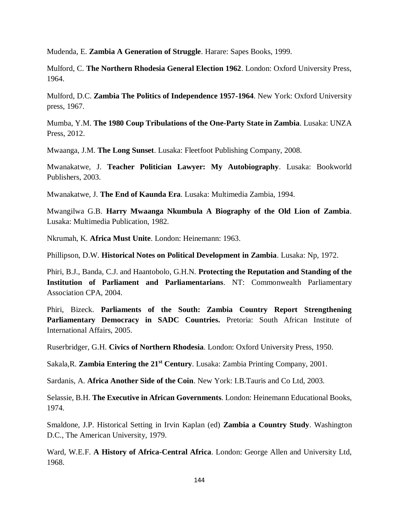Mudenda, E. **Zambia A Generation of Struggle**. Harare: Sapes Books, 1999.

Mulford, C. **The Northern Rhodesia General Election 1962**. London: Oxford University Press, 1964.

Mulford, D.C. **Zambia The Politics of Independence 1957-1964**. New York: Oxford University press, 1967.

Mumba, Y.M. **The 1980 Coup Tribulations of the One-Party State in Zambia**. Lusaka: UNZA Press, 2012.

Mwaanga, J.M. **The Long Sunset**. Lusaka: Fleetfoot Publishing Company, 2008.

Mwanakatwe, J. **Teacher Politician Lawyer: My Autobiography**. Lusaka: Bookworld Publishers, 2003.

Mwanakatwe, J. **The End of Kaunda Era**. Lusaka: Multimedia Zambia, 1994.

Mwangilwa G.B. **Harry Mwaanga Nkumbula A Biography of the Old Lion of Zambia**. Lusaka: Multimedia Publication, 1982.

Nkrumah, K. **Africa Must Unite**. London: Heinemann: 1963.

Phillipson, D.W. **Historical Notes on Political Development in Zambia**. Lusaka: Np, 1972.

Phiri, B.J., Banda, C.J. and Haantobolo, G.H.N. **Protecting the Reputation and Standing of the Institution of Parliament and Parliamentarians**. NT: Commonwealth Parliamentary Association CPA, 2004.

Phiri, Bizeck. **Parliaments of the South: Zambia Country Report Strengthening**  Parliamentary Democracy in SADC Countries. Pretoria: South African Institute of International Affairs, 2005.

Ruserbridger, G.H. **Civics of Northern Rhodesia**. London: Oxford University Press, 1950.

Sakala,R. **Zambia Entering the 21st Century**. Lusaka: Zambia Printing Company, 2001.

Sardanis, A. **Africa Another Side of the Coin**. New York: I.B.Tauris and Co Ltd, 2003.

Selassie, B.H. **The Executive in African Governments**. London: Heinemann Educational Books, 1974.

Smaldone, J.P. Historical Setting in Irvin Kaplan (ed) **Zambia a Country Study**. Washington D.C., The American University, 1979.

Ward, W.E.F. **A History of Africa-Central Africa**. London: George Allen and University Ltd, 1968.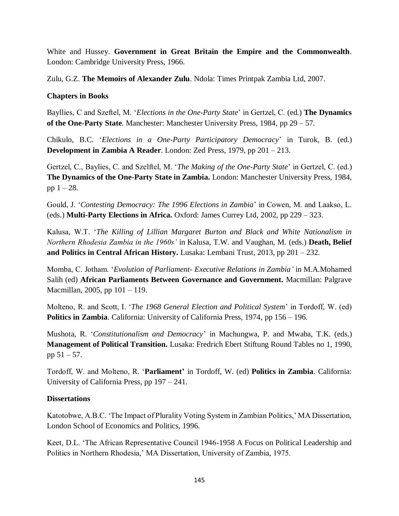White and Hussey. **Government in Great Britain the Empire and the Commonwealth**. London: Cambridge University Press, 1966.

Zulu, G.Z. **The Memoirs of Alexander Zulu**. Ndola: Times Printpak Zambia Ltd, 2007.

## **Chapters in Books**

Bayllies, C and Szeftel, M. '*Elections in the One-Party State*' in Gertzel, C. (ed.) **The Dynamics of the One-Party State**. Manchester: Manchester University Press, 1984, pp 29 – 57.

Chikulo, B.C. '*Elections in a One-Party Participatory Democracy*' in Turok, B. (ed.) **Development in Zambia A Reader**. London: Zed Press, 1979, pp 201 – 213.

Gertzel, C., Baylies, C. and Szelftel, M. '*The Making of the One-Party State*' in Gertzel, C. (ed.) **The Dynamics of the One-Party State in Zambia.** London: Manchester University Press, 1984, pp  $1 - 28$ .

Gould, J. '*Contesting Democracy: The 1996 Elections in Zambia*' in Cowen, M. and Laakso, L. (eds.) **Multi-Party Elections in Africa.** Oxford: James Currey Ltd, 2002, pp 229 – 323.

Kalusa, W.T. '*The Killing of Lillian Margaret Burton and Black and White Nationalism in Northern Rhodesia Zambia in the 1960s'* in Kalusa, T.W. and Vaughan, M. (eds.) **Death, Belief and Politics in Central African History.** Lusaka: Lembani Trust, 2013, pp 201 – 232.

Momba, C. Jotham. '*Evolution of Parliament- Executive Relations in Zambia'* in M.A.Mohamed Salih (ed) **African Parliaments Between Governance and Government.** Macmillan: Palgrave Macmillan, 2005, pp 101 – 119.

Molteno, R. and Scott, I. '*The 1968 General Election and Political System*' in Tordoff, W. (ed) **Politics in Zambia**. California: University of California Press, 1974, pp 156 – 196.

Mushota, R. '*Constitutionalism and Democracy*' in Machungwa, P. and Mwaba, T.K. (eds.) **Management of Political Transition.** Lusaka: Fredrich Ebert Stiftung Round Tables no 1, 1990, pp 51 – 57.

Tordoff, W. and Molteno, R. '**Parliament'** in Tordoff, W. (ed) **Politics in Zambia**. California: University of California Press, pp 197 – 241.

### **Dissertations**

Katotobwe, A.B.C. 'The Impact of Plurality Voting System in Zambian Politics,' MA Dissertation, London School of Economics and Politics, 1996.

Keet, D.L. 'The African Representative Council 1946-1958 A Focus on Political Leadership and Politics in Northern Rhodesia,' MA Dissertation, University of Zambia, 1975.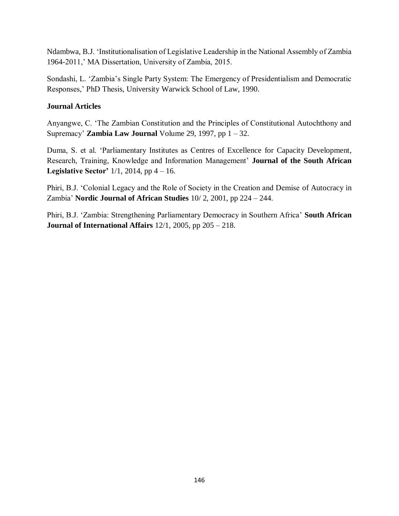Ndambwa, B.J. 'Institutionalisation of Legislative Leadership in the National Assembly of Zambia 1964-2011,' MA Dissertation, University of Zambia, 2015.

Sondashi, L. 'Zambia's Single Party System: The Emergency of Presidentialism and Democratic Responses,' PhD Thesis, University Warwick School of Law, 1990.

### **Journal Articles**

Anyangwe, C. 'The Zambian Constitution and the Principles of Constitutional Autochthony and Supremacy' **Zambia Law Journal** Volume 29, 1997, pp 1 – 32.

Duma, S. et al. 'Parliamentary Institutes as Centres of Excellence for Capacity Development, Research, Training, Knowledge and Information Management' **Journal of the South African Legislative Sector'** 1/1, 2014, pp 4 – 16.

Phiri, B.J. 'Colonial Legacy and the Role of Society in the Creation and Demise of Autocracy in Zambia' **Nordic Journal of African Studies** 10/ 2, 2001, pp 224 – 244.

Phiri, B.J. 'Zambia: Strengthening Parliamentary Democracy in Southern Africa' **South African Journal of International Affairs** 12/1, 2005, pp 205 – 218.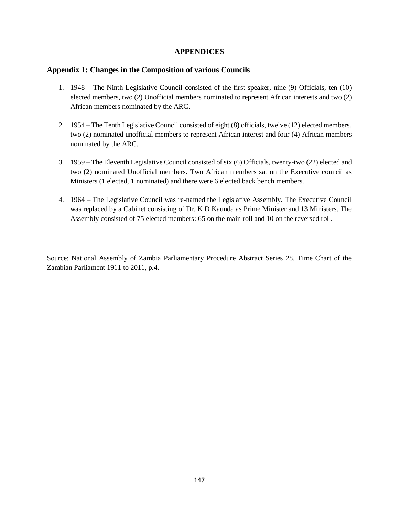### **APPENDICES**

### **Appendix 1: Changes in the Composition of various Councils**

- 1. 1948 The Ninth Legislative Council consisted of the first speaker, nine (9) Officials, ten (10) elected members, two (2) Unofficial members nominated to represent African interests and two (2) African members nominated by the ARC.
- 2. 1954 The Tenth Legislative Council consisted of eight (8) officials, twelve (12) elected members, two (2) nominated unofficial members to represent African interest and four (4) African members nominated by the ARC.
- 3. 1959 The Eleventh Legislative Council consisted of six (6) Officials, twenty-two (22) elected and two (2) nominated Unofficial members. Two African members sat on the Executive council as Ministers (1 elected, 1 nominated) and there were 6 elected back bench members.
- 4. 1964 The Legislative Council was re-named the Legislative Assembly. The Executive Council was replaced by a Cabinet consisting of Dr. K D Kaunda as Prime Minister and 13 Ministers. The Assembly consisted of 75 elected members: 65 on the main roll and 10 on the reversed roll.

Source: National Assembly of Zambia Parliamentary Procedure Abstract Series 28, Time Chart of the Zambian Parliament 1911 to 2011, p.4.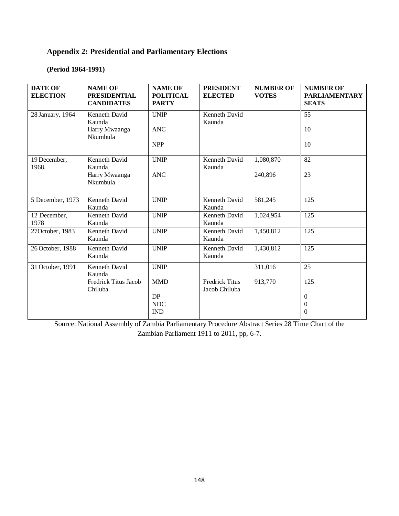# **Appendix 2: Presidential and Parliamentary Elections**

### **(Period 1964-1991)**

| <b>DATE OF</b><br><b>ELECTION</b> | <b>NAME OF</b><br><b>PRESIDENTIAL</b><br><b>CANDIDATES</b> | <b>NAME OF</b><br><b>POLITICAL</b><br><b>PARTY</b> | <b>PRESIDENT</b><br><b>ELECTED</b>     | <b>NUMBER OF</b><br><b>VOTES</b> | <b>NUMBER OF</b><br><b>PARLIAMENTARY</b><br><b>SEATS</b> |
|-----------------------------------|------------------------------------------------------------|----------------------------------------------------|----------------------------------------|----------------------------------|----------------------------------------------------------|
| 28 January, 1964                  | Kenneth David<br>Kaunda                                    | <b>UNIP</b>                                        | Kenneth David<br>Kaunda                |                                  | 55                                                       |
|                                   | Harry Mwaanga<br>Nkumbula                                  | <b>ANC</b>                                         |                                        |                                  | 10                                                       |
|                                   |                                                            | <b>NPP</b>                                         |                                        |                                  | 10                                                       |
| 19 December,<br>1968.             | Kenneth David<br>Kaunda                                    | <b>UNIP</b>                                        | Kenneth David<br>Kaunda                | 1,080,870                        | 82                                                       |
|                                   | Harry Mwaanga<br>Nkumbula                                  | <b>ANC</b>                                         |                                        | 240,896                          | 23                                                       |
| 5 December, 1973                  | Kenneth David<br>Kaunda                                    | <b>UNIP</b>                                        | Kenneth David<br>Kaunda                | 581,245                          | 125                                                      |
| 12 December,<br>1978              | Kenneth David<br>Kaunda                                    | <b>UNIP</b>                                        | Kenneth David<br>Kaunda                | 1,024,954                        | 125                                                      |
| 27October, 1983                   | Kenneth David<br>Kaunda                                    | <b>UNIP</b>                                        | Kenneth David<br>Kaunda                | 1,450,812                        | 125                                                      |
| 26 October, 1988                  | Kenneth David<br>Kaunda                                    | <b>UNIP</b>                                        | Kenneth David<br>Kaunda                | 1,430,812                        | 125                                                      |
| 31 October, 1991                  | Kenneth David<br>Kaunda                                    | <b>UNIP</b>                                        |                                        | 311,016                          | 25                                                       |
|                                   | Fredrick Titus Jacob<br>Chiluba                            | <b>MMD</b>                                         | <b>Fredrick Titus</b><br>Jacob Chiluba | 913,770                          | 125                                                      |
|                                   |                                                            | DP                                                 |                                        |                                  | $\boldsymbol{0}$                                         |
|                                   |                                                            | <b>NDC</b>                                         |                                        |                                  | $\mathbf{0}$                                             |
|                                   |                                                            | <b>IND</b>                                         |                                        |                                  | $\Omega$                                                 |

Source: National Assembly of Zambia Parliamentary Procedure Abstract Series 28 Time Chart of the Zambian Parliament 1911 to 2011, pp, 6-7.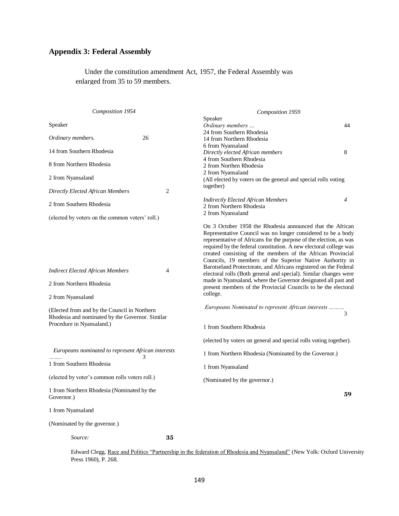# **Appendix 3: Federal Assembly**

 Under the constitution amendment Act, 1957, the Federal Assembly was enlarged from 35 to 59 members.

| Composition 1954                                                                                                             |    | Composition 1959                                                                                                                                                                                                                                                                                                                                                                                                                                                    |    |
|------------------------------------------------------------------------------------------------------------------------------|----|---------------------------------------------------------------------------------------------------------------------------------------------------------------------------------------------------------------------------------------------------------------------------------------------------------------------------------------------------------------------------------------------------------------------------------------------------------------------|----|
| Speaker                                                                                                                      |    | Speaker<br>Ordinary members<br>24 from Southern Rhodesia                                                                                                                                                                                                                                                                                                                                                                                                            | 44 |
| Ordinary members.                                                                                                            | 26 | 14 from Northern Rhodesia<br>6 from Nyansaland                                                                                                                                                                                                                                                                                                                                                                                                                      |    |
| 14 from Southern Rhodesia                                                                                                    |    | Directly elected African members                                                                                                                                                                                                                                                                                                                                                                                                                                    | 8  |
| 8 from Northern Rhodesia                                                                                                     |    | 4 from Southern Rhodesia<br>2 from Northen Rhodesia<br>2 from Nyansaland                                                                                                                                                                                                                                                                                                                                                                                            |    |
| 2 from Nyansaland                                                                                                            |    | (All elected by voters on the general and special rolls voting                                                                                                                                                                                                                                                                                                                                                                                                      |    |
| Directly Elected African Members                                                                                             | 2  | together)                                                                                                                                                                                                                                                                                                                                                                                                                                                           |    |
| 2 from Southern Rhodesia                                                                                                     |    | <b>Indirectly Elected African Members</b><br>2 from Northern Rhodesia<br>2 from Nyansaland                                                                                                                                                                                                                                                                                                                                                                          | 4  |
| (elected by voters on the common voters' roll.)                                                                              |    |                                                                                                                                                                                                                                                                                                                                                                                                                                                                     |    |
| <b>Indirect Elected African Members</b>                                                                                      | 4  | On 3 October 1958 the Rhodesia announced that the African<br>Representative Council was no longer considered to be a body<br>representative of Africans for the purpose of the election, as was<br>required by the federal constitution. A new electoral college was<br>created consisting of the members of the African Provincial<br>Councils, 19 members of the Superior Native Authority in<br>Barotseland Protectorate, and Africans registered on the Federal |    |
|                                                                                                                              |    | electoral rolls (Both general and special). Similar changes were<br>made in Nyansaland, where the Governor designated all past and<br>present members of the Provincial Councils to be the electoral                                                                                                                                                                                                                                                                |    |
| 2 from Northern Rhodesia                                                                                                     |    |                                                                                                                                                                                                                                                                                                                                                                                                                                                                     |    |
| 2 from Nyansaland                                                                                                            |    | college.                                                                                                                                                                                                                                                                                                                                                                                                                                                            |    |
| (Elected from and by the Council in Northern<br>Rhodesia and nominated by the Governor. Similar<br>Procedure in Nyansaland.) |    | Europeans Nominated to represent African interests                                                                                                                                                                                                                                                                                                                                                                                                                  | 3  |
|                                                                                                                              |    | 1 from Southern Rhodesia                                                                                                                                                                                                                                                                                                                                                                                                                                            |    |
|                                                                                                                              |    | (elected by voters on general and special rolls voting together).                                                                                                                                                                                                                                                                                                                                                                                                   |    |
| Europeans nominated to represent African interests<br>3<br>1 from Southern Rhodesia                                          |    | 1 from Northern Rhodesia (Nominated by the Governor.)                                                                                                                                                                                                                                                                                                                                                                                                               |    |
|                                                                                                                              |    | 1 from Nyansaland                                                                                                                                                                                                                                                                                                                                                                                                                                                   |    |
| (elected by voter's common rolls voters roll.)                                                                               |    | (Nominated by the governor.)                                                                                                                                                                                                                                                                                                                                                                                                                                        |    |
| 1 from Northern Rhodesia (Nominated by the<br>Governor.)                                                                     |    |                                                                                                                                                                                                                                                                                                                                                                                                                                                                     | 59 |
| 1 from Nyansaland                                                                                                            |    |                                                                                                                                                                                                                                                                                                                                                                                                                                                                     |    |
| (Nominated by the governor.)                                                                                                 |    |                                                                                                                                                                                                                                                                                                                                                                                                                                                                     |    |
| Source:                                                                                                                      | 35 |                                                                                                                                                                                                                                                                                                                                                                                                                                                                     |    |

Edward Clegg, Race and Politics "Partnership in the federation of Rhodesia and Nyansaland" (New Yolk: Oxford University Press 1960), P. 268.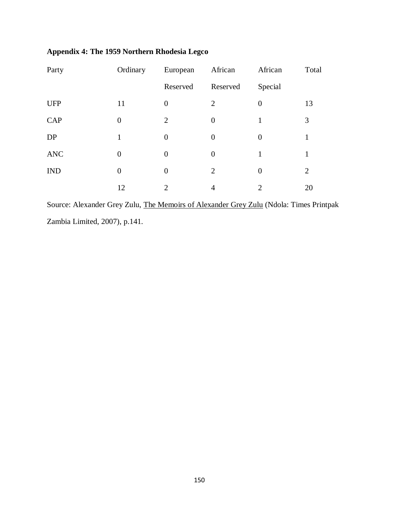| Party      | Ordinary       | European         | African        | African                     | Total |
|------------|----------------|------------------|----------------|-----------------------------|-------|
|            |                | Reserved         | Reserved       | Special                     |       |
| <b>UFP</b> | 11             | $\boldsymbol{0}$ | $\overline{2}$ | $\Omega$                    | 13    |
| CAP        | $\overline{0}$ | $\overline{2}$   | $\overline{0}$ |                             | 3     |
| DP         | 1              | $\boldsymbol{0}$ | $\overline{0}$ | $\Omega$                    | 1     |
| <b>ANC</b> | $\overline{0}$ | 0                | $\overline{0}$ | 1                           | 1     |
| <b>IND</b> | $\overline{0}$ | $\boldsymbol{0}$ | $\overline{2}$ | $\theta$                    | 2     |
|            | 12             | 2                | 4              | $\mathcal{D}_{\mathcal{L}}$ | 20    |

# **Appendix 4: The 1959 Northern Rhodesia Legco**

Source: Alexander Grey Zulu, The Memoirs of Alexander Grey Zulu (Ndola: Times Printpak Zambia Limited, 2007), p.141.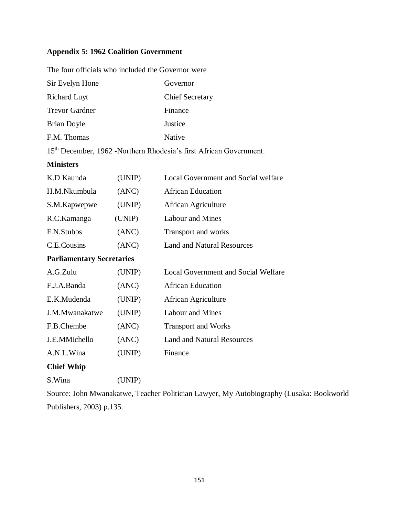# **Appendix 5: 1962 Coalition Government**

| The four officials who included the Governor were                              |                        |  |
|--------------------------------------------------------------------------------|------------------------|--|
| Sir Evelyn Hone                                                                | Governor               |  |
| <b>Richard Luyt</b>                                                            | <b>Chief Secretary</b> |  |
| <b>Trevor Gardner</b>                                                          | Finance                |  |
| Brian Doyle                                                                    | Justice                |  |
| F.M. Thomas                                                                    | Native                 |  |
| 15 <sup>th</sup> December, 1962 -Northern Rhodesia's first African Government. |                        |  |

**Ministers**

| K.D Kaunda                       | (UNIP) | Local Government and Social welfare        |
|----------------------------------|--------|--------------------------------------------|
| H.M.Nkumbula                     | (ANC)  | <b>African Education</b>                   |
| S.M.Kapwepwe                     | (UNIP) | African Agriculture                        |
| R.C.Kamanga                      | (UNIP) | Labour and Mines                           |
| F.N.Stubbs                       | (ANC)  | <b>Transport and works</b>                 |
| C.E.Cousins                      | (ANC)  | <b>Land and Natural Resources</b>          |
| <b>Parliamentary Secretaries</b> |        |                                            |
| A.G.Zulu                         | (UNIP) | <b>Local Government and Social Welfare</b> |
| F.J.A.Banda                      | (ANC)  | <b>African Education</b>                   |
| E.K.Mudenda                      | (UNIP) | African Agriculture                        |
| J.M.Mwanakatwe                   | (UNIP) | Labour and Mines                           |
| F.B.Chembe                       | (ANC)  | <b>Transport and Works</b>                 |
| J.E.MMichello                    | (ANC)  | <b>Land and Natural Resources</b>          |
| A.N.L.Wina                       | (UNIP) | Finance                                    |
| <b>Chief Whip</b>                |        |                                            |
| S.Wina                           | (UNIP) |                                            |

Source: John Mwanakatwe, Teacher Politician Lawyer, My Autobiography (Lusaka: Bookworld Publishers, 2003) p.135.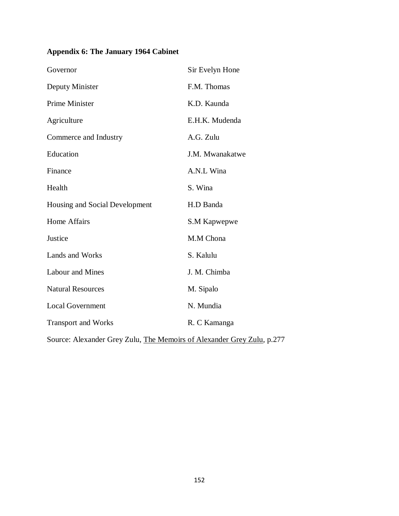# **Appendix 6: The January 1964 Cabinet**

| Governor                       | Sir Evelyn Hone |
|--------------------------------|-----------------|
| Deputy Minister                | F.M. Thomas     |
| Prime Minister                 | K.D. Kaunda     |
| Agriculture                    | E.H.K. Mudenda  |
| Commerce and Industry          | A.G. Zulu       |
| Education                      | J.M. Mwanakatwe |
| Finance                        | A.N.L Wina      |
| Health                         | S. Wina         |
| Housing and Social Development | H.D Banda       |
| <b>Home Affairs</b>            | S.M Kapwepwe    |
| Justice                        | M.M Chona       |
| Lands and Works                | S. Kalulu       |
| <b>Labour and Mines</b>        | J. M. Chimba    |
| <b>Natural Resources</b>       | M. Sipalo       |
| <b>Local Government</b>        | N. Mundia       |
| <b>Transport and Works</b>     | R. C Kamanga    |
|                                |                 |

Source: Alexander Grey Zulu, The Memoirs of Alexander Grey Zulu, p.277